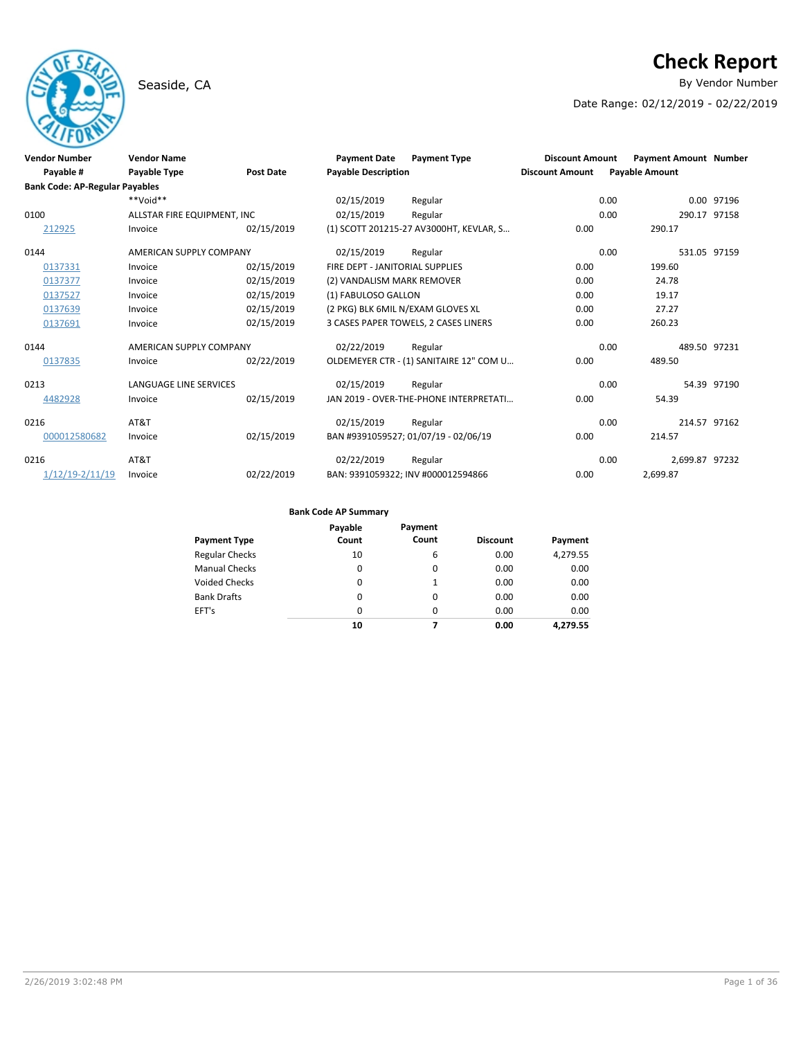## Seaside, CA **By Vendor Number**

# **Check Report**

Date Range: 02/12/2019 - 02/22/2019

| <b>Vendor Number</b><br>Payable #     | <b>Vendor Name</b><br><b>Payable Type</b> | <b>Post Date</b> | <b>Payment Date</b><br><b>Payable Description</b> | <b>Payment Type</b>                     | <b>Discount Amount</b><br><b>Discount Amount</b> | <b>Payment Amount Number</b><br><b>Payable Amount</b> |             |
|---------------------------------------|-------------------------------------------|------------------|---------------------------------------------------|-----------------------------------------|--------------------------------------------------|-------------------------------------------------------|-------------|
| <b>Bank Code: AP-Regular Payables</b> |                                           |                  |                                                   |                                         |                                                  |                                                       |             |
|                                       | $**$ NioV**                               |                  | 02/15/2019                                        | Regular                                 |                                                  | 0.00                                                  | 0.00 97196  |
| 0100                                  | ALLSTAR FIRE EQUIPMENT, INC               |                  | 02/15/2019                                        | Regular                                 |                                                  | 0.00<br>290.17 97158                                  |             |
| 212925                                | Invoice                                   | 02/15/2019       |                                                   | (1) SCOTT 201215-27 AV3000HT, KEVLAR, S | 0.00                                             | 290.17                                                |             |
| 0144                                  | AMERICAN SUPPLY COMPANY                   |                  | 02/15/2019                                        | Regular                                 |                                                  | 0.00<br>531.05 97159                                  |             |
| 0137331                               | Invoice                                   | 02/15/2019       | FIRE DEPT - JANITORIAL SUPPLIES                   |                                         | 0.00                                             | 199.60                                                |             |
| 0137377                               | Invoice                                   | 02/15/2019       | (2) VANDALISM MARK REMOVER                        |                                         | 0.00                                             | 24.78                                                 |             |
| 0137527                               | Invoice                                   | 02/15/2019       | (1) FABULOSO GALLON                               |                                         | 0.00                                             | 19.17                                                 |             |
| 0137639                               | Invoice                                   | 02/15/2019       | (2 PKG) BLK 6MIL N/EXAM GLOVES XL                 |                                         | 0.00                                             | 27.27                                                 |             |
| 0137691                               | Invoice                                   | 02/15/2019       |                                                   | 3 CASES PAPER TOWELS, 2 CASES LINERS    | 0.00                                             | 260.23                                                |             |
| 0144                                  | AMERICAN SUPPLY COMPANY                   |                  | 02/22/2019                                        | Regular                                 |                                                  | 0.00<br>489.50 97231                                  |             |
| 0137835                               | Invoice                                   | 02/22/2019       |                                                   | OLDEMEYER CTR - (1) SANITAIRE 12" COM U | 0.00                                             | 489.50                                                |             |
| 0213                                  | LANGUAGE LINE SERVICES                    |                  | 02/15/2019                                        | Regular                                 |                                                  | 0.00                                                  | 54.39 97190 |
| 4482928                               | Invoice                                   | 02/15/2019       |                                                   | JAN 2019 - OVER-THE-PHONE INTERPRETATI  | 0.00                                             | 54.39                                                 |             |
| 0216                                  | AT&T                                      |                  | 02/15/2019                                        | Regular                                 |                                                  | 0.00<br>214.57 97162                                  |             |
| 000012580682                          | Invoice                                   | 02/15/2019       |                                                   | BAN #9391059527; 01/07/19 - 02/06/19    | 0.00                                             | 214.57                                                |             |
| 0216                                  | AT&T                                      |                  | 02/22/2019                                        | Regular                                 |                                                  | 2.699.87 97232<br>0.00                                |             |
| $1/12/19 - 2/11/19$                   | Invoice                                   | 02/22/2019       |                                                   | BAN: 9391059322; INV #000012594866      | 0.00                                             | 2,699.87                                              |             |

| <b>Payment Type</b>   | Payable<br>Count | Payment<br>Count | <b>Discount</b> | Payment  |
|-----------------------|------------------|------------------|-----------------|----------|
| <b>Regular Checks</b> | 10               | 6                | 0.00            | 4,279.55 |
| <b>Manual Checks</b>  | 0                | 0                | 0.00            | 0.00     |
| Voided Checks         | 0                | 1                | 0.00            | 0.00     |
| <b>Bank Drafts</b>    | $\Omega$         | $\Omega$         | 0.00            | 0.00     |
| EFT's                 | 0                | 0                | 0.00            | 0.00     |
|                       | 10               | 7                | 0.00            | 4.279.55 |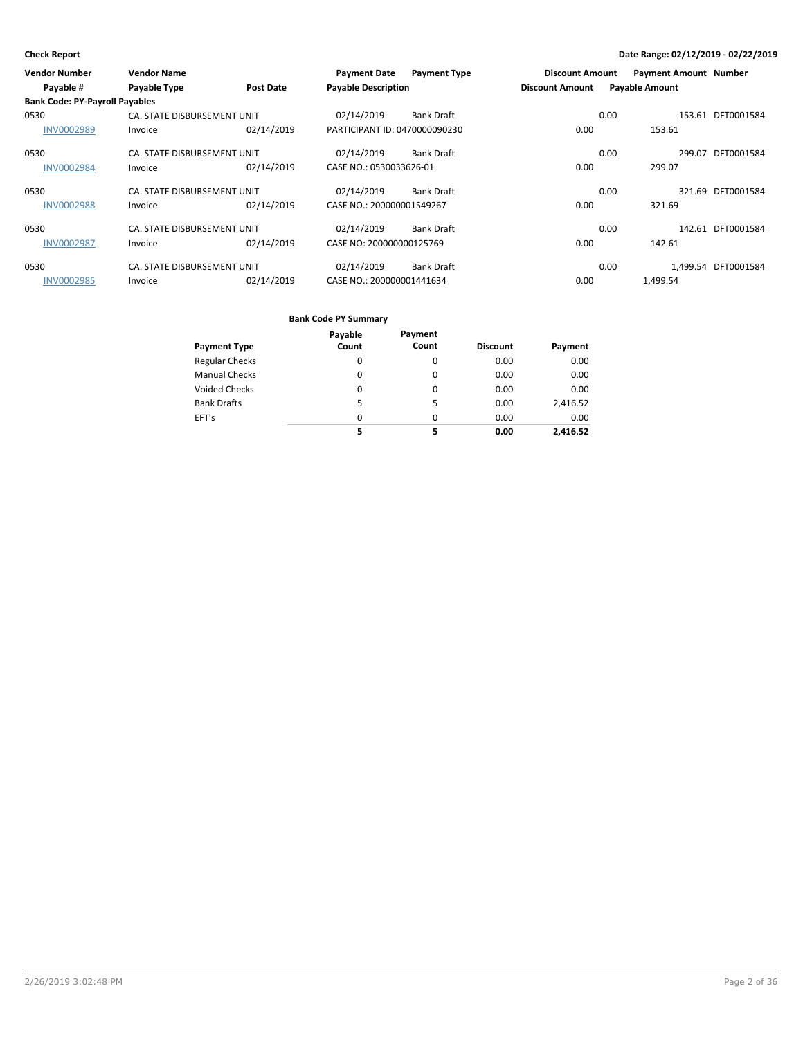| <b>Vendor Number</b>                  | <b>Vendor Name</b>          |                  | <b>Payment Date</b>           | <b>Payment Type</b> | <b>Discount Amount</b> |                       | <b>Payment Amount Number</b> |                     |
|---------------------------------------|-----------------------------|------------------|-------------------------------|---------------------|------------------------|-----------------------|------------------------------|---------------------|
| Payable #                             | Payable Type                | <b>Post Date</b> | <b>Payable Description</b>    |                     | <b>Discount Amount</b> | <b>Payable Amount</b> |                              |                     |
| <b>Bank Code: PY-Payroll Payables</b> |                             |                  |                               |                     |                        |                       |                              |                     |
| 0530                                  | CA. STATE DISBURSEMENT UNIT |                  | 02/14/2019                    | <b>Bank Draft</b>   |                        | 0.00                  |                              | 153.61 DFT0001584   |
| <b>INV0002989</b>                     | Invoice                     | 02/14/2019       | PARTICIPANT ID: 0470000090230 |                     | 0.00                   |                       | 153.61                       |                     |
| 0530                                  | CA. STATE DISBURSEMENT UNIT |                  | 02/14/2019                    | <b>Bank Draft</b>   |                        | 0.00                  | 299.07                       | DFT0001584          |
| <b>INV0002984</b>                     | Invoice                     | 02/14/2019       | CASE NO.: 0530033626-01       |                     | 0.00                   |                       | 299.07                       |                     |
| 0530                                  | CA. STATE DISBURSEMENT UNIT |                  | 02/14/2019                    | <b>Bank Draft</b>   |                        | 0.00                  | 321.69                       | DFT0001584          |
| <b>INV0002988</b>                     | Invoice                     | 02/14/2019       | CASE NO.: 200000001549267     |                     | 0.00                   |                       | 321.69                       |                     |
| 0530                                  | CA. STATE DISBURSEMENT UNIT |                  | 02/14/2019                    | <b>Bank Draft</b>   |                        | 0.00                  |                              | 142.61 DFT0001584   |
| <b>INV0002987</b>                     | Invoice                     | 02/14/2019       | CASE NO: 200000000125769      |                     | 0.00                   |                       | 142.61                       |                     |
| 0530                                  | CA. STATE DISBURSEMENT UNIT |                  | 02/14/2019                    | <b>Bank Draft</b>   |                        | 0.00                  |                              | 1,499.54 DFT0001584 |
| <b>INV0002985</b>                     | Invoice                     | 02/14/2019       | CASE NO.: 200000001441634     |                     | 0.00                   |                       | 1.499.54                     |                     |

|                       | Payable  | Payment  |                 |          |
|-----------------------|----------|----------|-----------------|----------|
| <b>Payment Type</b>   | Count    | Count    | <b>Discount</b> | Payment  |
| <b>Regular Checks</b> | 0        | $\Omega$ | 0.00            | 0.00     |
| <b>Manual Checks</b>  | 0        | 0        | 0.00            | 0.00     |
| <b>Voided Checks</b>  | 0        | $\Omega$ | 0.00            | 0.00     |
| <b>Bank Drafts</b>    | 5        | 5        | 0.00            | 2,416.52 |
| EFT's                 | $\Omega$ | $\Omega$ | 0.00            | 0.00     |
|                       | 5        | 5        | 0.00            | 2,416.52 |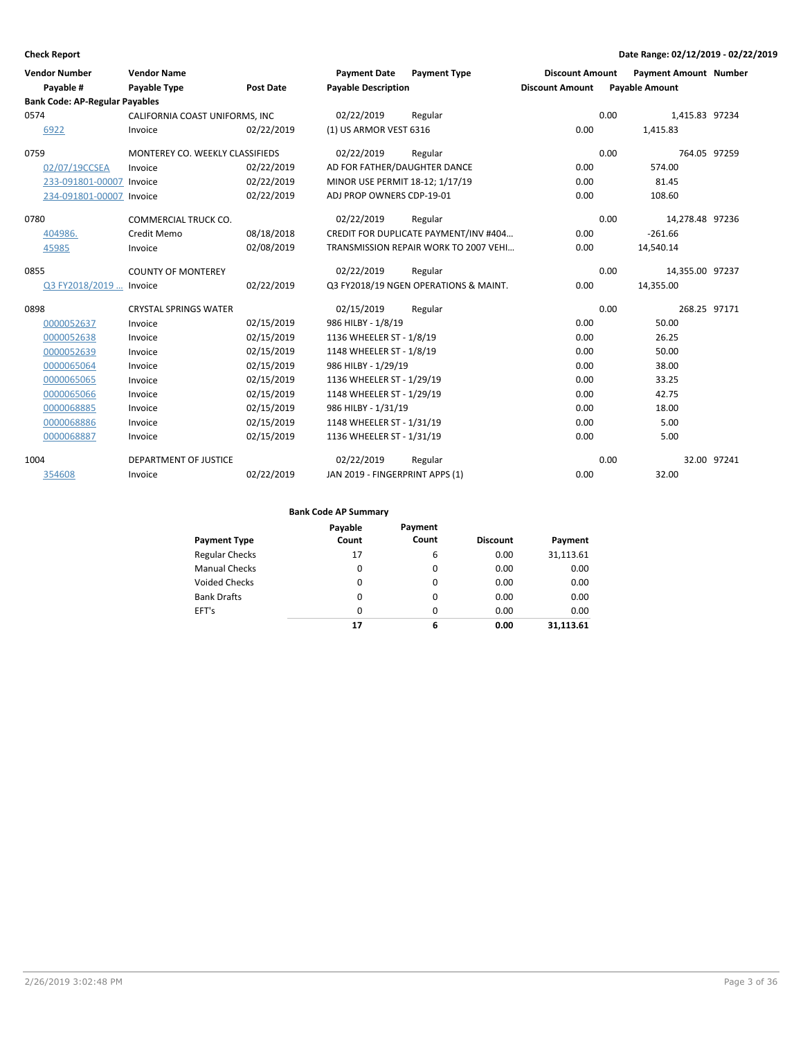| <b>Vendor Number</b>                  | <b>Vendor Name</b>              |                  | <b>Payment Date</b>             | <b>Payment Type</b>                   | <b>Discount Amount</b> | <b>Payment Amount Number</b> |             |
|---------------------------------------|---------------------------------|------------------|---------------------------------|---------------------------------------|------------------------|------------------------------|-------------|
| Payable #                             | Payable Type                    | <b>Post Date</b> | <b>Payable Description</b>      |                                       | <b>Discount Amount</b> | <b>Payable Amount</b>        |             |
| <b>Bank Code: AP-Regular Payables</b> |                                 |                  |                                 |                                       |                        |                              |             |
| 0574                                  | CALIFORNIA COAST UNIFORMS, INC  |                  | 02/22/2019                      | Regular                               | 0.00                   | 1,415.83 97234               |             |
| 6922                                  | Invoice                         | 02/22/2019       | (1) US ARMOR VEST 6316          |                                       | 0.00                   | 1,415.83                     |             |
| 0759                                  | MONTEREY CO. WEEKLY CLASSIFIEDS |                  | 02/22/2019                      | Regular                               | 0.00                   | 764.05 97259                 |             |
| 02/07/19CCSEA                         | Invoice                         | 02/22/2019       | AD FOR FATHER/DAUGHTER DANCE    |                                       | 0.00                   | 574.00                       |             |
| 233-091801-00007 Invoice              |                                 | 02/22/2019       | MINOR USE PERMIT 18-12; 1/17/19 |                                       | 0.00                   | 81.45                        |             |
| 234-091801-00007 Invoice              |                                 | 02/22/2019       | ADJ PROP OWNERS CDP-19-01       |                                       | 0.00                   | 108.60                       |             |
| 0780                                  | <b>COMMERCIAL TRUCK CO.</b>     |                  | 02/22/2019                      | Regular                               | 0.00                   | 14,278.48 97236              |             |
| 404986.                               | Credit Memo                     | 08/18/2018       |                                 | CREDIT FOR DUPLICATE PAYMENT/INV #404 | 0.00                   | $-261.66$                    |             |
| 45985                                 | Invoice                         | 02/08/2019       |                                 | TRANSMISSION REPAIR WORK TO 2007 VEHI | 0.00                   | 14,540.14                    |             |
| 0855                                  | <b>COUNTY OF MONTEREY</b>       |                  | 02/22/2019                      | Regular                               | 0.00                   | 14,355.00 97237              |             |
| Q3 FY2018/2019  Invoice               |                                 | 02/22/2019       |                                 | Q3 FY2018/19 NGEN OPERATIONS & MAINT. | 0.00                   | 14,355.00                    |             |
| 0898                                  | <b>CRYSTAL SPRINGS WATER</b>    |                  | 02/15/2019                      | Regular                               | 0.00                   | 268.25 97171                 |             |
| 0000052637                            | Invoice                         | 02/15/2019       | 986 HILBY - 1/8/19              |                                       | 0.00                   | 50.00                        |             |
| 0000052638                            | Invoice                         | 02/15/2019       | 1136 WHEELER ST - 1/8/19        |                                       | 0.00                   | 26.25                        |             |
| 0000052639                            | Invoice                         | 02/15/2019       | 1148 WHEELER ST - 1/8/19        |                                       | 0.00                   | 50.00                        |             |
| 0000065064                            | Invoice                         | 02/15/2019       | 986 HILBY - 1/29/19             |                                       | 0.00                   | 38.00                        |             |
| 0000065065                            | Invoice                         | 02/15/2019       | 1136 WHEELER ST - 1/29/19       |                                       | 0.00                   | 33.25                        |             |
| 0000065066                            | Invoice                         | 02/15/2019       | 1148 WHEELER ST - 1/29/19       |                                       | 0.00                   | 42.75                        |             |
| 0000068885                            | Invoice                         | 02/15/2019       | 986 HILBY - 1/31/19             |                                       | 0.00                   | 18.00                        |             |
| 0000068886                            | Invoice                         | 02/15/2019       | 1148 WHEELER ST - 1/31/19       |                                       | 0.00                   | 5.00                         |             |
| 0000068887                            | Invoice                         | 02/15/2019       | 1136 WHEELER ST - 1/31/19       |                                       | 0.00                   | 5.00                         |             |
| 1004                                  | DEPARTMENT OF JUSTICE           |                  | 02/22/2019                      | Regular                               | 0.00                   |                              | 32.00 97241 |
| 354608                                | Invoice                         | 02/22/2019       | JAN 2019 - FINGERPRINT APPS (1) |                                       | 0.00                   | 32.00                        |             |

| <b>Payment Type</b>   | Payable<br>Count | Payment<br>Count | <b>Discount</b> | Payment   |
|-----------------------|------------------|------------------|-----------------|-----------|
| <b>Regular Checks</b> | 17               | 6                | 0.00            | 31,113.61 |
| <b>Manual Checks</b>  | 0                | 0                | 0.00            | 0.00      |
| Voided Checks         | $\Omega$         | 0                | 0.00            | 0.00      |
| <b>Bank Drafts</b>    | $\Omega$         | 0                | 0.00            | 0.00      |
| EFT's                 | $\Omega$         | 0                | 0.00            | 0.00      |
|                       | 17               | 6                | 0.00            | 31.113.61 |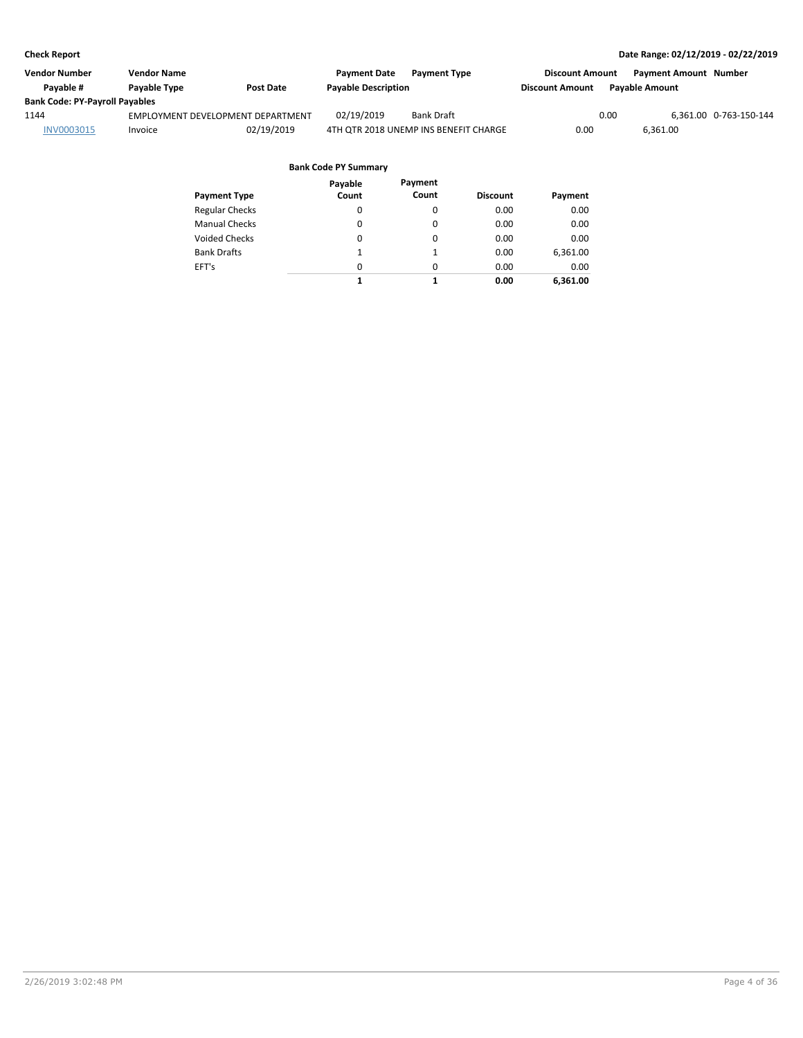| Vendor Number                         | Vendor Name  |                                   | <b>Payment Date</b>        | <b>Payment Type</b>                   | <b>Discount Amount</b> | <b>Payment Amount Number</b> |                        |
|---------------------------------------|--------------|-----------------------------------|----------------------------|---------------------------------------|------------------------|------------------------------|------------------------|
| Pavable #                             | Payable Type | <b>Post Date</b>                  | <b>Payable Description</b> |                                       | <b>Discount Amount</b> | <b>Payable Amount</b>        |                        |
| <b>Bank Code: PY-Payroll Payables</b> |              |                                   |                            |                                       |                        |                              |                        |
| 1144                                  |              | EMPLOYMENT DEVELOPMENT DEPARTMENT | 02/19/2019                 | <b>Bank Draft</b>                     |                        | 0.00                         | 6,361.00 0-763-150-144 |
| INV0003015                            | Invoice      | 02/19/2019                        |                            | 4TH OTR 2018 UNEMP INS BENEFIT CHARGE | 0.00                   | 6.361.00                     |                        |
|                                       |              |                                   |                            |                                       |                        |                              |                        |

|                       | Payable  | Payment  |                 |          |
|-----------------------|----------|----------|-----------------|----------|
| <b>Payment Type</b>   | Count    | Count    | <b>Discount</b> | Payment  |
| <b>Regular Checks</b> | 0        | 0        | 0.00            | 0.00     |
| <b>Manual Checks</b>  | 0        | 0        | 0.00            | 0.00     |
| <b>Voided Checks</b>  | 0        | 0        | 0.00            | 0.00     |
| <b>Bank Drafts</b>    | 1        | 1        | 0.00            | 6,361.00 |
| EFT's                 | $\Omega$ | $\Omega$ | 0.00            | 0.00     |
|                       | 1        |          | 0.00            | 6,361.00 |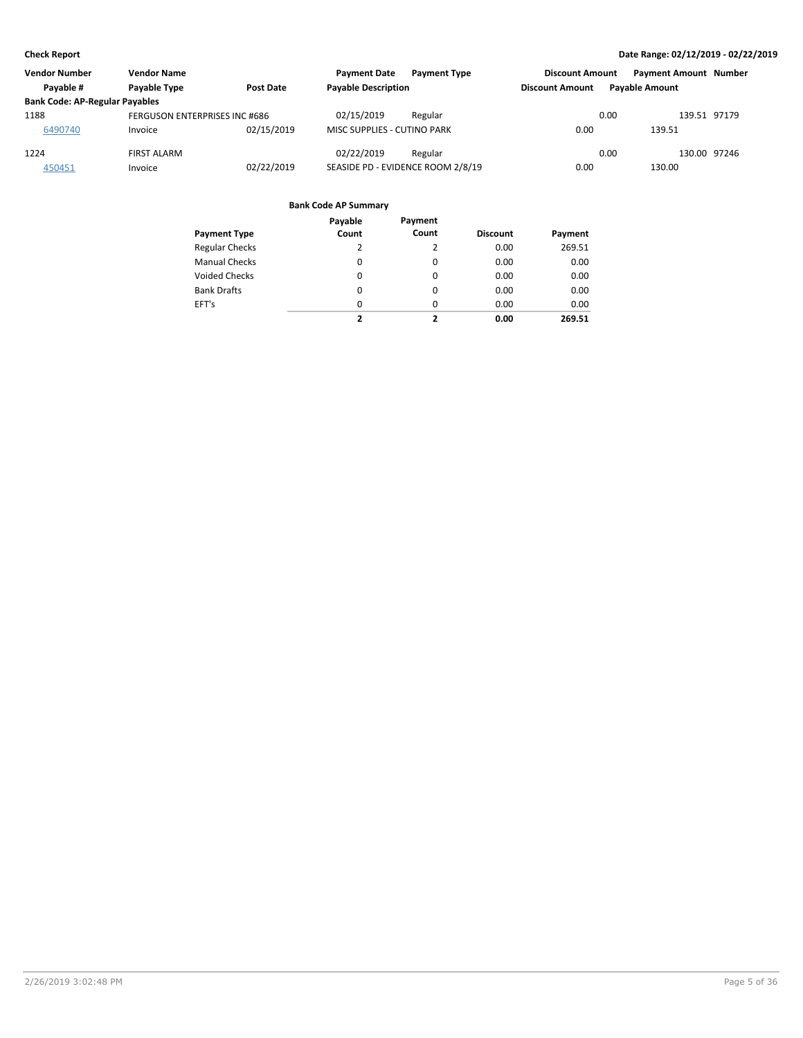| <b>Vendor Number</b>                  | <b>Vendor Name</b>            |                  | <b>Payment Date</b><br><b>Payment Type</b> | <b>Discount Amount</b> | <b>Payment Amount Number</b> |  |
|---------------------------------------|-------------------------------|------------------|--------------------------------------------|------------------------|------------------------------|--|
| Payable #                             | Payable Type                  | <b>Post Date</b> | <b>Payable Description</b>                 | <b>Discount Amount</b> | <b>Pavable Amount</b>        |  |
| <b>Bank Code: AP-Regular Payables</b> |                               |                  |                                            |                        |                              |  |
| 1188                                  | FERGUSON ENTERPRISES INC #686 |                  | 02/15/2019<br>Regular                      | 0.00                   | 139.51 97179                 |  |
| 6490740                               | Invoice                       | 02/15/2019       | <b>MISC SUPPLIES - CUTINO PARK</b>         | 0.00                   | 139.51                       |  |
| 1224                                  | <b>FIRST ALARM</b>            |                  | 02/22/2019<br>Regular                      | 0.00                   | 130.00 97246                 |  |
| 450451                                | Invoice                       | 02/22/2019       | SEASIDE PD - EVIDENCE ROOM 2/8/19          | 0.00                   | 130.00                       |  |

|                       | Payable  | Payment  |                 |         |
|-----------------------|----------|----------|-----------------|---------|
| <b>Payment Type</b>   | Count    | Count    | <b>Discount</b> | Payment |
| <b>Regular Checks</b> | 2        | 2        | 0.00            | 269.51  |
| <b>Manual Checks</b>  | $\Omega$ | 0        | 0.00            | 0.00    |
| <b>Voided Checks</b>  | $\Omega$ | 0        | 0.00            | 0.00    |
| <b>Bank Drafts</b>    | $\Omega$ | $\Omega$ | 0.00            | 0.00    |
| EFT's                 | $\Omega$ | $\Omega$ | 0.00            | 0.00    |
|                       | 2        | ,        | 0.00            | 269.51  |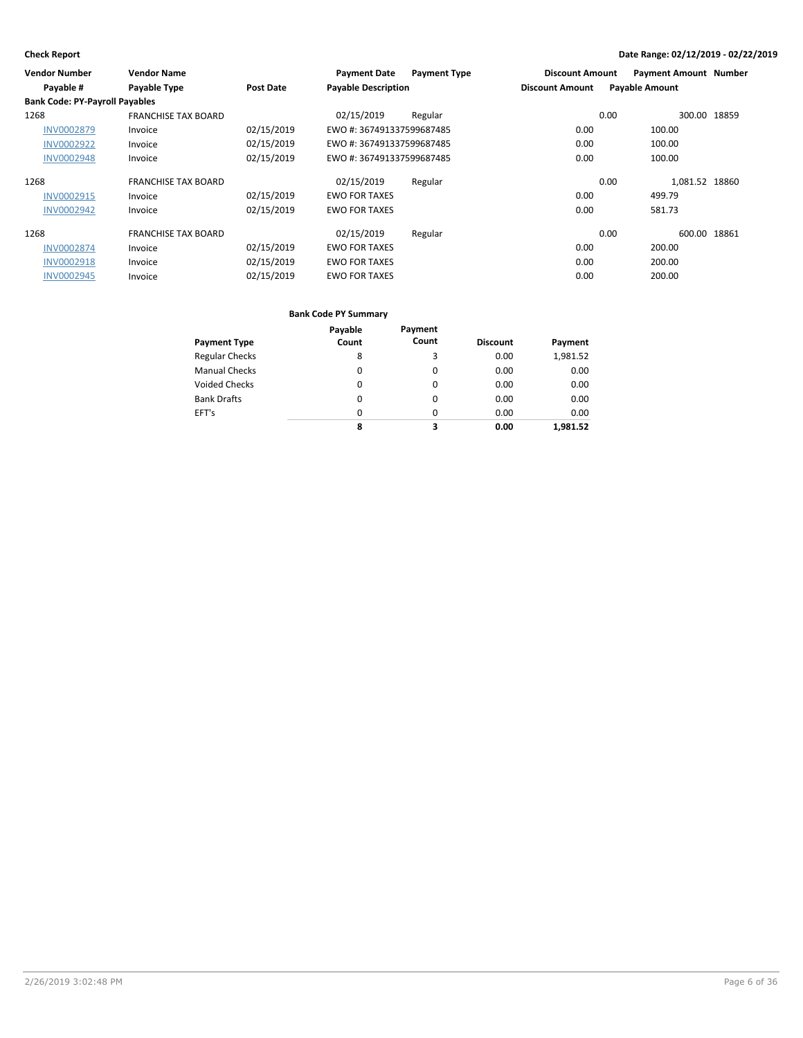| <b>Vendor Number</b>                  | <b>Vendor Name</b>         |            | <b>Payment Date</b>        | <b>Payment Type</b> | <b>Discount Amount</b> | <b>Payment Amount Number</b> |  |
|---------------------------------------|----------------------------|------------|----------------------------|---------------------|------------------------|------------------------------|--|
| Payable #                             | Payable Type               | Post Date  | <b>Payable Description</b> |                     | <b>Discount Amount</b> | <b>Payable Amount</b>        |  |
| <b>Bank Code: PY-Payroll Payables</b> |                            |            |                            |                     |                        |                              |  |
| 1268                                  | <b>FRANCHISE TAX BOARD</b> |            | 02/15/2019                 | Regular             |                        | 0.00<br>300.00 18859         |  |
| <b>INV0002879</b>                     | Invoice                    | 02/15/2019 | EWO #: 367491337599687485  |                     | 0.00                   | 100.00                       |  |
| <b>INV0002922</b>                     | Invoice                    | 02/15/2019 | EWO #: 367491337599687485  |                     | 0.00                   | 100.00                       |  |
| <b>INV0002948</b>                     | Invoice                    | 02/15/2019 | EWO #: 367491337599687485  |                     | 0.00                   | 100.00                       |  |
| 1268                                  | <b>FRANCHISE TAX BOARD</b> |            | 02/15/2019                 | Regular             |                        | 1,081.52 18860<br>0.00       |  |
| <b>INV0002915</b>                     | Invoice                    | 02/15/2019 | <b>EWO FOR TAXES</b>       |                     | 0.00                   | 499.79                       |  |
| <b>INV0002942</b>                     | Invoice                    | 02/15/2019 | <b>EWO FOR TAXES</b>       |                     | 0.00                   | 581.73                       |  |
| 1268                                  | <b>FRANCHISE TAX BOARD</b> |            | 02/15/2019                 | Regular             |                        | 600.00 18861<br>0.00         |  |
| <b>INV0002874</b>                     | Invoice                    | 02/15/2019 | <b>EWO FOR TAXES</b>       |                     | 0.00                   | 200.00                       |  |
| <b>INV0002918</b>                     | Invoice                    | 02/15/2019 | <b>EWO FOR TAXES</b>       |                     | 0.00                   | 200.00                       |  |
| <b>INV0002945</b>                     | Invoice                    | 02/15/2019 | <b>EWO FOR TAXES</b>       |                     | 0.00                   | 200.00                       |  |

|                       | Payable  | Payment  |                 |          |
|-----------------------|----------|----------|-----------------|----------|
| <b>Payment Type</b>   | Count    | Count    | <b>Discount</b> | Payment  |
| <b>Regular Checks</b> | 8        | 3        | 0.00            | 1,981.52 |
| <b>Manual Checks</b>  | 0        | $\Omega$ | 0.00            | 0.00     |
| <b>Voided Checks</b>  | $\Omega$ | $\Omega$ | 0.00            | 0.00     |
| <b>Bank Drafts</b>    | 0        | $\Omega$ | 0.00            | 0.00     |
| EFT's                 | $\Omega$ | $\Omega$ | 0.00            | 0.00     |
|                       | 8        | 3        | 0.00            | 1.981.52 |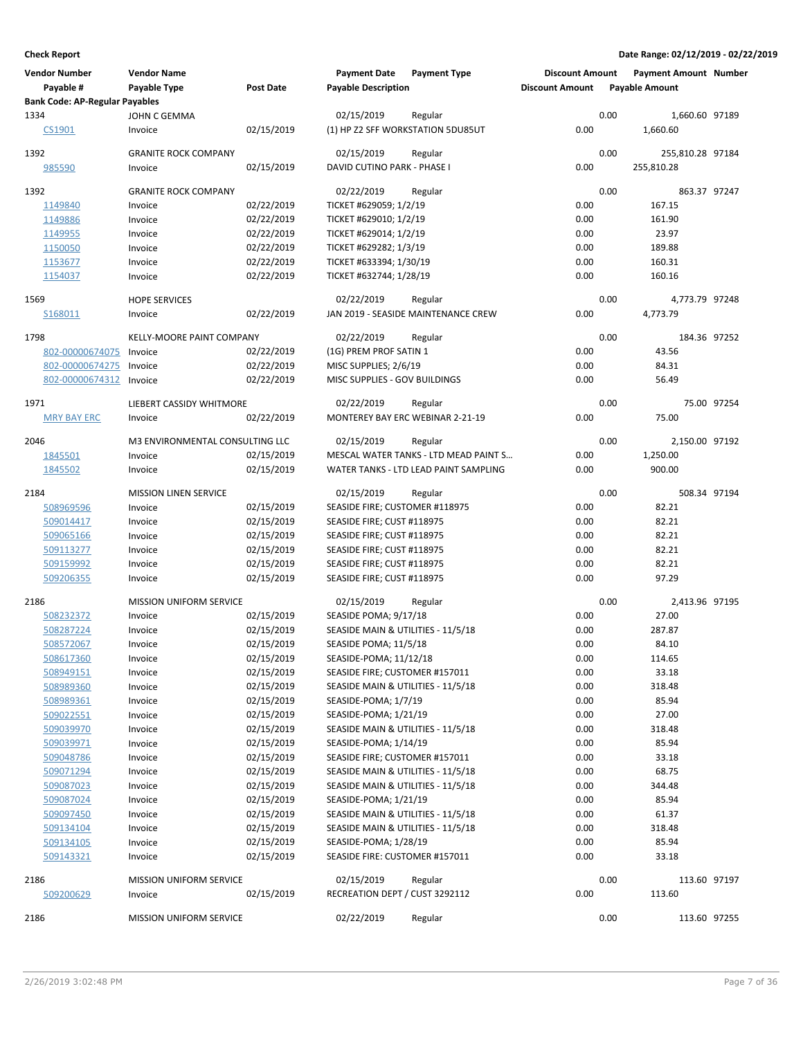| <b>Vendor Number</b><br>Payable #     | <b>Vendor Name</b><br><b>Payable Type</b> | <b>Post Date</b> | <b>Payment Date</b><br><b>Payable Description</b> | <b>Payment Type</b>                   | <b>Discount Amount</b><br><b>Discount Amount</b> |      | <b>Payment Amount Number</b><br><b>Payable Amount</b> |             |
|---------------------------------------|-------------------------------------------|------------------|---------------------------------------------------|---------------------------------------|--------------------------------------------------|------|-------------------------------------------------------|-------------|
| <b>Bank Code: AP-Regular Payables</b> |                                           |                  |                                                   |                                       |                                                  |      |                                                       |             |
| 1334<br>CS1901                        | JOHN C GEMMA<br>Invoice                   | 02/15/2019       | 02/15/2019<br>(1) HP Z2 SFF WORKSTATION 5DU85UT   | Regular                               | 0.00                                             | 0.00 | 1,660.60 97189<br>1,660.60                            |             |
| 1392                                  | <b>GRANITE ROCK COMPANY</b>               |                  | 02/15/2019                                        | Regular                               |                                                  | 0.00 | 255,810.28 97184                                      |             |
| 985590                                | Invoice                                   | 02/15/2019       | DAVID CUTINO PARK - PHASE I                       |                                       | 0.00                                             |      | 255,810.28                                            |             |
| 1392                                  | <b>GRANITE ROCK COMPANY</b>               |                  | 02/22/2019                                        | Regular                               |                                                  | 0.00 | 863.37 97247                                          |             |
| 1149840                               | Invoice                                   | 02/22/2019       | TICKET #629059; 1/2/19                            |                                       | 0.00                                             |      | 167.15                                                |             |
| 1149886                               | Invoice                                   | 02/22/2019       | TICKET #629010; 1/2/19                            |                                       | 0.00                                             |      | 161.90                                                |             |
| 1149955                               | Invoice                                   | 02/22/2019       | TICKET #629014; 1/2/19                            |                                       | 0.00                                             |      | 23.97                                                 |             |
| 1150050                               | Invoice                                   | 02/22/2019       | TICKET #629282; 1/3/19                            |                                       | 0.00                                             |      | 189.88                                                |             |
| 1153677                               | Invoice                                   | 02/22/2019       | TICKET #633394; 1/30/19                           |                                       | 0.00                                             |      | 160.31                                                |             |
| 1154037                               | Invoice                                   | 02/22/2019       | TICKET #632744; 1/28/19                           |                                       | 0.00                                             |      | 160.16                                                |             |
| 1569                                  | <b>HOPE SERVICES</b>                      |                  | 02/22/2019                                        | Regular                               |                                                  | 0.00 | 4,773.79 97248                                        |             |
| S168011                               | Invoice                                   | 02/22/2019       |                                                   | JAN 2019 - SEASIDE MAINTENANCE CREW   | 0.00                                             |      | 4,773.79                                              |             |
| 1798                                  | KELLY-MOORE PAINT COMPANY                 |                  | 02/22/2019                                        | Regular                               |                                                  | 0.00 | 184.36 97252                                          |             |
| 802-00000674075                       | Invoice                                   | 02/22/2019       | (1G) PREM PROF SATIN 1                            |                                       | 0.00                                             |      | 43.56                                                 |             |
| 802-00000674275                       | Invoice                                   | 02/22/2019       | MISC SUPPLIES; 2/6/19                             |                                       | 0.00                                             |      | 84.31                                                 |             |
| 802-00000674312                       | Invoice                                   | 02/22/2019       | MISC SUPPLIES - GOV BUILDINGS                     |                                       | 0.00                                             |      | 56.49                                                 |             |
| 1971                                  | LIEBERT CASSIDY WHITMORE                  |                  | 02/22/2019                                        | Regular                               |                                                  | 0.00 |                                                       | 75.00 97254 |
| <b>MRY BAY ERC</b>                    | Invoice                                   | 02/22/2019       | MONTEREY BAY ERC WEBINAR 2-21-19                  |                                       | 0.00                                             |      | 75.00                                                 |             |
| 2046                                  | M3 ENVIRONMENTAL CONSULTING LLC           |                  | 02/15/2019                                        | Regular                               |                                                  | 0.00 | 2,150.00 97192                                        |             |
| 1845501                               | Invoice                                   | 02/15/2019       |                                                   | MESCAL WATER TANKS - LTD MEAD PAINT S | 0.00                                             |      | 1,250.00                                              |             |
| 1845502                               | Invoice                                   | 02/15/2019       |                                                   | WATER TANKS - LTD LEAD PAINT SAMPLING | 0.00                                             |      | 900.00                                                |             |
| 2184                                  | <b>MISSION LINEN SERVICE</b>              |                  | 02/15/2019                                        | Regular                               |                                                  | 0.00 | 508.34 97194                                          |             |
| 508969596                             | Invoice                                   | 02/15/2019       | SEASIDE FIRE; CUSTOMER #118975                    |                                       | 0.00                                             |      | 82.21                                                 |             |
| 509014417                             | Invoice                                   | 02/15/2019       | SEASIDE FIRE; CUST #118975                        |                                       | 0.00                                             |      | 82.21                                                 |             |
| 509065166                             | Invoice                                   | 02/15/2019       | SEASIDE FIRE; CUST #118975                        |                                       | 0.00                                             |      | 82.21                                                 |             |
| 509113277                             | Invoice                                   | 02/15/2019       | SEASIDE FIRE; CUST #118975                        |                                       | 0.00                                             |      | 82.21                                                 |             |
| 509159992                             | Invoice                                   | 02/15/2019       | SEASIDE FIRE; CUST #118975                        |                                       | 0.00                                             |      | 82.21                                                 |             |
| 509206355                             | Invoice                                   | 02/15/2019       | SEASIDE FIRE; CUST #118975                        |                                       | 0.00                                             |      | 97.29                                                 |             |
| 2186                                  | <b>MISSION UNIFORM SERVICE</b>            |                  | 02/15/2019                                        | Regular                               |                                                  | 0.00 | 2,413.96 97195                                        |             |
| 508232372                             | Invoice                                   | 02/15/2019       | SEASIDE POMA; 9/17/18                             |                                       | 0.00                                             |      | 27.00                                                 |             |
| 508287224                             | Invoice                                   | 02/15/2019       | SEASIDE MAIN & UTILITIES - 11/5/18                |                                       | 0.00                                             |      | 287.87                                                |             |
| 508572067                             | Invoice                                   | 02/15/2019       | SEASIDE POMA; 11/5/18                             |                                       | 0.00                                             |      | 84.10                                                 |             |
| 508617360                             | Invoice                                   | 02/15/2019       | SEASIDE-POMA; 11/12/18                            |                                       | 0.00                                             |      | 114.65                                                |             |
| 508949151                             | Invoice                                   | 02/15/2019       | SEASIDE FIRE; CUSTOMER #157011                    |                                       | 0.00                                             |      | 33.18                                                 |             |
| 508989360                             | Invoice                                   | 02/15/2019       | SEASIDE MAIN & UTILITIES - 11/5/18                |                                       | 0.00                                             |      | 318.48                                                |             |
| 508989361                             | Invoice                                   | 02/15/2019       | SEASIDE-POMA; 1/7/19                              |                                       | 0.00                                             |      | 85.94                                                 |             |
| 509022551                             | Invoice                                   | 02/15/2019       | SEASIDE-POMA; 1/21/19                             |                                       | 0.00                                             |      | 27.00                                                 |             |
| 509039970                             | Invoice                                   | 02/15/2019       | SEASIDE MAIN & UTILITIES - 11/5/18                |                                       | 0.00                                             |      | 318.48                                                |             |
| 509039971                             | Invoice                                   | 02/15/2019       | SEASIDE-POMA; 1/14/19                             |                                       | 0.00                                             |      | 85.94                                                 |             |
| 509048786                             | Invoice                                   | 02/15/2019       | SEASIDE FIRE; CUSTOMER #157011                    |                                       | 0.00                                             |      | 33.18                                                 |             |
| 509071294                             | Invoice                                   | 02/15/2019       | SEASIDE MAIN & UTILITIES - 11/5/18                |                                       | 0.00                                             |      | 68.75                                                 |             |
| 509087023                             | Invoice                                   | 02/15/2019       | SEASIDE MAIN & UTILITIES - 11/5/18                |                                       | 0.00                                             |      | 344.48                                                |             |
|                                       |                                           |                  |                                                   |                                       | 0.00                                             |      |                                                       |             |
| 509087024                             | Invoice                                   | 02/15/2019       | SEASIDE-POMA; 1/21/19                             |                                       |                                                  |      | 85.94                                                 |             |
| 509097450                             | Invoice                                   | 02/15/2019       | SEASIDE MAIN & UTILITIES - 11/5/18                |                                       | 0.00                                             |      | 61.37                                                 |             |
| 509134104                             | Invoice                                   | 02/15/2019       | SEASIDE MAIN & UTILITIES - 11/5/18                |                                       | 0.00                                             |      | 318.48                                                |             |
| 509134105                             | Invoice                                   | 02/15/2019       | SEASIDE-POMA; 1/28/19                             |                                       | 0.00                                             |      | 85.94                                                 |             |
| 509143321                             | Invoice                                   | 02/15/2019       | SEASIDE FIRE: CUSTOMER #157011                    |                                       | 0.00                                             |      | 33.18                                                 |             |
| 2186                                  | MISSION UNIFORM SERVICE                   |                  | 02/15/2019                                        | Regular                               |                                                  | 0.00 | 113.60 97197                                          |             |
| 509200629                             | Invoice                                   | 02/15/2019       | RECREATION DEPT / CUST 3292112                    |                                       | 0.00                                             |      | 113.60                                                |             |
| 2186                                  | <b>MISSION UNIFORM SERVICE</b>            |                  | 02/22/2019                                        | Regular                               |                                                  | 0.00 | 113.60 97255                                          |             |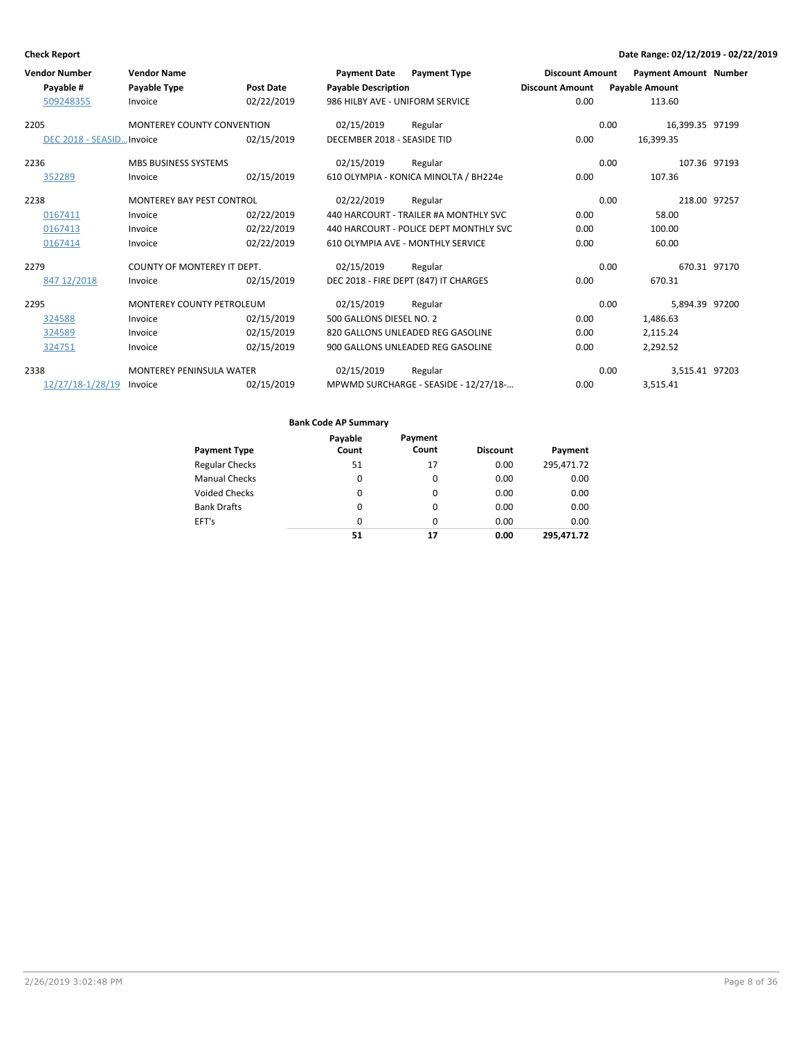| <b>Vendor Number</b><br>Payable #<br>509248355 | <b>Vendor Name</b><br>Payable Type<br>Invoice                     | Post Date<br>02/22/2019                | <b>Payment Date</b><br><b>Payable Description</b><br>986 HILBY AVE - UNIFORM SERVICE | <b>Payment Type</b>                                                                                                             | <b>Discount Amount</b><br><b>Discount Amount</b><br>0.00 | <b>Payable Amount</b>                    | <b>Payment Amount Number</b><br>113.60   |  |
|------------------------------------------------|-------------------------------------------------------------------|----------------------------------------|--------------------------------------------------------------------------------------|---------------------------------------------------------------------------------------------------------------------------------|----------------------------------------------------------|------------------------------------------|------------------------------------------|--|
| 2205<br>DEC 2018 - SEASID Invoice              | <b>MONTEREY COUNTY CONVENTION</b>                                 | 02/15/2019                             | 02/15/2019<br>DECEMBER 2018 - SEASIDE TID                                            | Regular                                                                                                                         | 0.00                                                     | 0.00<br>16,399.35                        | 16,399.35 97199                          |  |
| 2236<br>352289                                 | <b>MBS BUSINESS SYSTEMS</b><br>Invoice                            | 02/15/2019                             | 02/15/2019                                                                           | Regular<br>610 OLYMPIA - KONICA MINOLTA / BH224e                                                                                | 0.00                                                     | 0.00                                     | 107.36 97193<br>107.36                   |  |
| 2238<br>0167411<br>0167413<br>0167414          | <b>MONTEREY BAY PEST CONTROL</b><br>Invoice<br>Invoice<br>Invoice | 02/22/2019<br>02/22/2019<br>02/22/2019 | 02/22/2019                                                                           | Regular<br>440 HARCOURT - TRAILER #A MONTHLY SVC<br>440 HARCOURT - POLICE DEPT MONTHLY SVC<br>610 OLYMPIA AVE - MONTHLY SERVICE | 0.00<br>0.00<br>0.00                                     | 0.00                                     | 218.00 97257<br>58.00<br>100.00<br>60.00 |  |
| 2279<br>847 12/2018                            | COUNTY OF MONTEREY IT DEPT.<br>Invoice                            | 02/15/2019                             | 02/15/2019                                                                           | Regular<br>DEC 2018 - FIRE DEPT (847) IT CHARGES                                                                                | 0.00                                                     | 0.00                                     | 670.31 97170<br>670.31                   |  |
| 2295<br>324588<br>324589<br>324751             | <b>MONTEREY COUNTY PETROLEUM</b><br>Invoice<br>Invoice<br>Invoice | 02/15/2019<br>02/15/2019<br>02/15/2019 | 02/15/2019<br>500 GALLONS DIESEL NO. 2                                               | Regular<br>820 GALLONS UNLEADED REG GASOLINE<br>900 GALLONS UNLEADED REG GASOLINE                                               | 0.00<br>0.00<br>0.00                                     | 0.00<br>1,486.63<br>2,115.24<br>2,292.52 | 5,894.39 97200                           |  |
| 2338<br>12/27/18-1/28/19                       | <b>MONTEREY PENINSULA WATER</b><br>Invoice                        | 02/15/2019                             | 02/15/2019                                                                           | Regular<br>MPWMD SURCHARGE - SEASIDE - 12/27/18-                                                                                | 0.00                                                     | 0.00<br>3,515.41                         | 3,515.41 97203                           |  |

|                       | Payable | Payment<br>Count |                 |            |
|-----------------------|---------|------------------|-----------------|------------|
| <b>Payment Type</b>   | Count   |                  | <b>Discount</b> | Payment    |
| <b>Regular Checks</b> | 51      | 17               | 0.00            | 295,471.72 |
| <b>Manual Checks</b>  | 0       | 0                | 0.00            | 0.00       |
| <b>Voided Checks</b>  | 0       | 0                | 0.00            | 0.00       |
| <b>Bank Drafts</b>    | 0       | $\Omega$         | 0.00            | 0.00       |
| EFT's                 | 0       | $\Omega$         | 0.00            | 0.00       |
|                       | 51      | 17               | 0.00            | 295.471.72 |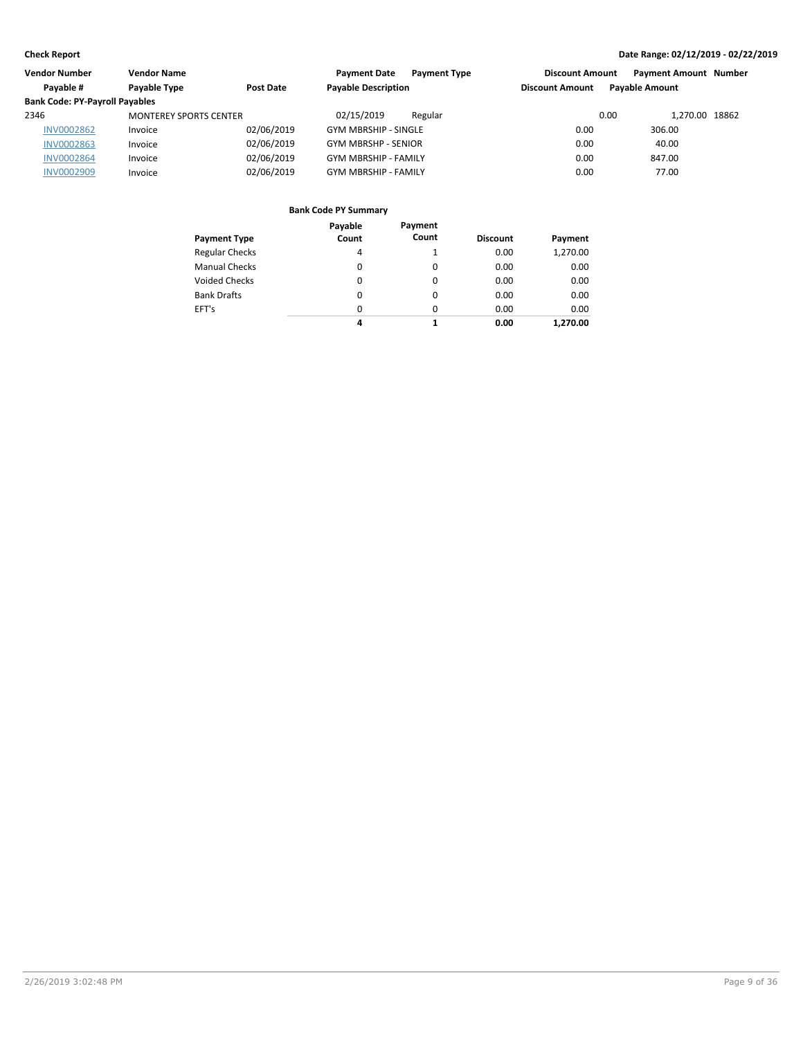| Vendor Number                         | <b>Vendor Name</b>            |            | <b>Payment Date</b><br><b>Payment Type</b> | <b>Discount Amount</b> | <b>Payment Amount Number</b> |  |
|---------------------------------------|-------------------------------|------------|--------------------------------------------|------------------------|------------------------------|--|
| Pavable #                             | Payable Type                  | Post Date  | <b>Payable Description</b>                 | <b>Discount Amount</b> | <b>Pavable Amount</b>        |  |
| <b>Bank Code: PY-Payroll Payables</b> |                               |            |                                            |                        |                              |  |
| 2346                                  | <b>MONTEREY SPORTS CENTER</b> |            | 02/15/2019<br>Regular                      | 0.00                   | 1.270.00 18862               |  |
| <b>INV0002862</b>                     | Invoice                       | 02/06/2019 | <b>GYM MBRSHIP - SINGLE</b>                | 0.00                   | 306.00                       |  |
| <b>INV0002863</b>                     | Invoice                       | 02/06/2019 | <b>GYM MBRSHP - SENIOR</b>                 | 0.00                   | 40.00                        |  |
| <b>INV0002864</b>                     | Invoice                       | 02/06/2019 | <b>GYM MBRSHIP - FAMILY</b>                | 0.00                   | 847.00                       |  |
| <b>INV0002909</b>                     | Invoice                       | 02/06/2019 | <b>GYM MBRSHIP - FAMILY</b>                | 0.00                   | 77.00                        |  |

| <b>Payment Type</b>   | Payable<br>Count | Payment<br>Count | <b>Discount</b> | Payment  |
|-----------------------|------------------|------------------|-----------------|----------|
| <b>Regular Checks</b> | 4                |                  | 0.00            | 1,270.00 |
| <b>Manual Checks</b>  | 0                | 0                | 0.00            | 0.00     |
| <b>Voided Checks</b>  | 0                | 0                | 0.00            | 0.00     |
| <b>Bank Drafts</b>    | 0                | 0                | 0.00            | 0.00     |
| EFT's                 | $\Omega$         | 0                | 0.00            | 0.00     |
|                       | 4                | 1                | 0.00            | 1.270.00 |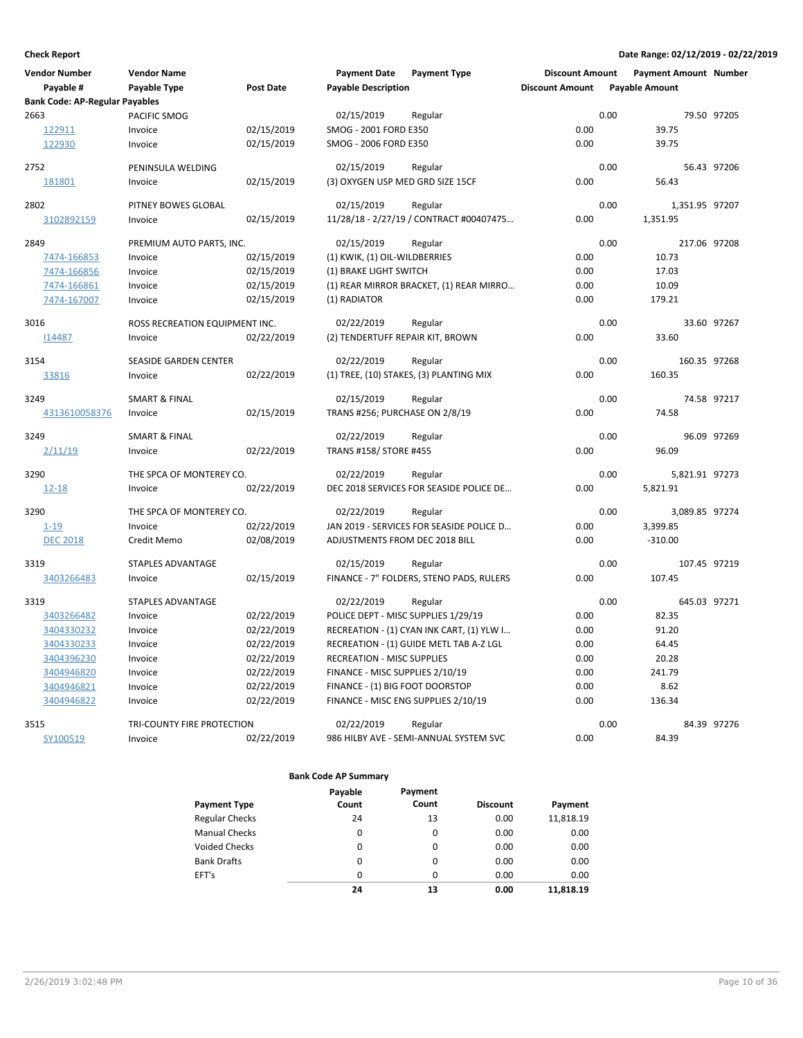| Payable #<br>Payable Type<br><b>Post Date</b><br><b>Payable Description</b><br><b>Discount Amount</b><br><b>Payable Amount</b><br><b>Bank Code: AP-Regular Payables</b><br>0.00<br>2663<br>PACIFIC SMOG<br>02/15/2019<br>79.50 97205<br>Regular<br>0.00<br>122911<br>02/15/2019<br>SMOG - 2001 FORD E350<br>39.75<br>Invoice<br>122930<br>02/15/2019<br>SMOG - 2006 FORD E350<br>0.00<br>39.75<br>Invoice<br>2752<br>PENINSULA WELDING<br>02/15/2019<br>0.00<br>56.43 97206<br>Regular<br>181801<br>02/15/2019<br>(3) OXYGEN USP MED GRD SIZE 15CF<br>0.00<br>56.43<br>Invoice<br>2802<br>PITNEY BOWES GLOBAL<br>0.00<br>02/15/2019<br>Regular<br>1,351.95 97207<br>0.00<br>02/15/2019<br>11/28/18 - 2/27/19 / CONTRACT #00407475<br>1,351.95<br>3102892159<br>Invoice<br>2849<br>02/15/2019<br>0.00<br>217.06 97208<br>PREMIUM AUTO PARTS, INC.<br>Regular<br>0.00<br>7474-166853<br>02/15/2019<br>(1) KWIK, (1) OIL-WILDBERRIES<br>10.73<br>Invoice<br>7474-166856<br>02/15/2019<br>(1) BRAKE LIGHT SWITCH<br>0.00<br>17.03<br>Invoice<br>02/15/2019<br>(1) REAR MIRROR BRACKET, (1) REAR MIRRO<br>0.00<br>10.09<br>7474-166861<br>Invoice<br>7474-167007<br>Invoice<br>02/15/2019<br>(1) RADIATOR<br>0.00<br>179.21<br>3016<br>ROSS RECREATION EQUIPMENT INC.<br>0.00<br>33.60 97267<br>02/22/2019<br>Regular<br>02/22/2019<br>(2) TENDERTUFF REPAIR KIT, BROWN<br>0.00<br>33.60<br>114487<br>Invoice<br>0.00<br>160.35 97268<br>3154<br>02/22/2019<br>SEASIDE GARDEN CENTER<br>Regular<br>0.00<br>160.35<br>33816<br>Invoice<br>02/22/2019<br>(1) TREE, (10) STAKES, (3) PLANTING MIX<br>0.00<br>3249<br><b>SMART &amp; FINAL</b><br>02/15/2019<br>74.58 97217<br>Regular<br>TRANS #256; PURCHASE ON 2/8/19<br>0.00<br>74.58<br>4313610058376<br>02/15/2019<br>Invoice<br>0.00<br>96.09 97269<br>3249<br><b>SMART &amp; FINAL</b><br>02/22/2019<br>Regular<br>2/11/19<br>02/22/2019<br>TRANS #158/ STORE #455<br>0.00<br>96.09<br>Invoice<br>THE SPCA OF MONTEREY CO.<br>0.00<br>3290<br>02/22/2019<br>5,821.91 97273<br>Regular<br>02/22/2019<br>DEC 2018 SERVICES FOR SEASIDE POLICE DE<br>0.00<br>$12 - 18$<br>5,821.91<br>Invoice<br>3290<br>THE SPCA OF MONTEREY CO.<br>02/22/2019<br>0.00<br>3.089.85 97274<br>Regular<br>02/22/2019<br>JAN 2019 - SERVICES FOR SEASIDE POLICE D<br>0.00<br>3,399.85<br>$1 - 19$<br>Invoice<br>ADJUSTMENTS FROM DEC 2018 BILL<br>0.00<br><b>DEC 2018</b><br>Credit Memo<br>02/08/2019<br>$-310.00$<br>STAPLES ADVANTAGE<br>0.00<br>107.45 97219<br>3319<br>02/15/2019<br>Regular<br>02/15/2019<br>FINANCE - 7" FOLDERS, STENO PADS, RULERS<br>0.00<br>107.45<br>3403266483<br>Invoice<br>3319<br><b>STAPLES ADVANTAGE</b><br>0.00<br>645.03 97271<br>02/22/2019<br>Regular<br>3403266482<br>02/22/2019<br>POLICE DEPT - MISC SUPPLIES 1/29/19<br>0.00<br>82.35<br>Invoice<br>02/22/2019<br>0.00<br>91.20<br>3404330232<br>Invoice<br>RECREATION - (1) CYAN INK CART, (1) YLW I<br>02/22/2019<br>RECREATION - (1) GUIDE METL TAB A-Z LGL<br>0.00<br>64.45<br>3404330233<br>Invoice<br>3404396230<br>Invoice<br>02/22/2019<br><b>RECREATION - MISC SUPPLIES</b><br>0.00<br>20.28<br>02/22/2019<br>0.00<br>241.79<br>3404946820<br>Invoice<br>FINANCE - MISC SUPPLIES 2/10/19<br>02/22/2019<br>FINANCE - (1) BIG FOOT DOORSTOP<br>0.00<br>8.62<br>3404946821<br>Invoice<br>3404946822<br>02/22/2019<br>FINANCE - MISC ENG SUPPLIES 2/10/19<br>0.00<br>136.34<br>Invoice | <b>Vendor Number</b> | <b>Vendor Name</b> | <b>Payment Date</b> | <b>Payment Type</b> | <b>Discount Amount</b> | <b>Payment Amount Number</b> |  |
|----------------------------------------------------------------------------------------------------------------------------------------------------------------------------------------------------------------------------------------------------------------------------------------------------------------------------------------------------------------------------------------------------------------------------------------------------------------------------------------------------------------------------------------------------------------------------------------------------------------------------------------------------------------------------------------------------------------------------------------------------------------------------------------------------------------------------------------------------------------------------------------------------------------------------------------------------------------------------------------------------------------------------------------------------------------------------------------------------------------------------------------------------------------------------------------------------------------------------------------------------------------------------------------------------------------------------------------------------------------------------------------------------------------------------------------------------------------------------------------------------------------------------------------------------------------------------------------------------------------------------------------------------------------------------------------------------------------------------------------------------------------------------------------------------------------------------------------------------------------------------------------------------------------------------------------------------------------------------------------------------------------------------------------------------------------------------------------------------------------------------------------------------------------------------------------------------------------------------------------------------------------------------------------------------------------------------------------------------------------------------------------------------------------------------------------------------------------------------------------------------------------------------------------------------------------------------------------------------------------------------------------------------------------------------------------------------------------------------------------------------------------------------------------------------------------------------------------------------------------------------------------------------------------------------------------------------------------------------------------------------------------------------------------------------------------------------------------------------------------------------------------------------------------------------------------------------------------------------------------------------------------------------------------------------------------------------------------------------------------------------------------------------------------|----------------------|--------------------|---------------------|---------------------|------------------------|------------------------------|--|
|                                                                                                                                                                                                                                                                                                                                                                                                                                                                                                                                                                                                                                                                                                                                                                                                                                                                                                                                                                                                                                                                                                                                                                                                                                                                                                                                                                                                                                                                                                                                                                                                                                                                                                                                                                                                                                                                                                                                                                                                                                                                                                                                                                                                                                                                                                                                                                                                                                                                                                                                                                                                                                                                                                                                                                                                                                                                                                                                                                                                                                                                                                                                                                                                                                                                                                                                                                                                                |                      |                    |                     |                     |                        |                              |  |
|                                                                                                                                                                                                                                                                                                                                                                                                                                                                                                                                                                                                                                                                                                                                                                                                                                                                                                                                                                                                                                                                                                                                                                                                                                                                                                                                                                                                                                                                                                                                                                                                                                                                                                                                                                                                                                                                                                                                                                                                                                                                                                                                                                                                                                                                                                                                                                                                                                                                                                                                                                                                                                                                                                                                                                                                                                                                                                                                                                                                                                                                                                                                                                                                                                                                                                                                                                                                                |                      |                    |                     |                     |                        |                              |  |
|                                                                                                                                                                                                                                                                                                                                                                                                                                                                                                                                                                                                                                                                                                                                                                                                                                                                                                                                                                                                                                                                                                                                                                                                                                                                                                                                                                                                                                                                                                                                                                                                                                                                                                                                                                                                                                                                                                                                                                                                                                                                                                                                                                                                                                                                                                                                                                                                                                                                                                                                                                                                                                                                                                                                                                                                                                                                                                                                                                                                                                                                                                                                                                                                                                                                                                                                                                                                                |                      |                    |                     |                     |                        |                              |  |
|                                                                                                                                                                                                                                                                                                                                                                                                                                                                                                                                                                                                                                                                                                                                                                                                                                                                                                                                                                                                                                                                                                                                                                                                                                                                                                                                                                                                                                                                                                                                                                                                                                                                                                                                                                                                                                                                                                                                                                                                                                                                                                                                                                                                                                                                                                                                                                                                                                                                                                                                                                                                                                                                                                                                                                                                                                                                                                                                                                                                                                                                                                                                                                                                                                                                                                                                                                                                                |                      |                    |                     |                     |                        |                              |  |
|                                                                                                                                                                                                                                                                                                                                                                                                                                                                                                                                                                                                                                                                                                                                                                                                                                                                                                                                                                                                                                                                                                                                                                                                                                                                                                                                                                                                                                                                                                                                                                                                                                                                                                                                                                                                                                                                                                                                                                                                                                                                                                                                                                                                                                                                                                                                                                                                                                                                                                                                                                                                                                                                                                                                                                                                                                                                                                                                                                                                                                                                                                                                                                                                                                                                                                                                                                                                                |                      |                    |                     |                     |                        |                              |  |
|                                                                                                                                                                                                                                                                                                                                                                                                                                                                                                                                                                                                                                                                                                                                                                                                                                                                                                                                                                                                                                                                                                                                                                                                                                                                                                                                                                                                                                                                                                                                                                                                                                                                                                                                                                                                                                                                                                                                                                                                                                                                                                                                                                                                                                                                                                                                                                                                                                                                                                                                                                                                                                                                                                                                                                                                                                                                                                                                                                                                                                                                                                                                                                                                                                                                                                                                                                                                                |                      |                    |                     |                     |                        |                              |  |
|                                                                                                                                                                                                                                                                                                                                                                                                                                                                                                                                                                                                                                                                                                                                                                                                                                                                                                                                                                                                                                                                                                                                                                                                                                                                                                                                                                                                                                                                                                                                                                                                                                                                                                                                                                                                                                                                                                                                                                                                                                                                                                                                                                                                                                                                                                                                                                                                                                                                                                                                                                                                                                                                                                                                                                                                                                                                                                                                                                                                                                                                                                                                                                                                                                                                                                                                                                                                                |                      |                    |                     |                     |                        |                              |  |
|                                                                                                                                                                                                                                                                                                                                                                                                                                                                                                                                                                                                                                                                                                                                                                                                                                                                                                                                                                                                                                                                                                                                                                                                                                                                                                                                                                                                                                                                                                                                                                                                                                                                                                                                                                                                                                                                                                                                                                                                                                                                                                                                                                                                                                                                                                                                                                                                                                                                                                                                                                                                                                                                                                                                                                                                                                                                                                                                                                                                                                                                                                                                                                                                                                                                                                                                                                                                                |                      |                    |                     |                     |                        |                              |  |
|                                                                                                                                                                                                                                                                                                                                                                                                                                                                                                                                                                                                                                                                                                                                                                                                                                                                                                                                                                                                                                                                                                                                                                                                                                                                                                                                                                                                                                                                                                                                                                                                                                                                                                                                                                                                                                                                                                                                                                                                                                                                                                                                                                                                                                                                                                                                                                                                                                                                                                                                                                                                                                                                                                                                                                                                                                                                                                                                                                                                                                                                                                                                                                                                                                                                                                                                                                                                                |                      |                    |                     |                     |                        |                              |  |
|                                                                                                                                                                                                                                                                                                                                                                                                                                                                                                                                                                                                                                                                                                                                                                                                                                                                                                                                                                                                                                                                                                                                                                                                                                                                                                                                                                                                                                                                                                                                                                                                                                                                                                                                                                                                                                                                                                                                                                                                                                                                                                                                                                                                                                                                                                                                                                                                                                                                                                                                                                                                                                                                                                                                                                                                                                                                                                                                                                                                                                                                                                                                                                                                                                                                                                                                                                                                                |                      |                    |                     |                     |                        |                              |  |
|                                                                                                                                                                                                                                                                                                                                                                                                                                                                                                                                                                                                                                                                                                                                                                                                                                                                                                                                                                                                                                                                                                                                                                                                                                                                                                                                                                                                                                                                                                                                                                                                                                                                                                                                                                                                                                                                                                                                                                                                                                                                                                                                                                                                                                                                                                                                                                                                                                                                                                                                                                                                                                                                                                                                                                                                                                                                                                                                                                                                                                                                                                                                                                                                                                                                                                                                                                                                                |                      |                    |                     |                     |                        |                              |  |
|                                                                                                                                                                                                                                                                                                                                                                                                                                                                                                                                                                                                                                                                                                                                                                                                                                                                                                                                                                                                                                                                                                                                                                                                                                                                                                                                                                                                                                                                                                                                                                                                                                                                                                                                                                                                                                                                                                                                                                                                                                                                                                                                                                                                                                                                                                                                                                                                                                                                                                                                                                                                                                                                                                                                                                                                                                                                                                                                                                                                                                                                                                                                                                                                                                                                                                                                                                                                                |                      |                    |                     |                     |                        |                              |  |
|                                                                                                                                                                                                                                                                                                                                                                                                                                                                                                                                                                                                                                                                                                                                                                                                                                                                                                                                                                                                                                                                                                                                                                                                                                                                                                                                                                                                                                                                                                                                                                                                                                                                                                                                                                                                                                                                                                                                                                                                                                                                                                                                                                                                                                                                                                                                                                                                                                                                                                                                                                                                                                                                                                                                                                                                                                                                                                                                                                                                                                                                                                                                                                                                                                                                                                                                                                                                                |                      |                    |                     |                     |                        |                              |  |
|                                                                                                                                                                                                                                                                                                                                                                                                                                                                                                                                                                                                                                                                                                                                                                                                                                                                                                                                                                                                                                                                                                                                                                                                                                                                                                                                                                                                                                                                                                                                                                                                                                                                                                                                                                                                                                                                                                                                                                                                                                                                                                                                                                                                                                                                                                                                                                                                                                                                                                                                                                                                                                                                                                                                                                                                                                                                                                                                                                                                                                                                                                                                                                                                                                                                                                                                                                                                                |                      |                    |                     |                     |                        |                              |  |
|                                                                                                                                                                                                                                                                                                                                                                                                                                                                                                                                                                                                                                                                                                                                                                                                                                                                                                                                                                                                                                                                                                                                                                                                                                                                                                                                                                                                                                                                                                                                                                                                                                                                                                                                                                                                                                                                                                                                                                                                                                                                                                                                                                                                                                                                                                                                                                                                                                                                                                                                                                                                                                                                                                                                                                                                                                                                                                                                                                                                                                                                                                                                                                                                                                                                                                                                                                                                                |                      |                    |                     |                     |                        |                              |  |
|                                                                                                                                                                                                                                                                                                                                                                                                                                                                                                                                                                                                                                                                                                                                                                                                                                                                                                                                                                                                                                                                                                                                                                                                                                                                                                                                                                                                                                                                                                                                                                                                                                                                                                                                                                                                                                                                                                                                                                                                                                                                                                                                                                                                                                                                                                                                                                                                                                                                                                                                                                                                                                                                                                                                                                                                                                                                                                                                                                                                                                                                                                                                                                                                                                                                                                                                                                                                                |                      |                    |                     |                     |                        |                              |  |
|                                                                                                                                                                                                                                                                                                                                                                                                                                                                                                                                                                                                                                                                                                                                                                                                                                                                                                                                                                                                                                                                                                                                                                                                                                                                                                                                                                                                                                                                                                                                                                                                                                                                                                                                                                                                                                                                                                                                                                                                                                                                                                                                                                                                                                                                                                                                                                                                                                                                                                                                                                                                                                                                                                                                                                                                                                                                                                                                                                                                                                                                                                                                                                                                                                                                                                                                                                                                                |                      |                    |                     |                     |                        |                              |  |
|                                                                                                                                                                                                                                                                                                                                                                                                                                                                                                                                                                                                                                                                                                                                                                                                                                                                                                                                                                                                                                                                                                                                                                                                                                                                                                                                                                                                                                                                                                                                                                                                                                                                                                                                                                                                                                                                                                                                                                                                                                                                                                                                                                                                                                                                                                                                                                                                                                                                                                                                                                                                                                                                                                                                                                                                                                                                                                                                                                                                                                                                                                                                                                                                                                                                                                                                                                                                                |                      |                    |                     |                     |                        |                              |  |
|                                                                                                                                                                                                                                                                                                                                                                                                                                                                                                                                                                                                                                                                                                                                                                                                                                                                                                                                                                                                                                                                                                                                                                                                                                                                                                                                                                                                                                                                                                                                                                                                                                                                                                                                                                                                                                                                                                                                                                                                                                                                                                                                                                                                                                                                                                                                                                                                                                                                                                                                                                                                                                                                                                                                                                                                                                                                                                                                                                                                                                                                                                                                                                                                                                                                                                                                                                                                                |                      |                    |                     |                     |                        |                              |  |
|                                                                                                                                                                                                                                                                                                                                                                                                                                                                                                                                                                                                                                                                                                                                                                                                                                                                                                                                                                                                                                                                                                                                                                                                                                                                                                                                                                                                                                                                                                                                                                                                                                                                                                                                                                                                                                                                                                                                                                                                                                                                                                                                                                                                                                                                                                                                                                                                                                                                                                                                                                                                                                                                                                                                                                                                                                                                                                                                                                                                                                                                                                                                                                                                                                                                                                                                                                                                                |                      |                    |                     |                     |                        |                              |  |
|                                                                                                                                                                                                                                                                                                                                                                                                                                                                                                                                                                                                                                                                                                                                                                                                                                                                                                                                                                                                                                                                                                                                                                                                                                                                                                                                                                                                                                                                                                                                                                                                                                                                                                                                                                                                                                                                                                                                                                                                                                                                                                                                                                                                                                                                                                                                                                                                                                                                                                                                                                                                                                                                                                                                                                                                                                                                                                                                                                                                                                                                                                                                                                                                                                                                                                                                                                                                                |                      |                    |                     |                     |                        |                              |  |
|                                                                                                                                                                                                                                                                                                                                                                                                                                                                                                                                                                                                                                                                                                                                                                                                                                                                                                                                                                                                                                                                                                                                                                                                                                                                                                                                                                                                                                                                                                                                                                                                                                                                                                                                                                                                                                                                                                                                                                                                                                                                                                                                                                                                                                                                                                                                                                                                                                                                                                                                                                                                                                                                                                                                                                                                                                                                                                                                                                                                                                                                                                                                                                                                                                                                                                                                                                                                                |                      |                    |                     |                     |                        |                              |  |
|                                                                                                                                                                                                                                                                                                                                                                                                                                                                                                                                                                                                                                                                                                                                                                                                                                                                                                                                                                                                                                                                                                                                                                                                                                                                                                                                                                                                                                                                                                                                                                                                                                                                                                                                                                                                                                                                                                                                                                                                                                                                                                                                                                                                                                                                                                                                                                                                                                                                                                                                                                                                                                                                                                                                                                                                                                                                                                                                                                                                                                                                                                                                                                                                                                                                                                                                                                                                                |                      |                    |                     |                     |                        |                              |  |
|                                                                                                                                                                                                                                                                                                                                                                                                                                                                                                                                                                                                                                                                                                                                                                                                                                                                                                                                                                                                                                                                                                                                                                                                                                                                                                                                                                                                                                                                                                                                                                                                                                                                                                                                                                                                                                                                                                                                                                                                                                                                                                                                                                                                                                                                                                                                                                                                                                                                                                                                                                                                                                                                                                                                                                                                                                                                                                                                                                                                                                                                                                                                                                                                                                                                                                                                                                                                                |                      |                    |                     |                     |                        |                              |  |
|                                                                                                                                                                                                                                                                                                                                                                                                                                                                                                                                                                                                                                                                                                                                                                                                                                                                                                                                                                                                                                                                                                                                                                                                                                                                                                                                                                                                                                                                                                                                                                                                                                                                                                                                                                                                                                                                                                                                                                                                                                                                                                                                                                                                                                                                                                                                                                                                                                                                                                                                                                                                                                                                                                                                                                                                                                                                                                                                                                                                                                                                                                                                                                                                                                                                                                                                                                                                                |                      |                    |                     |                     |                        |                              |  |
|                                                                                                                                                                                                                                                                                                                                                                                                                                                                                                                                                                                                                                                                                                                                                                                                                                                                                                                                                                                                                                                                                                                                                                                                                                                                                                                                                                                                                                                                                                                                                                                                                                                                                                                                                                                                                                                                                                                                                                                                                                                                                                                                                                                                                                                                                                                                                                                                                                                                                                                                                                                                                                                                                                                                                                                                                                                                                                                                                                                                                                                                                                                                                                                                                                                                                                                                                                                                                |                      |                    |                     |                     |                        |                              |  |
|                                                                                                                                                                                                                                                                                                                                                                                                                                                                                                                                                                                                                                                                                                                                                                                                                                                                                                                                                                                                                                                                                                                                                                                                                                                                                                                                                                                                                                                                                                                                                                                                                                                                                                                                                                                                                                                                                                                                                                                                                                                                                                                                                                                                                                                                                                                                                                                                                                                                                                                                                                                                                                                                                                                                                                                                                                                                                                                                                                                                                                                                                                                                                                                                                                                                                                                                                                                                                |                      |                    |                     |                     |                        |                              |  |
|                                                                                                                                                                                                                                                                                                                                                                                                                                                                                                                                                                                                                                                                                                                                                                                                                                                                                                                                                                                                                                                                                                                                                                                                                                                                                                                                                                                                                                                                                                                                                                                                                                                                                                                                                                                                                                                                                                                                                                                                                                                                                                                                                                                                                                                                                                                                                                                                                                                                                                                                                                                                                                                                                                                                                                                                                                                                                                                                                                                                                                                                                                                                                                                                                                                                                                                                                                                                                |                      |                    |                     |                     |                        |                              |  |
|                                                                                                                                                                                                                                                                                                                                                                                                                                                                                                                                                                                                                                                                                                                                                                                                                                                                                                                                                                                                                                                                                                                                                                                                                                                                                                                                                                                                                                                                                                                                                                                                                                                                                                                                                                                                                                                                                                                                                                                                                                                                                                                                                                                                                                                                                                                                                                                                                                                                                                                                                                                                                                                                                                                                                                                                                                                                                                                                                                                                                                                                                                                                                                                                                                                                                                                                                                                                                |                      |                    |                     |                     |                        |                              |  |
|                                                                                                                                                                                                                                                                                                                                                                                                                                                                                                                                                                                                                                                                                                                                                                                                                                                                                                                                                                                                                                                                                                                                                                                                                                                                                                                                                                                                                                                                                                                                                                                                                                                                                                                                                                                                                                                                                                                                                                                                                                                                                                                                                                                                                                                                                                                                                                                                                                                                                                                                                                                                                                                                                                                                                                                                                                                                                                                                                                                                                                                                                                                                                                                                                                                                                                                                                                                                                |                      |                    |                     |                     |                        |                              |  |
|                                                                                                                                                                                                                                                                                                                                                                                                                                                                                                                                                                                                                                                                                                                                                                                                                                                                                                                                                                                                                                                                                                                                                                                                                                                                                                                                                                                                                                                                                                                                                                                                                                                                                                                                                                                                                                                                                                                                                                                                                                                                                                                                                                                                                                                                                                                                                                                                                                                                                                                                                                                                                                                                                                                                                                                                                                                                                                                                                                                                                                                                                                                                                                                                                                                                                                                                                                                                                |                      |                    |                     |                     |                        |                              |  |
|                                                                                                                                                                                                                                                                                                                                                                                                                                                                                                                                                                                                                                                                                                                                                                                                                                                                                                                                                                                                                                                                                                                                                                                                                                                                                                                                                                                                                                                                                                                                                                                                                                                                                                                                                                                                                                                                                                                                                                                                                                                                                                                                                                                                                                                                                                                                                                                                                                                                                                                                                                                                                                                                                                                                                                                                                                                                                                                                                                                                                                                                                                                                                                                                                                                                                                                                                                                                                |                      |                    |                     |                     |                        |                              |  |
|                                                                                                                                                                                                                                                                                                                                                                                                                                                                                                                                                                                                                                                                                                                                                                                                                                                                                                                                                                                                                                                                                                                                                                                                                                                                                                                                                                                                                                                                                                                                                                                                                                                                                                                                                                                                                                                                                                                                                                                                                                                                                                                                                                                                                                                                                                                                                                                                                                                                                                                                                                                                                                                                                                                                                                                                                                                                                                                                                                                                                                                                                                                                                                                                                                                                                                                                                                                                                |                      |                    |                     |                     |                        |                              |  |
|                                                                                                                                                                                                                                                                                                                                                                                                                                                                                                                                                                                                                                                                                                                                                                                                                                                                                                                                                                                                                                                                                                                                                                                                                                                                                                                                                                                                                                                                                                                                                                                                                                                                                                                                                                                                                                                                                                                                                                                                                                                                                                                                                                                                                                                                                                                                                                                                                                                                                                                                                                                                                                                                                                                                                                                                                                                                                                                                                                                                                                                                                                                                                                                                                                                                                                                                                                                                                |                      |                    |                     |                     |                        |                              |  |
|                                                                                                                                                                                                                                                                                                                                                                                                                                                                                                                                                                                                                                                                                                                                                                                                                                                                                                                                                                                                                                                                                                                                                                                                                                                                                                                                                                                                                                                                                                                                                                                                                                                                                                                                                                                                                                                                                                                                                                                                                                                                                                                                                                                                                                                                                                                                                                                                                                                                                                                                                                                                                                                                                                                                                                                                                                                                                                                                                                                                                                                                                                                                                                                                                                                                                                                                                                                                                |                      |                    |                     |                     |                        |                              |  |
|                                                                                                                                                                                                                                                                                                                                                                                                                                                                                                                                                                                                                                                                                                                                                                                                                                                                                                                                                                                                                                                                                                                                                                                                                                                                                                                                                                                                                                                                                                                                                                                                                                                                                                                                                                                                                                                                                                                                                                                                                                                                                                                                                                                                                                                                                                                                                                                                                                                                                                                                                                                                                                                                                                                                                                                                                                                                                                                                                                                                                                                                                                                                                                                                                                                                                                                                                                                                                |                      |                    |                     |                     |                        |                              |  |
|                                                                                                                                                                                                                                                                                                                                                                                                                                                                                                                                                                                                                                                                                                                                                                                                                                                                                                                                                                                                                                                                                                                                                                                                                                                                                                                                                                                                                                                                                                                                                                                                                                                                                                                                                                                                                                                                                                                                                                                                                                                                                                                                                                                                                                                                                                                                                                                                                                                                                                                                                                                                                                                                                                                                                                                                                                                                                                                                                                                                                                                                                                                                                                                                                                                                                                                                                                                                                |                      |                    |                     |                     |                        |                              |  |
| 3515<br>TRI-COUNTY FIRE PROTECTION<br>02/22/2019<br>0.00<br>84.39 97276<br>Regular                                                                                                                                                                                                                                                                                                                                                                                                                                                                                                                                                                                                                                                                                                                                                                                                                                                                                                                                                                                                                                                                                                                                                                                                                                                                                                                                                                                                                                                                                                                                                                                                                                                                                                                                                                                                                                                                                                                                                                                                                                                                                                                                                                                                                                                                                                                                                                                                                                                                                                                                                                                                                                                                                                                                                                                                                                                                                                                                                                                                                                                                                                                                                                                                                                                                                                                             |                      |                    |                     |                     |                        |                              |  |
| 0.00<br>SY100519<br>02/22/2019<br>986 HILBY AVE - SEMI-ANNUAL SYSTEM SVC<br>84.39<br>Invoice                                                                                                                                                                                                                                                                                                                                                                                                                                                                                                                                                                                                                                                                                                                                                                                                                                                                                                                                                                                                                                                                                                                                                                                                                                                                                                                                                                                                                                                                                                                                                                                                                                                                                                                                                                                                                                                                                                                                                                                                                                                                                                                                                                                                                                                                                                                                                                                                                                                                                                                                                                                                                                                                                                                                                                                                                                                                                                                                                                                                                                                                                                                                                                                                                                                                                                                   |                      |                    |                     |                     |                        |                              |  |

|                       | Payable | Payment |                 |           |
|-----------------------|---------|---------|-----------------|-----------|
| <b>Payment Type</b>   | Count   | Count   | <b>Discount</b> | Payment   |
| <b>Regular Checks</b> | 24      | 13      | 0.00            | 11,818.19 |
| <b>Manual Checks</b>  | 0       | 0       | 0.00            | 0.00      |
| <b>Voided Checks</b>  | 0       | 0       | 0.00            | 0.00      |
| <b>Bank Drafts</b>    | 0       | 0       | 0.00            | 0.00      |
| EFT's                 | 0       | 0       | 0.00            | 0.00      |
|                       | 24      | 13      | 0.00            | 11.818.19 |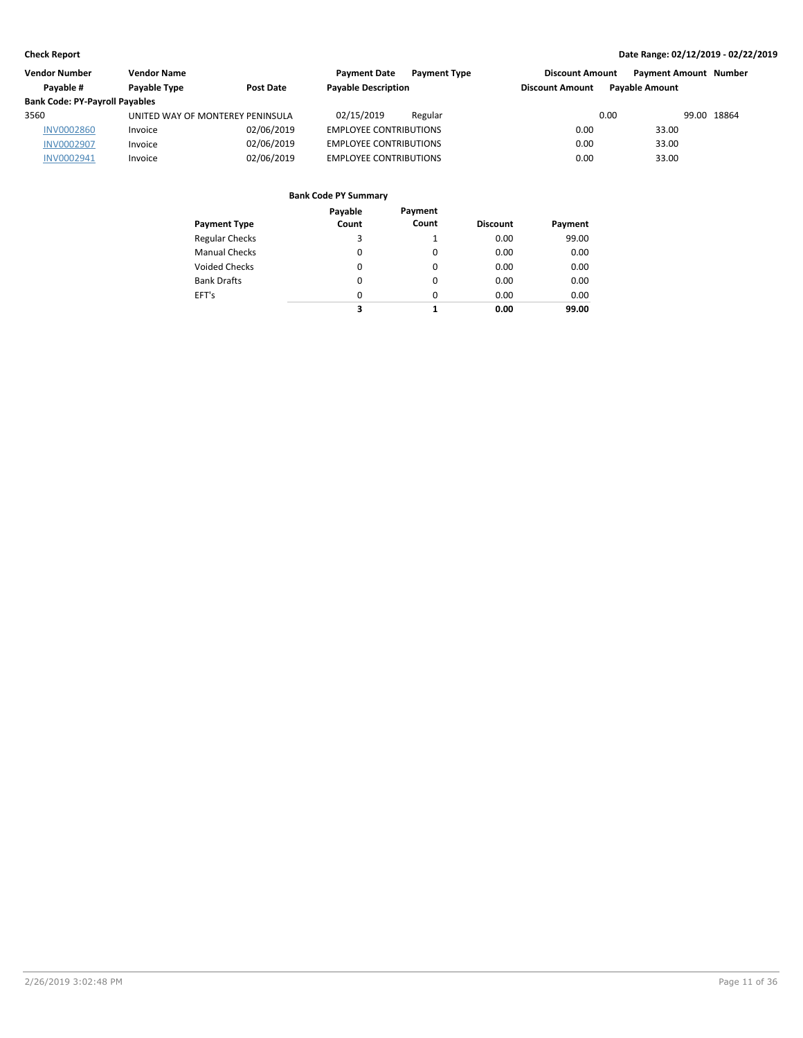| Vendor Number                         | <b>Vendor Name</b>               |                  | <b>Payment Date</b><br><b>Payment Type</b> | <b>Discount Amount</b> | <b>Payment Amount Number</b> |             |
|---------------------------------------|----------------------------------|------------------|--------------------------------------------|------------------------|------------------------------|-------------|
| Pavable #                             | <b>Pavable Type</b>              | <b>Post Date</b> | <b>Payable Description</b>                 | <b>Discount Amount</b> | <b>Pavable Amount</b>        |             |
| <b>Bank Code: PY-Payroll Payables</b> |                                  |                  |                                            |                        |                              |             |
| 3560                                  | UNITED WAY OF MONTEREY PENINSULA |                  | 02/15/2019<br>Regular                      | 0.00                   |                              | 99.00 18864 |
| <b>INV0002860</b>                     | Invoice                          | 02/06/2019       | <b>EMPLOYEE CONTRIBUTIONS</b>              | 0.00                   | 33.00                        |             |
| <b>INV0002907</b>                     | Invoice                          | 02/06/2019       | <b>EMPLOYEE CONTRIBUTIONS</b>              | 0.00                   | 33.00                        |             |
| INV0002941                            | Invoice                          | 02/06/2019       | <b>EMPLOYEE CONTRIBUTIONS</b>              | 0.00                   | 33.00                        |             |

|                       | Payable  | Payment  |                 |         |
|-----------------------|----------|----------|-----------------|---------|
| <b>Payment Type</b>   | Count    | Count    | <b>Discount</b> | Payment |
| <b>Regular Checks</b> | 3        | 1        | 0.00            | 99.00   |
| <b>Manual Checks</b>  | 0        | 0        | 0.00            | 0.00    |
| <b>Voided Checks</b>  | 0        | $\Omega$ | 0.00            | 0.00    |
| <b>Bank Drafts</b>    | 0        | $\Omega$ | 0.00            | 0.00    |
| EFT's                 | $\Omega$ | $\Omega$ | 0.00            | 0.00    |
|                       | 3        |          | 0.00            | 99.00   |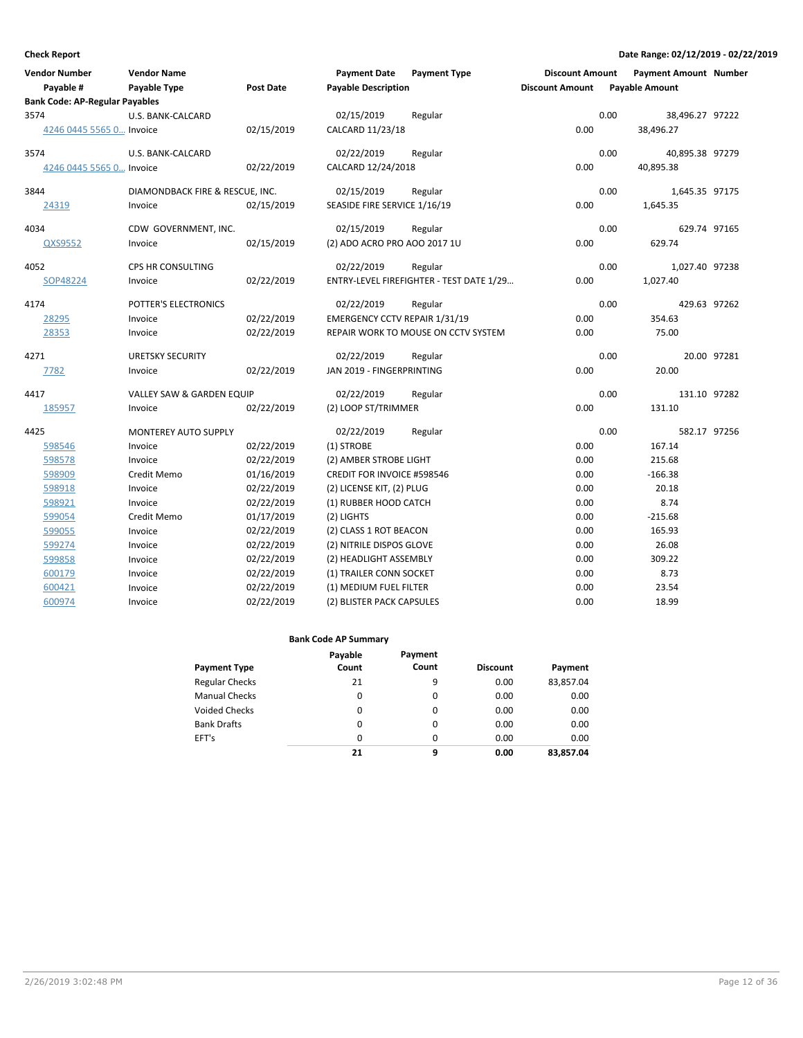| <b>Vendor Number</b>                  | <b>Vendor Name</b>                   |                  | <b>Payment Date</b>               | <b>Payment Type</b>                      | <b>Discount Amount</b> | <b>Payment Amount Number</b> |              |
|---------------------------------------|--------------------------------------|------------------|-----------------------------------|------------------------------------------|------------------------|------------------------------|--------------|
| Payable #                             | <b>Payable Type</b>                  | <b>Post Date</b> | <b>Payable Description</b>        |                                          | <b>Discount Amount</b> | <b>Payable Amount</b>        |              |
| <b>Bank Code: AP-Regular Payables</b> |                                      |                  |                                   |                                          |                        |                              |              |
| 3574                                  | U.S. BANK-CALCARD                    |                  | 02/15/2019                        | Regular                                  |                        | 0.00<br>38,496.27 97222      |              |
| 4246 0445 5565 0 Invoice              |                                      | 02/15/2019       | CALCARD 11/23/18                  |                                          | 0.00                   | 38,496.27                    |              |
| 3574                                  | U.S. BANK-CALCARD                    |                  | 02/22/2019                        | Regular                                  |                        | 0.00<br>40,895.38 97279      |              |
| 4246 0445 5565 0 Invoice              |                                      | 02/22/2019       | CALCARD 12/24/2018                |                                          | 0.00                   | 40,895.38                    |              |
| 3844                                  | DIAMONDBACK FIRE & RESCUE, INC.      |                  | 02/15/2019                        | Regular                                  |                        | 0.00<br>1,645.35 97175       |              |
| 24319                                 | Invoice                              | 02/15/2019       | SEASIDE FIRE SERVICE 1/16/19      |                                          | 0.00                   | 1,645.35                     |              |
| 4034                                  | CDW GOVERNMENT, INC.                 |                  | 02/15/2019                        | Regular                                  |                        | 0.00                         | 629.74 97165 |
| QXS9552                               | Invoice                              | 02/15/2019       | (2) ADO ACRO PRO AOO 2017 1U      |                                          | 0.00                   | 629.74                       |              |
| 4052                                  | CPS HR CONSULTING                    |                  | 02/22/2019                        | Regular                                  |                        | 0.00<br>1,027.40 97238       |              |
| SOP48224                              | Invoice                              | 02/22/2019       |                                   | ENTRY-LEVEL FIREFIGHTER - TEST DATE 1/29 | 0.00                   | 1,027.40                     |              |
| 4174                                  | POTTER'S ELECTRONICS                 |                  | 02/22/2019                        | Regular                                  |                        | 0.00                         | 429.63 97262 |
| 28295                                 | Invoice                              | 02/22/2019       | EMERGENCY CCTV REPAIR 1/31/19     |                                          | 0.00                   | 354.63                       |              |
| 28353                                 | Invoice                              | 02/22/2019       |                                   | REPAIR WORK TO MOUSE ON CCTV SYSTEM      | 0.00                   | 75.00                        |              |
| 4271                                  | <b>URETSKY SECURITY</b>              |                  | 02/22/2019                        | Regular                                  |                        | 0.00                         | 20.00 97281  |
| 7782                                  | Invoice                              | 02/22/2019       | JAN 2019 - FINGERPRINTING         |                                          | 0.00                   | 20.00                        |              |
| 4417                                  | <b>VALLEY SAW &amp; GARDEN EQUIP</b> |                  | 02/22/2019                        | Regular                                  |                        | 0.00                         | 131.10 97282 |
| 185957                                | Invoice                              | 02/22/2019       | (2) LOOP ST/TRIMMER               |                                          | 0.00                   | 131.10                       |              |
| 4425                                  | <b>MONTEREY AUTO SUPPLY</b>          |                  | 02/22/2019                        | Regular                                  |                        | 0.00                         | 582.17 97256 |
| 598546                                | Invoice                              | 02/22/2019       | (1) STROBE                        |                                          | 0.00                   | 167.14                       |              |
| 598578                                | Invoice                              | 02/22/2019       | (2) AMBER STROBE LIGHT            |                                          | 0.00                   | 215.68                       |              |
| 598909                                | Credit Memo                          | 01/16/2019       | <b>CREDIT FOR INVOICE #598546</b> |                                          | 0.00                   | $-166.38$                    |              |
| 598918                                | Invoice                              | 02/22/2019       | (2) LICENSE KIT, (2) PLUG         |                                          | 0.00                   | 20.18                        |              |
| 598921                                | Invoice                              | 02/22/2019       | (1) RUBBER HOOD CATCH             |                                          | 0.00                   | 8.74                         |              |
| 599054                                | Credit Memo                          | 01/17/2019       | (2) LIGHTS                        |                                          | 0.00                   | $-215.68$                    |              |
| 599055                                | Invoice                              | 02/22/2019       | (2) CLASS 1 ROT BEACON            |                                          | 0.00                   | 165.93                       |              |
| 599274                                | Invoice                              | 02/22/2019       | (2) NITRILE DISPOS GLOVE          |                                          | 0.00                   | 26.08                        |              |
| 599858                                | Invoice                              | 02/22/2019       | (2) HEADLIGHT ASSEMBLY            |                                          | 0.00                   | 309.22                       |              |
| 600179                                | Invoice                              | 02/22/2019       | (1) TRAILER CONN SOCKET           |                                          | 0.00                   | 8.73                         |              |
| 600421                                | Invoice                              | 02/22/2019       | (1) MEDIUM FUEL FILTER            |                                          | 0.00                   | 23.54                        |              |
| 600974                                | Invoice                              | 02/22/2019       | (2) BLISTER PACK CAPSULES         |                                          | 0.00                   | 18.99                        |              |

| <b>Payment Type</b>   | Payable<br>Count | Payment<br>Count | <b>Discount</b> | Payment   |
|-----------------------|------------------|------------------|-----------------|-----------|
| <b>Regular Checks</b> | 21               | 9                | 0.00            | 83,857.04 |
| <b>Manual Checks</b>  | 0                | 0                | 0.00            | 0.00      |
| <b>Voided Checks</b>  | $\Omega$         | $\Omega$         | 0.00            | 0.00      |
| <b>Bank Drafts</b>    | 0                | 0                | 0.00            | 0.00      |
| EFT's                 | $\Omega$         | $\Omega$         | 0.00            | 0.00      |
|                       | 21               | 9                | 0.00            | 83,857.04 |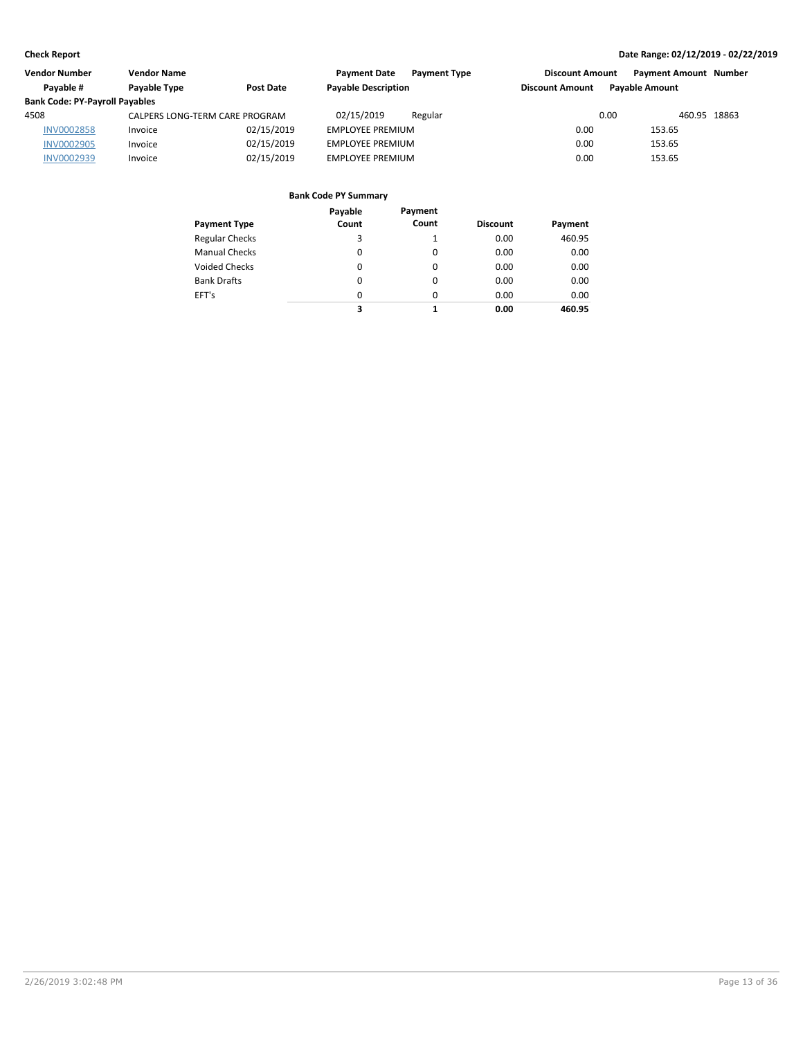| Vendor Number                         | <b>Vendor Name</b>             |                  | <b>Payment Date</b><br><b>Payment Type</b> | <b>Discount Amount</b> | <b>Payment Amount Number</b> |  |
|---------------------------------------|--------------------------------|------------------|--------------------------------------------|------------------------|------------------------------|--|
| Pavable #                             | <b>Pavable Type</b>            | <b>Post Date</b> | <b>Payable Description</b>                 | <b>Discount Amount</b> | <b>Pavable Amount</b>        |  |
| <b>Bank Code: PY-Payroll Payables</b> |                                |                  |                                            |                        |                              |  |
| 4508                                  | CALPERS LONG-TERM CARE PROGRAM |                  | 02/15/2019<br>Regular                      | 0.00                   | 460.95 18863                 |  |
| <b>INV0002858</b>                     | Invoice                        | 02/15/2019       | <b>EMPLOYEE PREMIUM</b>                    | 0.00                   | 153.65                       |  |
| <b>INV0002905</b>                     | Invoice                        | 02/15/2019       | <b>EMPLOYEE PREMIUM</b>                    | 0.00                   | 153.65                       |  |
| INV0002939                            | Invoice                        | 02/15/2019       | EMPLOYEE PREMIUM                           | 0.00                   | 153.65                       |  |

|                       | Payable  | Payment |                 |         |
|-----------------------|----------|---------|-----------------|---------|
| <b>Payment Type</b>   | Count    | Count   | <b>Discount</b> | Payment |
| <b>Regular Checks</b> | 3        |         | 0.00            | 460.95  |
| <b>Manual Checks</b>  | 0        | 0       | 0.00            | 0.00    |
| <b>Voided Checks</b>  | 0        | 0       | 0.00            | 0.00    |
| <b>Bank Drafts</b>    | 0        | 0       | 0.00            | 0.00    |
| EFT's                 | $\Omega$ | 0       | 0.00            | 0.00    |
|                       | 3        | 1       | 0.00            | 460.95  |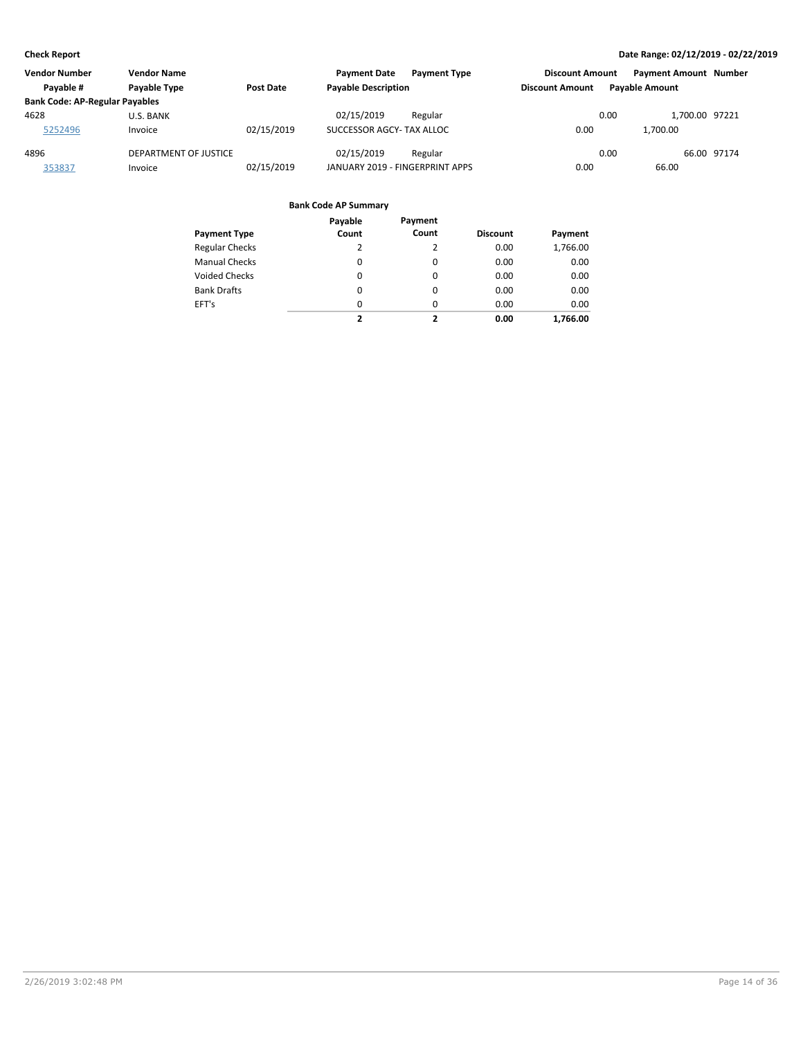| <b>Vendor Number</b>                  | <b>Vendor Name</b>    |            | <b>Payment Date</b><br><b>Payment Type</b> | <b>Discount Amount</b> | <b>Payment Amount Number</b> |             |
|---------------------------------------|-----------------------|------------|--------------------------------------------|------------------------|------------------------------|-------------|
| Pavable #                             | <b>Pavable Type</b>   | Post Date  | <b>Payable Description</b>                 | <b>Discount Amount</b> | <b>Pavable Amount</b>        |             |
| <b>Bank Code: AP-Regular Payables</b> |                       |            |                                            |                        |                              |             |
| 4628                                  | U.S. BANK             |            | 02/15/2019<br>Regular                      |                        | 0.00<br>1.700.00 97221       |             |
| 5252496                               | Invoice               | 02/15/2019 | SUCCESSOR AGCY- TAX ALLOC                  | 0.00                   | 1.700.00                     |             |
| 4896                                  | DEPARTMENT OF JUSTICE |            | 02/15/2019<br>Regular                      |                        | 0.00                         | 66.00 97174 |
| 353837                                | Invoice               | 02/15/2019 | JANUARY 2019 - FINGERPRINT APPS            | 0.00                   | 66.00                        |             |

|                       | Payable                 | Payment                  |                 |          |
|-----------------------|-------------------------|--------------------------|-----------------|----------|
| <b>Payment Type</b>   | Count                   | Count                    | <b>Discount</b> | Payment  |
| <b>Regular Checks</b> | 2                       | 2                        | 0.00            | 1,766.00 |
| <b>Manual Checks</b>  | $\Omega$                | $\Omega$                 | 0.00            | 0.00     |
| <b>Voided Checks</b>  | 0                       | 0                        | 0.00            | 0.00     |
| <b>Bank Drafts</b>    | $\Omega$                | 0                        | 0.00            | 0.00     |
| EFT's                 | $\Omega$                | $\Omega$                 | 0.00            | 0.00     |
|                       | $\overline{\mathbf{z}}$ | $\overline{\phantom{a}}$ | 0.00            | 1.766.00 |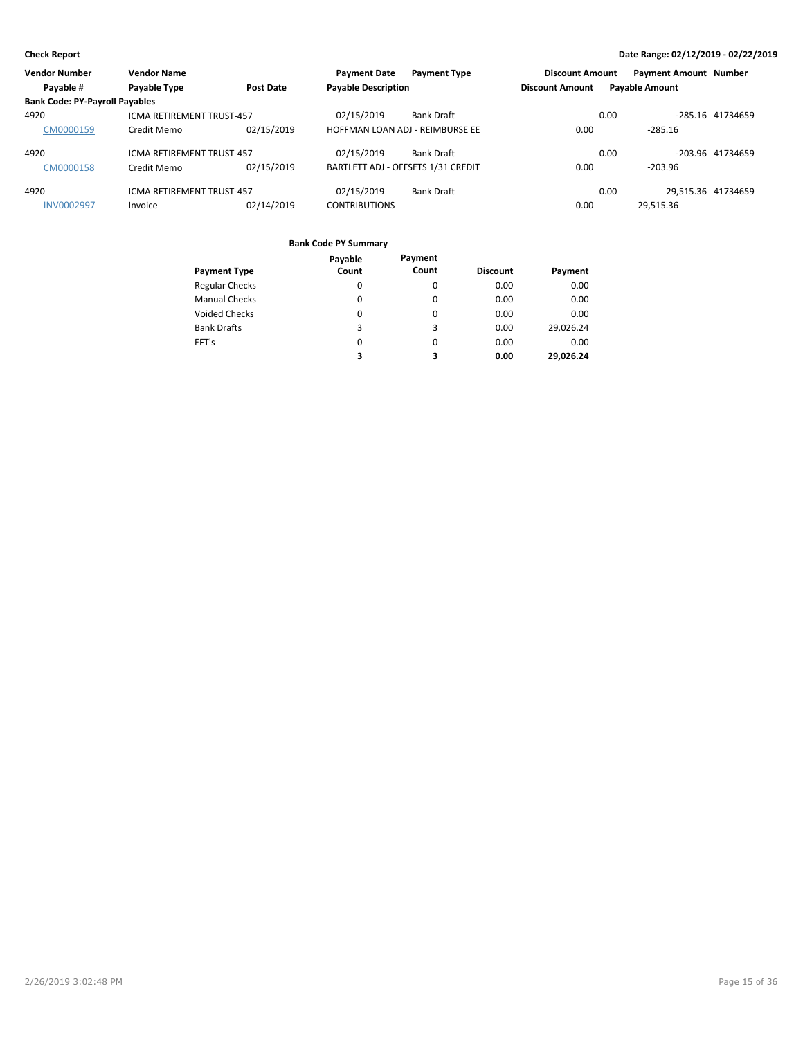| <b>Vendor Number</b>                  | <b>Vendor Name</b>               |            | <b>Payment Date</b>                | <b>Payment Type</b> | <b>Discount Amount</b> |      | <b>Payment Amount Number</b> |                  |
|---------------------------------------|----------------------------------|------------|------------------------------------|---------------------|------------------------|------|------------------------------|------------------|
| Payable #                             | Payable Type                     | Post Date  | <b>Payable Description</b>         |                     | <b>Discount Amount</b> |      | <b>Payable Amount</b>        |                  |
| <b>Bank Code: PY-Payroll Payables</b> |                                  |            |                                    |                     |                        |      |                              |                  |
| 4920                                  | <b>ICMA RETIREMENT TRUST-457</b> |            | 02/15/2019                         | <b>Bank Draft</b>   |                        | 0.00 |                              | -285.16 41734659 |
| CM0000159                             | Credit Memo                      | 02/15/2019 | HOFFMAN LOAN ADJ - REIMBURSE EE    |                     | 0.00                   |      | $-285.16$                    |                  |
| 4920                                  | <b>ICMA RETIREMENT TRUST-457</b> |            | 02/15/2019                         | <b>Bank Draft</b>   |                        | 0.00 |                              | -203.96 41734659 |
| CM0000158                             | Credit Memo                      | 02/15/2019 | BARTLETT ADJ - OFFSETS 1/31 CREDIT |                     | 0.00                   |      | $-203.96$                    |                  |
| 4920                                  | <b>ICMA RETIREMENT TRUST-457</b> |            | 02/15/2019                         | <b>Bank Draft</b>   |                        | 0.00 | 29,515.36 41734659           |                  |
| <b>INV0002997</b>                     | Invoice                          | 02/14/2019 | <b>CONTRIBUTIONS</b>               |                     | 0.00                   |      | 29,515.36                    |                  |

| <b>Payment Type</b>   | Payable<br>Count | Payment<br>Count | <b>Discount</b> | Payment   |
|-----------------------|------------------|------------------|-----------------|-----------|
| <b>Regular Checks</b> | 0                | 0                | 0.00            | 0.00      |
| <b>Manual Checks</b>  | 0                | 0                | 0.00            | 0.00      |
| <b>Voided Checks</b>  | $\Omega$         | 0                | 0.00            | 0.00      |
| <b>Bank Drafts</b>    | 3                | 3                | 0.00            | 29,026.24 |
| EFT's                 | 0                | $\Omega$         | 0.00            | 0.00      |
|                       | 3                | 3                | 0.00            | 29.026.24 |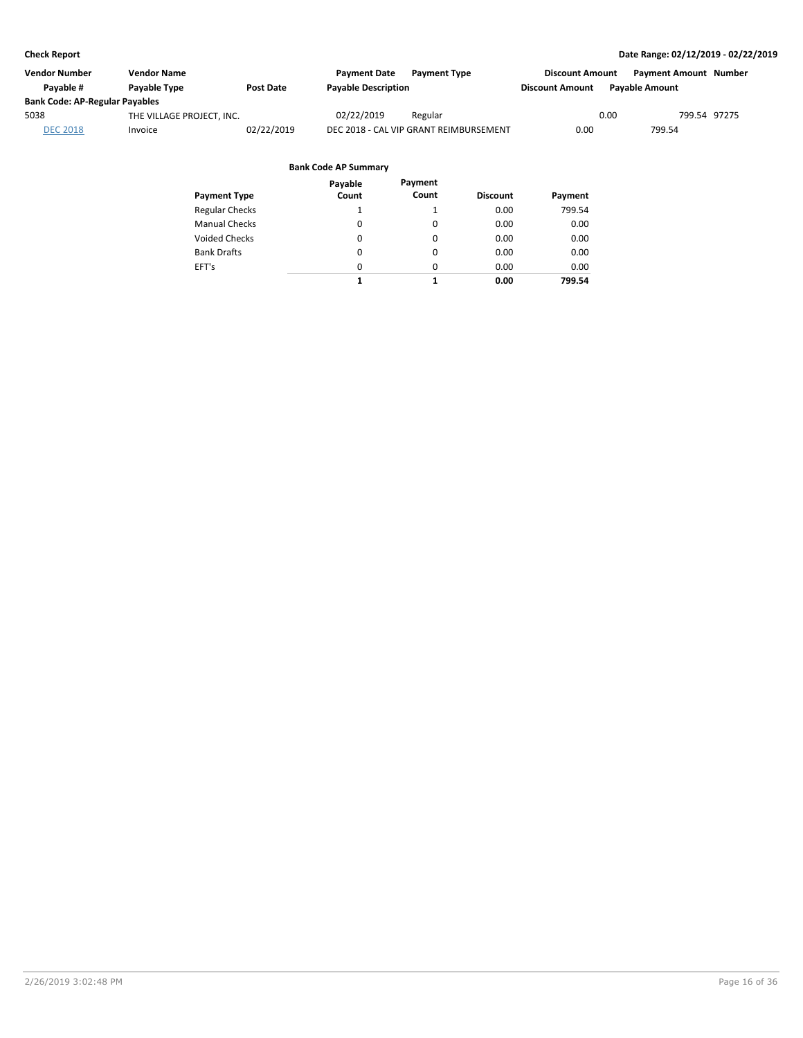| Vendor Number                         | <b>Vendor Name</b>        |                  | <b>Payment Date</b>        | <b>Payment Type</b>                    | <b>Discount Amount</b> | <b>Payment Amount Number</b> |              |
|---------------------------------------|---------------------------|------------------|----------------------------|----------------------------------------|------------------------|------------------------------|--------------|
| Pavable #                             | Payable Type              | <b>Post Date</b> | <b>Payable Description</b> |                                        | <b>Discount Amount</b> | <b>Pavable Amount</b>        |              |
| <b>Bank Code: AP-Regular Payables</b> |                           |                  |                            |                                        |                        |                              |              |
| 5038                                  | THE VILLAGE PROJECT, INC. |                  | 02/22/2019                 | Regular                                |                        | 0.00                         | 799.54 97275 |
| <b>DEC 2018</b>                       | Invoice                   | 02/22/2019       |                            | DEC 2018 - CAL VIP GRANT REIMBURSEMENT | 0.00                   | 799.54                       |              |
|                                       |                           |                  |                            |                                        |                        |                              |              |

|                       | Payable  | Payment  |                 |         |
|-----------------------|----------|----------|-----------------|---------|
| <b>Payment Type</b>   | Count    | Count    | <b>Discount</b> | Payment |
| <b>Regular Checks</b> | 1        |          | 0.00            | 799.54  |
| <b>Manual Checks</b>  | 0        | 0        | 0.00            | 0.00    |
| <b>Voided Checks</b>  | 0        | 0        | 0.00            | 0.00    |
| <b>Bank Drafts</b>    | 0        | $\Omega$ | 0.00            | 0.00    |
| EFT's                 | $\Omega$ | $\Omega$ | 0.00            | 0.00    |
|                       | 1        | 1        | 0.00            | 799.54  |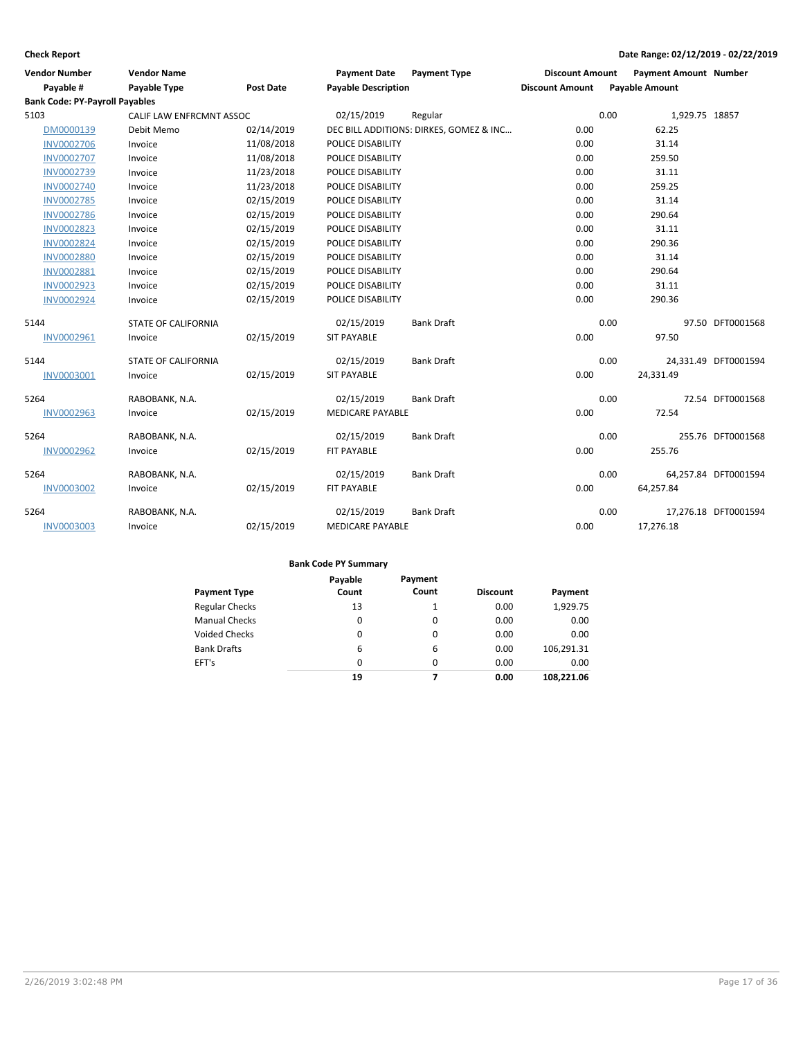| <b>Vendor Number</b>                  | <b>Vendor Name</b>         |                  | <b>Payment Date</b>        | <b>Payment Type</b>                     | <b>Discount Amount</b> | <b>Payment Amount Number</b> |                      |
|---------------------------------------|----------------------------|------------------|----------------------------|-----------------------------------------|------------------------|------------------------------|----------------------|
| Payable #                             | Payable Type               | <b>Post Date</b> | <b>Payable Description</b> |                                         | <b>Discount Amount</b> | <b>Payable Amount</b>        |                      |
| <b>Bank Code: PY-Payroll Payables</b> |                            |                  |                            |                                         |                        |                              |                      |
| 5103                                  | CALIF LAW ENFRCMNT ASSOC   |                  | 02/15/2019                 | Regular                                 |                        | 0.00<br>1,929.75 18857       |                      |
| DM0000139                             | Debit Memo                 | 02/14/2019       |                            | DEC BILL ADDITIONS: DIRKES, GOMEZ & INC | 0.00                   | 62.25                        |                      |
| <b>INV0002706</b>                     | Invoice                    | 11/08/2018       | POLICE DISABILITY          |                                         | 0.00                   | 31.14                        |                      |
| <b>INV0002707</b>                     | Invoice                    | 11/08/2018       | POLICE DISABILITY          |                                         | 0.00                   | 259.50                       |                      |
| INV0002739                            | Invoice                    | 11/23/2018       | POLICE DISABILITY          |                                         | 0.00                   | 31.11                        |                      |
| <b>INV0002740</b>                     | Invoice                    | 11/23/2018       | POLICE DISABILITY          |                                         | 0.00                   | 259.25                       |                      |
| <b>INV0002785</b>                     | Invoice                    | 02/15/2019       | POLICE DISABILITY          |                                         | 0.00                   | 31.14                        |                      |
| <b>INV0002786</b>                     | Invoice                    | 02/15/2019       | POLICE DISABILITY          |                                         | 0.00                   | 290.64                       |                      |
| <b>INV0002823</b>                     | Invoice                    | 02/15/2019       | POLICE DISABILITY          |                                         | 0.00                   | 31.11                        |                      |
| <b>INV0002824</b>                     | Invoice                    | 02/15/2019       | POLICE DISABILITY          |                                         | 0.00                   | 290.36                       |                      |
| <b>INV0002880</b>                     | Invoice                    | 02/15/2019       | POLICE DISABILITY          |                                         | 0.00                   | 31.14                        |                      |
| <b>INV0002881</b>                     | Invoice                    | 02/15/2019       | POLICE DISABILITY          |                                         | 0.00                   | 290.64                       |                      |
| INV0002923                            | Invoice                    | 02/15/2019       | POLICE DISABILITY          |                                         | 0.00                   | 31.11                        |                      |
| INV0002924                            | Invoice                    | 02/15/2019       | POLICE DISABILITY          |                                         | 0.00                   | 290.36                       |                      |
| 5144                                  | <b>STATE OF CALIFORNIA</b> |                  | 02/15/2019                 | <b>Bank Draft</b>                       |                        | 0.00                         | 97.50 DFT0001568     |
| INV0002961                            | Invoice                    | 02/15/2019       | <b>SIT PAYABLE</b>         |                                         | 0.00                   | 97.50                        |                      |
| 5144                                  | <b>STATE OF CALIFORNIA</b> |                  | 02/15/2019                 | <b>Bank Draft</b>                       |                        | 0.00                         | 24,331.49 DFT0001594 |
| <b>INV0003001</b>                     | Invoice                    | 02/15/2019       | <b>SIT PAYABLE</b>         |                                         | 0.00                   | 24,331.49                    |                      |
| 5264                                  | RABOBANK, N.A.             |                  | 02/15/2019                 | <b>Bank Draft</b>                       |                        | 0.00                         | 72.54 DFT0001568     |
| <b>INV0002963</b>                     | Invoice                    | 02/15/2019       | <b>MEDICARE PAYABLE</b>    |                                         | 0.00                   | 72.54                        |                      |
| 5264                                  | RABOBANK, N.A.             |                  | 02/15/2019                 | <b>Bank Draft</b>                       |                        | 0.00                         | 255.76 DFT0001568    |
| <b>INV0002962</b>                     | Invoice                    | 02/15/2019       | <b>FIT PAYABLE</b>         |                                         | 0.00                   | 255.76                       |                      |
| 5264                                  | RABOBANK, N.A.             |                  | 02/15/2019                 | <b>Bank Draft</b>                       |                        | 0.00                         | 64,257.84 DFT0001594 |
| <b>INV0003002</b>                     | Invoice                    | 02/15/2019       | FIT PAYABLE                |                                         | 0.00                   | 64,257.84                    |                      |
| 5264                                  | RABOBANK, N.A.             |                  | 02/15/2019                 | <b>Bank Draft</b>                       |                        | 0.00                         | 17,276.18 DFT0001594 |
| <b>INV0003003</b>                     | Invoice                    | 02/15/2019       | <b>MEDICARE PAYABLE</b>    |                                         | 0.00                   | 17,276.18                    |                      |

|                       | Payable  | Payment |                 |            |
|-----------------------|----------|---------|-----------------|------------|
| <b>Payment Type</b>   | Count    | Count   | <b>Discount</b> | Payment    |
| <b>Regular Checks</b> | 13       | 1       | 0.00            | 1,929.75   |
| <b>Manual Checks</b>  | 0        | 0       | 0.00            | 0.00       |
| Voided Checks         | 0        | 0       | 0.00            | 0.00       |
| <b>Bank Drafts</b>    | 6        | 6       | 0.00            | 106,291.31 |
| EFT's                 | $\Omega$ | 0       | 0.00            | 0.00       |
|                       | 19       | 7       | 0.00            | 108.221.06 |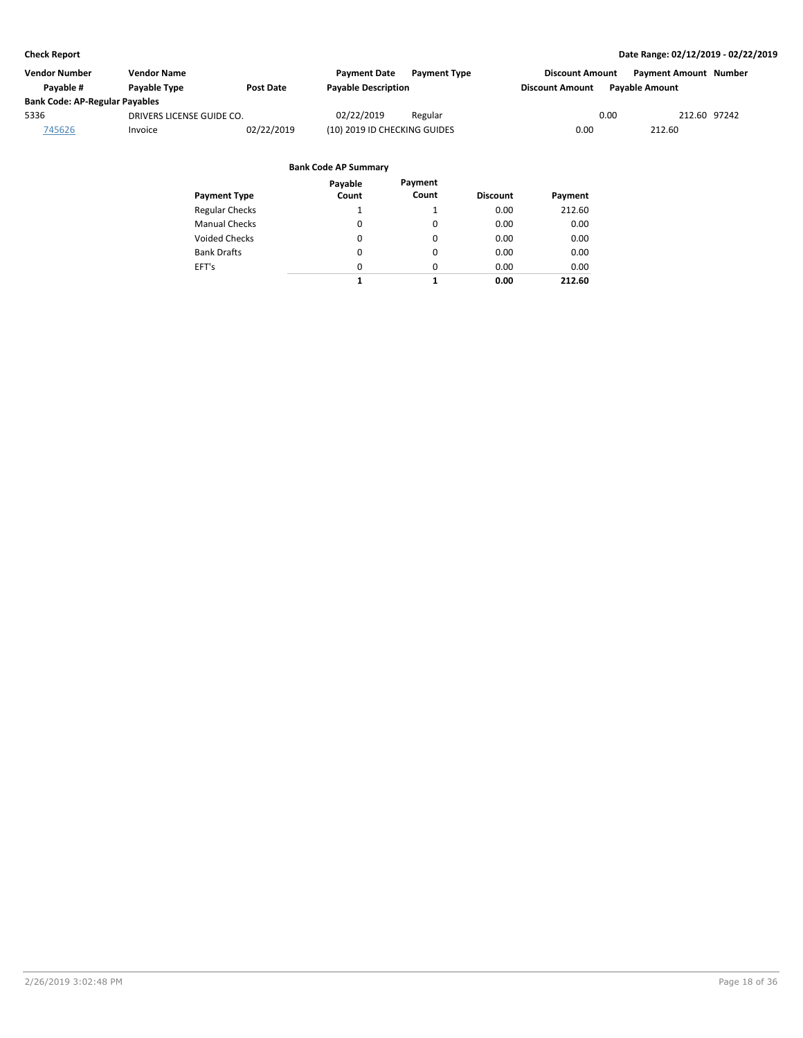| Vendor Number                         | <b>Vendor Name</b>        |                  | <b>Payment Date</b><br><b>Payment Type</b> | <b>Discount Amount</b> | <b>Payment Amount Number</b> |
|---------------------------------------|---------------------------|------------------|--------------------------------------------|------------------------|------------------------------|
| Pavable #                             | Payable Type              | <b>Post Date</b> | <b>Payable Description</b>                 | <b>Discount Amount</b> | <b>Pavable Amount</b>        |
| <b>Bank Code: AP-Regular Payables</b> |                           |                  |                                            |                        |                              |
| 5336                                  | DRIVERS LICENSE GUIDE CO. |                  | 02/22/2019<br>Regular                      | 0.00                   | 212.60 97242                 |
| 745626                                | Invoice                   | 02/22/2019       | (10) 2019 ID CHECKING GUIDES               | 0.00                   | 212.60                       |

|                       | Payable  | Payment  |                 |         |
|-----------------------|----------|----------|-----------------|---------|
| <b>Payment Type</b>   | Count    | Count    | <b>Discount</b> | Payment |
| <b>Regular Checks</b> | 1        |          | 0.00            | 212.60  |
| <b>Manual Checks</b>  | $\Omega$ | $\Omega$ | 0.00            | 0.00    |
| Voided Checks         | 0        | $\Omega$ | 0.00            | 0.00    |
| <b>Bank Drafts</b>    | 0        | $\Omega$ | 0.00            | 0.00    |
| EFT's                 | 0        | $\Omega$ | 0.00            | 0.00    |
|                       | 1        | 1        | 0.00            | 212.60  |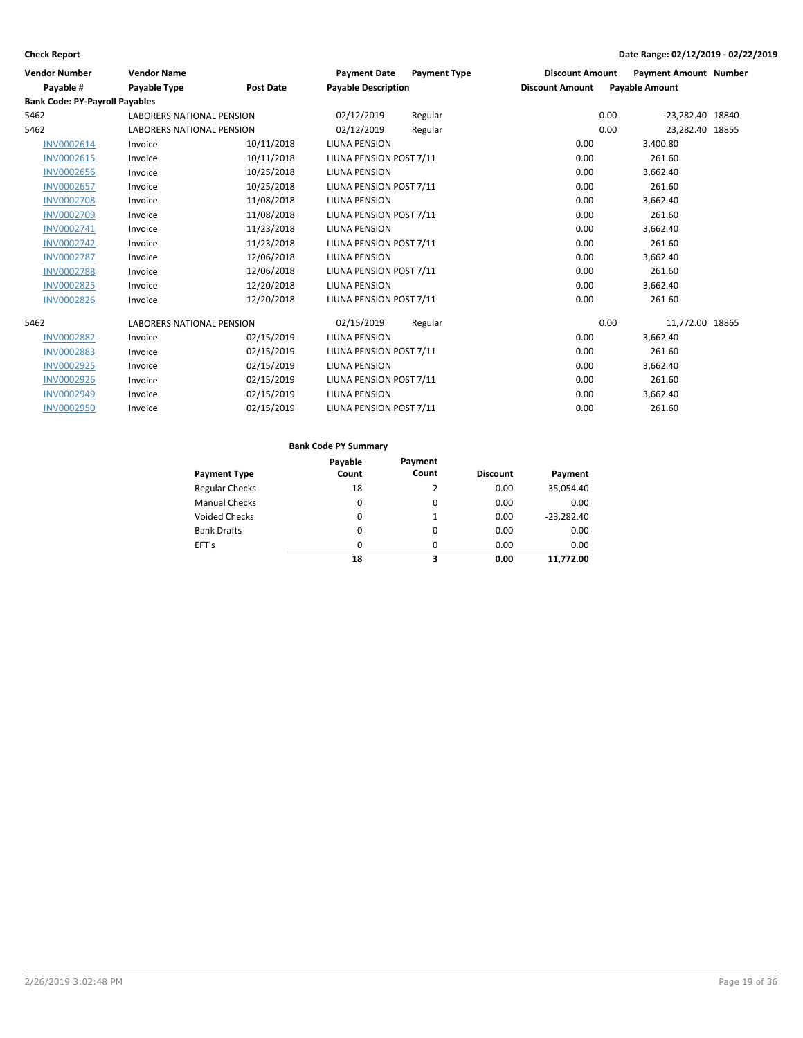| <b>Vendor Number</b>                  | <b>Vendor Name</b>               |                  | <b>Payment Date</b>        | <b>Payment Type</b> | <b>Discount Amount</b> | <b>Payment Amount Number</b> |  |
|---------------------------------------|----------------------------------|------------------|----------------------------|---------------------|------------------------|------------------------------|--|
| Payable #                             | Payable Type                     | <b>Post Date</b> | <b>Payable Description</b> |                     | <b>Discount Amount</b> | <b>Payable Amount</b>        |  |
| <b>Bank Code: PY-Payroll Payables</b> |                                  |                  |                            |                     |                        |                              |  |
| 5462                                  | <b>LABORERS NATIONAL PENSION</b> |                  | 02/12/2019                 | Regular             |                        | 0.00<br>-23,282.40 18840     |  |
| 5462                                  | <b>LABORERS NATIONAL PENSION</b> |                  | 02/12/2019                 | Regular             |                        | 0.00<br>23,282.40 18855      |  |
| INV0002614                            | Invoice                          | 10/11/2018       | <b>LIUNA PENSION</b>       |                     | 0.00                   | 3,400.80                     |  |
| <b>INV0002615</b>                     | Invoice                          | 10/11/2018       | LIUNA PENSION POST 7/11    |                     | 0.00                   | 261.60                       |  |
| <b>INV0002656</b>                     | Invoice                          | 10/25/2018       | <b>LIUNA PENSION</b>       |                     | 0.00                   | 3,662.40                     |  |
| <b>INV0002657</b>                     | Invoice                          | 10/25/2018       | LIUNA PENSION POST 7/11    |                     | 0.00                   | 261.60                       |  |
| <b>INV0002708</b>                     | Invoice                          | 11/08/2018       | <b>LIUNA PENSION</b>       |                     | 0.00                   | 3,662.40                     |  |
| <b>INV0002709</b>                     | Invoice                          | 11/08/2018       | LIUNA PENSION POST 7/11    |                     | 0.00                   | 261.60                       |  |
| INV0002741                            | Invoice                          | 11/23/2018       | <b>LIUNA PENSION</b>       |                     | 0.00                   | 3,662.40                     |  |
| <b>INV0002742</b>                     | Invoice                          | 11/23/2018       | LIUNA PENSION POST 7/11    |                     | 0.00                   | 261.60                       |  |
| <b>INV0002787</b>                     | Invoice                          | 12/06/2018       | LIUNA PENSION              |                     | 0.00                   | 3,662.40                     |  |
| <b>INV0002788</b>                     | Invoice                          | 12/06/2018       | LIUNA PENSION POST 7/11    |                     | 0.00                   | 261.60                       |  |
| <b>INV0002825</b>                     | Invoice                          | 12/20/2018       | LIUNA PENSION              |                     | 0.00                   | 3,662.40                     |  |
| <b>INV0002826</b>                     | Invoice                          | 12/20/2018       | LIUNA PENSION POST 7/11    |                     | 0.00                   | 261.60                       |  |
| 5462                                  | <b>LABORERS NATIONAL PENSION</b> |                  | 02/15/2019                 | Regular             |                        | 0.00<br>11,772.00 18865      |  |
| <b>INV0002882</b>                     | Invoice                          | 02/15/2019       | <b>LIUNA PENSION</b>       |                     | 0.00                   | 3,662.40                     |  |
| <b>INV0002883</b>                     | Invoice                          | 02/15/2019       | LIUNA PENSION POST 7/11    |                     | 0.00                   | 261.60                       |  |
| <b>INV0002925</b>                     | Invoice                          | 02/15/2019       | <b>LIUNA PENSION</b>       |                     | 0.00                   | 3,662.40                     |  |
| <b>INV0002926</b>                     | Invoice                          | 02/15/2019       | LIUNA PENSION POST 7/11    |                     | 0.00                   | 261.60                       |  |
| INV0002949                            | Invoice                          | 02/15/2019       | <b>LIUNA PENSION</b>       |                     | 0.00                   | 3,662.40                     |  |
| <b>INV0002950</b>                     | Invoice                          | 02/15/2019       | LIUNA PENSION POST 7/11    |                     | 0.00                   | 261.60                       |  |

| <b>Payment Type</b>   | Payable<br>Count | Payment<br>Count | <b>Discount</b> | Payment      |
|-----------------------|------------------|------------------|-----------------|--------------|
| <b>Regular Checks</b> | 18               | 2                | 0.00            | 35,054.40    |
| <b>Manual Checks</b>  | 0                | $\Omega$         | 0.00            | 0.00         |
| <b>Voided Checks</b>  | 0                | 1                | 0.00            | $-23.282.40$ |
| <b>Bank Drafts</b>    | 0                | $\Omega$         | 0.00            | 0.00         |
| EFT's                 | 0                | $\Omega$         | 0.00            | 0.00         |
|                       | 18               | 3                | 0.00            | 11.772.00    |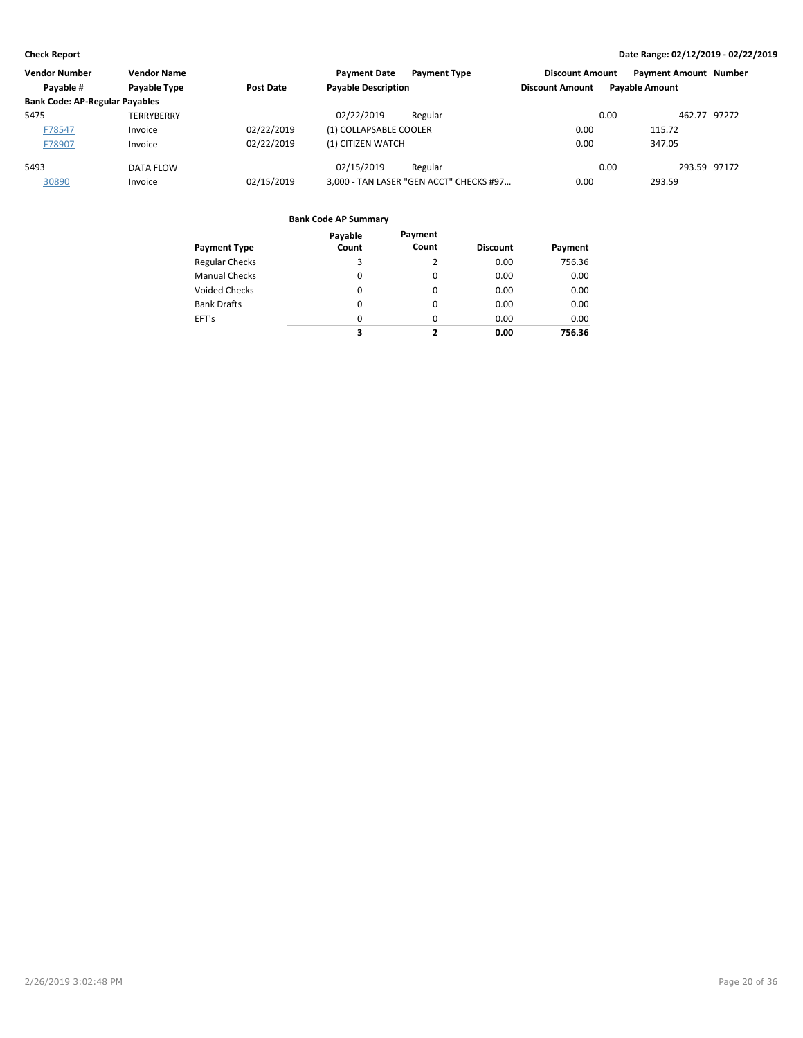| <b>Vendor Number</b>                  | <b>Vendor Name</b> |            | <b>Payment Date</b><br><b>Payment Type</b> | <b>Discount Amount</b> | <b>Payment Amount Number</b> |
|---------------------------------------|--------------------|------------|--------------------------------------------|------------------------|------------------------------|
| Payable #                             | Payable Type       | Post Date  | <b>Payable Description</b>                 | <b>Discount Amount</b> | <b>Payable Amount</b>        |
| <b>Bank Code: AP-Regular Payables</b> |                    |            |                                            |                        |                              |
| 5475                                  | TERRYBERRY         |            | 02/22/2019<br>Regular                      | 0.00                   | 462.77 97272                 |
| F78547                                | Invoice            | 02/22/2019 | (1) COLLAPSABLE COOLER                     | 0.00                   | 115.72                       |
| F78907                                | Invoice            | 02/22/2019 | (1) CITIZEN WATCH                          | 0.00                   | 347.05                       |
| 5493                                  | DATA FLOW          |            | 02/15/2019<br>Regular                      | 0.00                   | 293.59 97172                 |
| 30890                                 | Invoice            | 02/15/2019 | 3,000 - TAN LASER "GEN ACCT" CHECKS #97    | 0.00                   | 293.59                       |

|                       | Payable  | Payment  |                 |         |
|-----------------------|----------|----------|-----------------|---------|
| <b>Payment Type</b>   | Count    | Count    | <b>Discount</b> | Payment |
| <b>Regular Checks</b> | 3        | 2        | 0.00            | 756.36  |
| <b>Manual Checks</b>  | 0        | $\Omega$ | 0.00            | 0.00    |
| Voided Checks         | 0        | 0        | 0.00            | 0.00    |
| <b>Bank Drafts</b>    | $\Omega$ | $\Omega$ | 0.00            | 0.00    |
| EFT's                 | 0        | $\Omega$ | 0.00            | 0.00    |
|                       | 3        | 7        | 0.00            | 756.36  |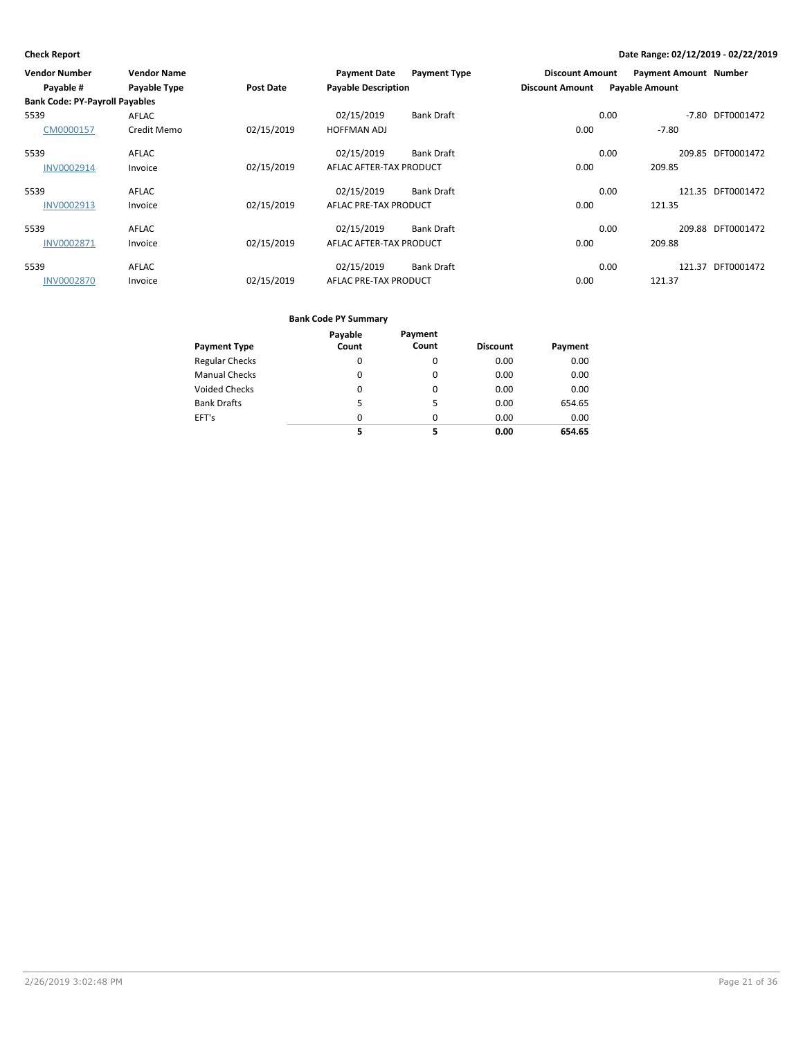| <b>Vendor Number</b>                  | <b>Vendor Name</b> |                  | <b>Payment Date</b>        | <b>Payment Type</b> | <b>Discount Amount</b> | <b>Payment Amount Number</b> |                   |
|---------------------------------------|--------------------|------------------|----------------------------|---------------------|------------------------|------------------------------|-------------------|
| Payable #                             | Payable Type       | <b>Post Date</b> | <b>Payable Description</b> |                     | <b>Discount Amount</b> | <b>Payable Amount</b>        |                   |
| <b>Bank Code: PY-Payroll Payables</b> |                    |                  |                            |                     |                        |                              |                   |
| 5539                                  | AFLAC              |                  | 02/15/2019                 | <b>Bank Draft</b>   |                        | 0.00<br>$-7.80$              | DFT0001472        |
| CM0000157                             | Credit Memo        | 02/15/2019       | <b>HOFFMAN ADJ</b>         |                     | 0.00                   | $-7.80$                      |                   |
| 5539                                  | <b>AFLAC</b>       |                  | 02/15/2019                 | <b>Bank Draft</b>   |                        | 0.00                         | 209.85 DFT0001472 |
| <b>INV0002914</b>                     | Invoice            | 02/15/2019       | AFLAC AFTER-TAX PRODUCT    |                     | 0.00                   | 209.85                       |                   |
| 5539                                  | <b>AFLAC</b>       |                  | 02/15/2019                 | <b>Bank Draft</b>   |                        | 0.00                         | 121.35 DFT0001472 |
| INV0002913                            | Invoice            | 02/15/2019       | AFLAC PRE-TAX PRODUCT      |                     | 0.00                   | 121.35                       |                   |
| 5539                                  | <b>AFLAC</b>       |                  | 02/15/2019                 | <b>Bank Draft</b>   |                        | 0.00                         | 209.88 DFT0001472 |
| <b>INV0002871</b>                     | Invoice            | 02/15/2019       | AFLAC AFTER-TAX PRODUCT    |                     | 0.00                   | 209.88                       |                   |
| 5539                                  | <b>AFLAC</b>       |                  | 02/15/2019                 | <b>Bank Draft</b>   |                        | 0.00<br>121.37               | DFT0001472        |
| <b>INV0002870</b>                     | Invoice            | 02/15/2019       | AFLAC PRE-TAX PRODUCT      |                     | 0.00                   | 121.37                       |                   |

|                       | Payable  | Payment  |                 |         |
|-----------------------|----------|----------|-----------------|---------|
| <b>Payment Type</b>   | Count    | Count    | <b>Discount</b> | Payment |
| <b>Regular Checks</b> | 0        | 0        | 0.00            | 0.00    |
| <b>Manual Checks</b>  | 0        | 0        | 0.00            | 0.00    |
| <b>Voided Checks</b>  | 0        | $\Omega$ | 0.00            | 0.00    |
| <b>Bank Drafts</b>    | 5        | 5        | 0.00            | 654.65  |
| EFT's                 | $\Omega$ | $\Omega$ | 0.00            | 0.00    |
|                       | 5        | 5        | 0.00            | 654.65  |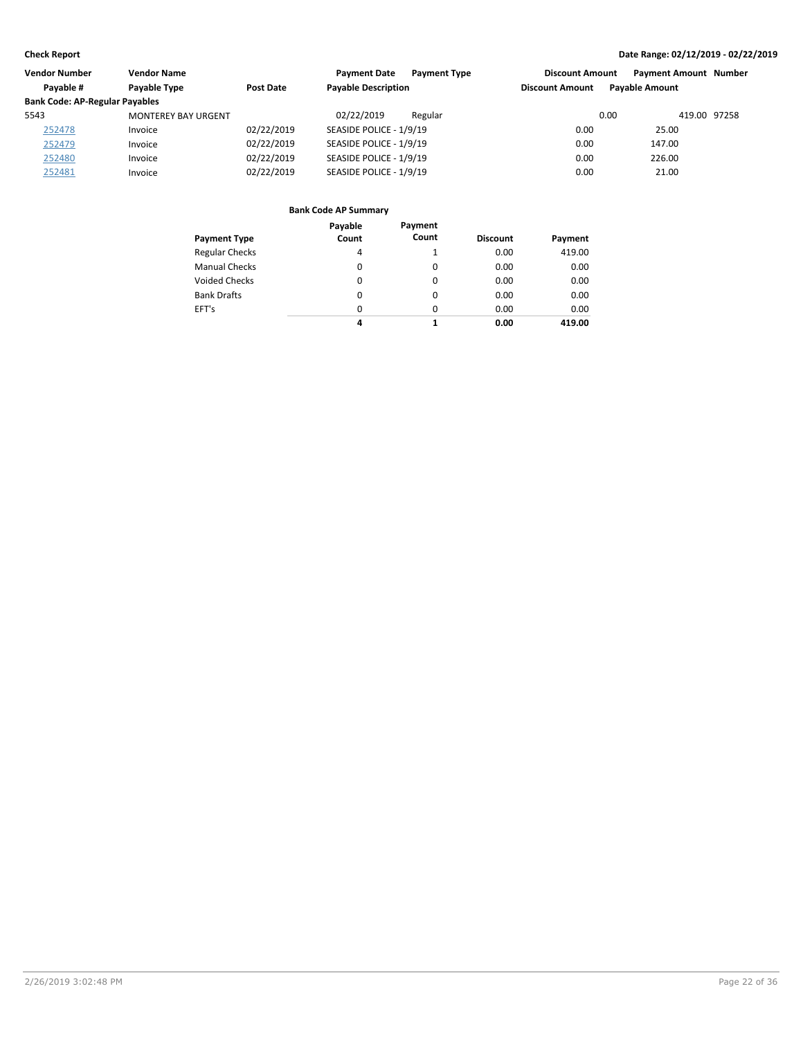| <b>Vendor Number</b>                  | <b>Vendor Name</b>         |            | <b>Payment Date</b><br><b>Payment Type</b> | <b>Discount Amount</b> | <b>Payment Amount Number</b> |  |
|---------------------------------------|----------------------------|------------|--------------------------------------------|------------------------|------------------------------|--|
| Payable #                             | Payable Type               | Post Date  | <b>Payable Description</b>                 | <b>Discount Amount</b> | <b>Pavable Amount</b>        |  |
| <b>Bank Code: AP-Regular Payables</b> |                            |            |                                            |                        |                              |  |
| 5543                                  | <b>MONTEREY BAY URGENT</b> |            | 02/22/2019<br>Regular                      | 0.00                   | 419.00 97258                 |  |
| 252478                                | Invoice                    | 02/22/2019 | SEASIDE POLICE - 1/9/19                    | 0.00                   | 25.00                        |  |
| 252479                                | Invoice                    | 02/22/2019 | SEASIDE POLICE - 1/9/19                    | 0.00                   | 147.00                       |  |
| 252480                                | Invoice                    | 02/22/2019 | SEASIDE POLICE - 1/9/19                    | 0.00                   | 226.00                       |  |
| 252481                                | Invoice                    | 02/22/2019 | SEASIDE POLICE - 1/9/19                    | 0.00                   | 21.00                        |  |

| <b>Payment Type</b>   | Payable<br>Count | Payment<br>Count | <b>Discount</b> | Payment |
|-----------------------|------------------|------------------|-----------------|---------|
| <b>Regular Checks</b> | 4                |                  | 0.00            | 419.00  |
| <b>Manual Checks</b>  | $\Omega$         | 0                | 0.00            | 0.00    |
| <b>Voided Checks</b>  | $\Omega$         | 0                | 0.00            | 0.00    |
| <b>Bank Drafts</b>    | $\Omega$         | 0                | 0.00            | 0.00    |
| EFT's                 | $\Omega$         | $\Omega$         | 0.00            | 0.00    |
|                       | 4                | 1                | 0.00            | 419.00  |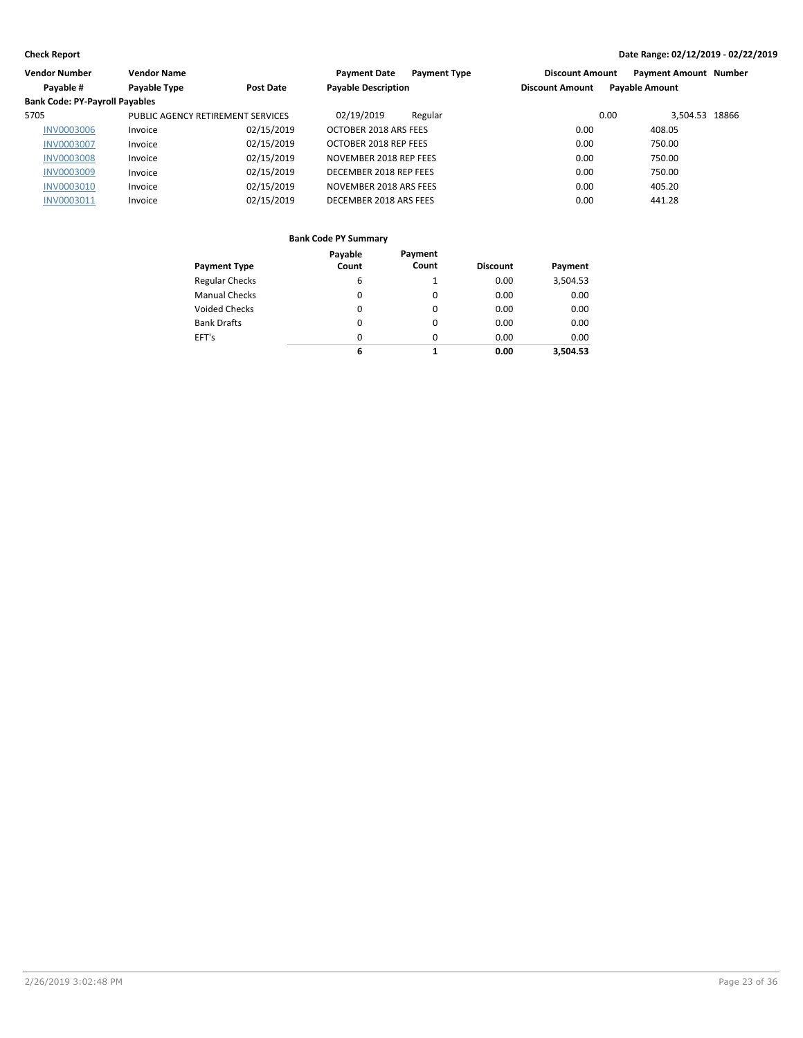| Vendor Number                         | <b>Vendor Name</b>                |                  | <b>Payment Type</b><br><b>Payment Date</b> | <b>Discount Amount</b> | <b>Payment Amount Number</b> |  |
|---------------------------------------|-----------------------------------|------------------|--------------------------------------------|------------------------|------------------------------|--|
| Payable #                             | Payable Type                      | <b>Post Date</b> | <b>Payable Description</b>                 | <b>Discount Amount</b> | <b>Payable Amount</b>        |  |
| <b>Bank Code: PY-Payroll Payables</b> |                                   |                  |                                            |                        |                              |  |
| 5705                                  | PUBLIC AGENCY RETIREMENT SERVICES |                  | 02/19/2019<br>Regular                      | 0.00                   | 3,504.53 18866               |  |
| <b>INV0003006</b>                     | Invoice                           | 02/15/2019       | OCTOBER 2018 ARS FEES                      | 0.00                   | 408.05                       |  |
| <b>INV0003007</b>                     | Invoice                           | 02/15/2019       | OCTOBER 2018 REP FEES                      | 0.00                   | 750.00                       |  |
| <b>INV0003008</b>                     | Invoice                           | 02/15/2019       | NOVEMBER 2018 REP FEES                     | 0.00                   | 750.00                       |  |
| <b>INV0003009</b>                     | Invoice                           | 02/15/2019       | DECEMBER 2018 REP FEES                     | 0.00                   | 750.00                       |  |
| <b>INV0003010</b>                     | Invoice                           | 02/15/2019       | NOVEMBER 2018 ARS FEES                     | 0.00                   | 405.20                       |  |
| <b>INV0003011</b>                     | Invoice                           | 02/15/2019       | DECEMBER 2018 ARS FEES                     | 0.00                   | 441.28                       |  |

|                       | Payable | Payment  |                 |          |
|-----------------------|---------|----------|-----------------|----------|
| <b>Payment Type</b>   | Count   | Count    | <b>Discount</b> | Payment  |
| <b>Regular Checks</b> | 6       |          | 0.00            | 3,504.53 |
| <b>Manual Checks</b>  | 0       | 0        | 0.00            | 0.00     |
| <b>Voided Checks</b>  | 0       | 0        | 0.00            | 0.00     |
| <b>Bank Drafts</b>    | 0       | 0        | 0.00            | 0.00     |
| EFT's                 | 0       | $\Omega$ | 0.00            | 0.00     |
|                       | 6       | 1        | 0.00            | 3.504.53 |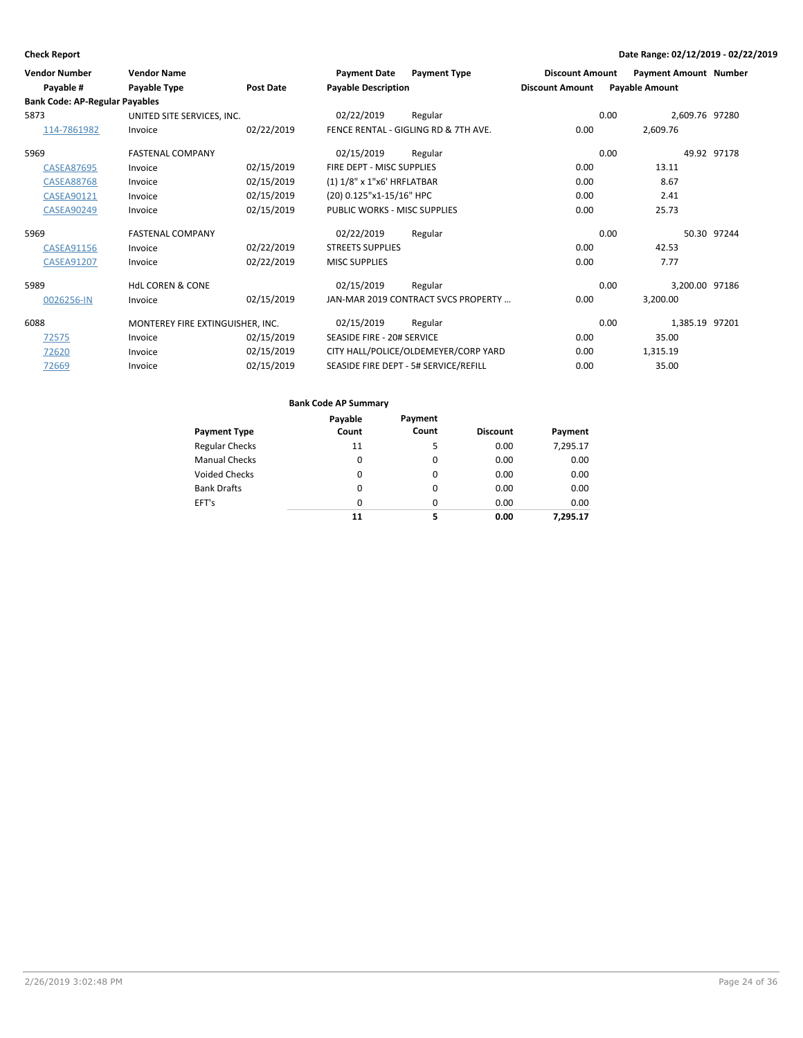| <b>Vendor Number</b>                  | <b>Vendor Name</b>               |            | <b>Payment Date</b>          | <b>Payment Type</b>                   | <b>Discount Amount</b> | <b>Payment Amount Number</b> |             |
|---------------------------------------|----------------------------------|------------|------------------------------|---------------------------------------|------------------------|------------------------------|-------------|
| Payable #                             | Payable Type                     | Post Date  | <b>Payable Description</b>   |                                       | <b>Discount Amount</b> | <b>Payable Amount</b>        |             |
| <b>Bank Code: AP-Regular Payables</b> |                                  |            |                              |                                       |                        |                              |             |
| 5873                                  | UNITED SITE SERVICES, INC.       |            | 02/22/2019                   | Regular                               |                        | 0.00<br>2,609.76 97280       |             |
| 114-7861982                           | Invoice                          | 02/22/2019 |                              | FENCE RENTAL - GIGLING RD & 7TH AVE.  | 0.00                   | 2,609.76                     |             |
| 5969                                  | <b>FASTENAL COMPANY</b>          |            | 02/15/2019                   | Regular                               |                        | 0.00                         | 49.92 97178 |
| <b>CASEA87695</b>                     | Invoice                          | 02/15/2019 | FIRE DEPT - MISC SUPPLIES    |                                       | 0.00                   | 13.11                        |             |
| <b>CASEA88768</b>                     | Invoice                          | 02/15/2019 | (1) 1/8" x 1"x6' HRFLATBAR   |                                       | 0.00                   | 8.67                         |             |
| CASEA90121                            | Invoice                          | 02/15/2019 | (20) 0.125"x1-15/16" HPC     |                                       | 0.00                   | 2.41                         |             |
| <b>CASEA90249</b>                     | Invoice                          | 02/15/2019 | PUBLIC WORKS - MISC SUPPLIES |                                       | 0.00                   | 25.73                        |             |
| 5969                                  | <b>FASTENAL COMPANY</b>          |            | 02/22/2019                   | Regular                               |                        | 0.00                         | 50.30 97244 |
| CASEA91156                            | Invoice                          | 02/22/2019 | <b>STREETS SUPPLIES</b>      |                                       | 0.00                   | 42.53                        |             |
| <b>CASEA91207</b>                     | Invoice                          | 02/22/2019 | <b>MISC SUPPLIES</b>         |                                       | 0.00                   | 7.77                         |             |
| 5989                                  | <b>HdL COREN &amp; CONE</b>      |            | 02/15/2019                   | Regular                               |                        | 0.00<br>3,200.00 97186       |             |
| 0026256-IN                            | Invoice                          | 02/15/2019 |                              | JAN-MAR 2019 CONTRACT SVCS PROPERTY   | 0.00                   | 3,200.00                     |             |
| 6088                                  | MONTEREY FIRE EXTINGUISHER, INC. |            | 02/15/2019                   | Regular                               |                        | 0.00<br>1,385.19 97201       |             |
| 72575                                 | Invoice                          | 02/15/2019 | SEASIDE FIRE - 20# SERVICE   |                                       | 0.00                   | 35.00                        |             |
| 72620                                 | Invoice                          | 02/15/2019 |                              | CITY HALL/POLICE/OLDEMEYER/CORP YARD  | 0.00                   | 1,315.19                     |             |
| 72669                                 | Invoice                          | 02/15/2019 |                              | SEASIDE FIRE DEPT - 5# SERVICE/REFILL | 0.00                   | 35.00                        |             |

| <b>Payment Type</b>   | Payable<br>Count | Payment<br>Count | <b>Discount</b> | Payment  |
|-----------------------|------------------|------------------|-----------------|----------|
| <b>Regular Checks</b> | 11               | 5                | 0.00            | 7,295.17 |
| <b>Manual Checks</b>  | 0                | 0                | 0.00            | 0.00     |
| Voided Checks         | 0                | 0                | 0.00            | 0.00     |
| <b>Bank Drafts</b>    | $\Omega$         | $\Omega$         | 0.00            | 0.00     |
| EFT's                 | $\Omega$         | $\Omega$         | 0.00            | 0.00     |
|                       | 11               | 5                | 0.00            | 7.295.17 |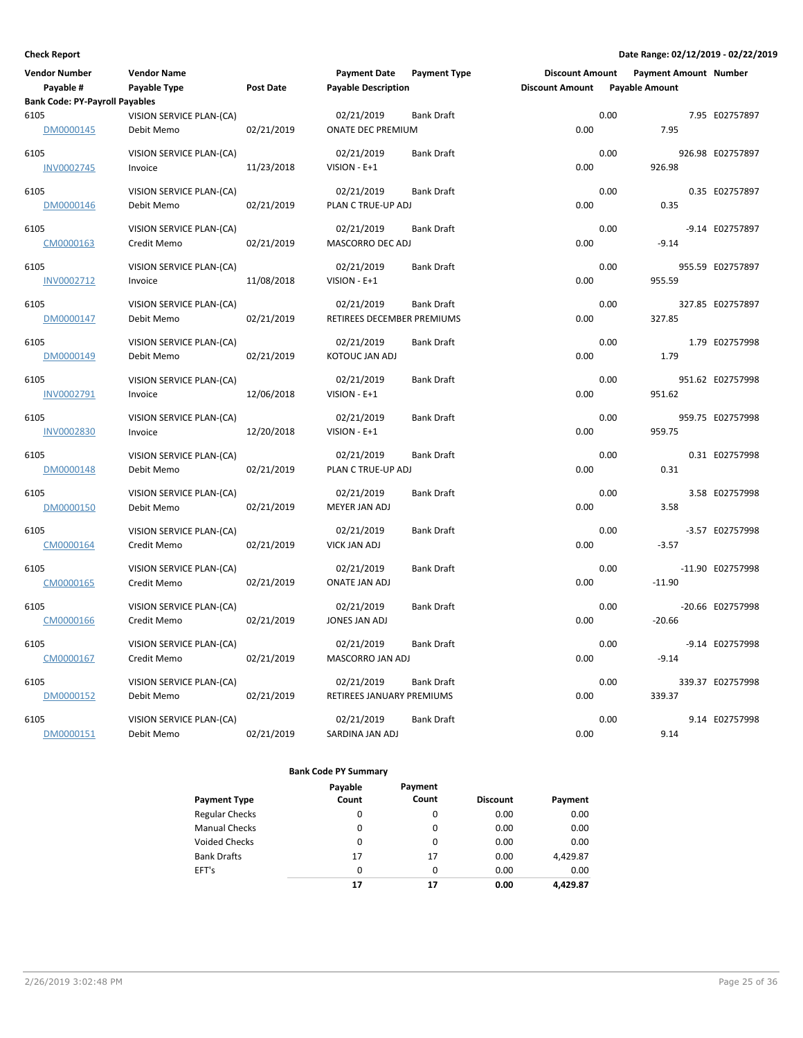| <b>Vendor Number</b>                  | <b>Vendor Name</b>       |                  | <b>Payment Date</b>        | <b>Payment Type</b> | <b>Discount Amount</b> |                       | Payment Amount Number |                  |
|---------------------------------------|--------------------------|------------------|----------------------------|---------------------|------------------------|-----------------------|-----------------------|------------------|
| Payable #                             | Payable Type             | <b>Post Date</b> | <b>Payable Description</b> |                     | <b>Discount Amount</b> | <b>Payable Amount</b> |                       |                  |
| <b>Bank Code: PY-Payroll Payables</b> |                          |                  |                            |                     |                        |                       |                       |                  |
| 6105                                  | VISION SERVICE PLAN-(CA) |                  | 02/21/2019                 | <b>Bank Draft</b>   |                        | 0.00                  |                       | 7.95 E02757897   |
| DM0000145                             | Debit Memo               | 02/21/2019       | ONATE DEC PREMIUM          |                     | 0.00                   |                       | 7.95                  |                  |
| 6105                                  | VISION SERVICE PLAN-(CA) |                  | 02/21/2019                 | <b>Bank Draft</b>   |                        | 0.00                  |                       | 926.98 E02757897 |
| <b>INV0002745</b>                     | Invoice                  | 11/23/2018       | VISION - E+1               |                     | 0.00                   |                       | 926.98                |                  |
|                                       |                          |                  |                            |                     |                        |                       |                       |                  |
| 6105                                  | VISION SERVICE PLAN-(CA) |                  | 02/21/2019                 | <b>Bank Draft</b>   |                        | 0.00                  |                       | 0.35 E02757897   |
| DM0000146                             | Debit Memo               | 02/21/2019       | PLAN C TRUE-UP ADJ         |                     | 0.00                   |                       | 0.35                  |                  |
| 6105                                  | VISION SERVICE PLAN-(CA) |                  | 02/21/2019                 | <b>Bank Draft</b>   |                        | 0.00                  |                       | -9.14 E02757897  |
| CM0000163                             | Credit Memo              | 02/21/2019       | MASCORRO DEC ADJ           |                     | 0.00                   |                       | $-9.14$               |                  |
|                                       |                          |                  |                            |                     |                        |                       |                       |                  |
| 6105                                  | VISION SERVICE PLAN-(CA) |                  | 02/21/2019                 | <b>Bank Draft</b>   |                        | 0.00                  |                       | 955.59 E02757897 |
| INV0002712                            | Invoice                  | 11/08/2018       | VISION - E+1               |                     | 0.00                   |                       | 955.59                |                  |
| 6105                                  | VISION SERVICE PLAN-(CA) |                  | 02/21/2019                 | <b>Bank Draft</b>   |                        | 0.00                  |                       | 327.85 E02757897 |
| DM0000147                             | Debit Memo               | 02/21/2019       | RETIREES DECEMBER PREMIUMS |                     | 0.00                   |                       | 327.85                |                  |
|                                       |                          |                  |                            |                     |                        |                       |                       |                  |
| 6105                                  | VISION SERVICE PLAN-(CA) |                  | 02/21/2019                 | <b>Bank Draft</b>   |                        | 0.00                  |                       | 1.79 E02757998   |
| DM0000149                             | Debit Memo               | 02/21/2019       | KOTOUC JAN ADJ             |                     | 0.00                   |                       | 1.79                  |                  |
| 6105                                  | VISION SERVICE PLAN-(CA) |                  | 02/21/2019                 | <b>Bank Draft</b>   |                        | 0.00                  |                       | 951.62 E02757998 |
| INV0002791                            | Invoice                  | 12/06/2018       | VISION - E+1               |                     | 0.00                   |                       | 951.62                |                  |
|                                       |                          |                  |                            |                     |                        |                       |                       |                  |
| 6105                                  | VISION SERVICE PLAN-(CA) |                  | 02/21/2019                 | <b>Bank Draft</b>   |                        | 0.00                  |                       | 959.75 E02757998 |
| INV0002830                            | Invoice                  | 12/20/2018       | VISION - E+1               |                     | 0.00                   |                       | 959.75                |                  |
| 6105                                  | VISION SERVICE PLAN-(CA) |                  | 02/21/2019                 | <b>Bank Draft</b>   |                        | 0.00                  |                       | 0.31 E02757998   |
| DM0000148                             | Debit Memo               | 02/21/2019       | PLAN C TRUE-UP ADJ         |                     | 0.00                   |                       | 0.31                  |                  |
|                                       |                          |                  |                            |                     |                        |                       |                       |                  |
| 6105                                  | VISION SERVICE PLAN-(CA) |                  | 02/21/2019                 | <b>Bank Draft</b>   |                        | 0.00                  |                       | 3.58 E02757998   |
| DM0000150                             | Debit Memo               | 02/21/2019       | MEYER JAN ADJ              |                     | 0.00                   |                       | 3.58                  |                  |
| 6105                                  | VISION SERVICE PLAN-(CA) |                  | 02/21/2019                 | <b>Bank Draft</b>   |                        | 0.00                  |                       | -3.57 E02757998  |
| CM0000164                             | Credit Memo              | 02/21/2019       | <b>VICK JAN ADJ</b>        |                     | 0.00                   |                       | $-3.57$               |                  |
|                                       |                          |                  |                            |                     |                        |                       |                       |                  |
| 6105                                  | VISION SERVICE PLAN-(CA) |                  | 02/21/2019                 | <b>Bank Draft</b>   |                        | 0.00                  |                       | -11.90 E02757998 |
| CM0000165                             | Credit Memo              | 02/21/2019       | ONATE JAN ADJ              |                     | 0.00                   |                       | $-11.90$              |                  |
| 6105                                  | VISION SERVICE PLAN-(CA) |                  | 02/21/2019                 | <b>Bank Draft</b>   |                        | 0.00                  |                       | -20.66 E02757998 |
| CM0000166                             | Credit Memo              | 02/21/2019       | JONES JAN ADJ              |                     | 0.00                   |                       | $-20.66$              |                  |
|                                       |                          |                  |                            |                     |                        |                       |                       |                  |
| 6105                                  | VISION SERVICE PLAN-(CA) |                  | 02/21/2019                 | <b>Bank Draft</b>   |                        | 0.00                  |                       | -9.14 E02757998  |
| CM0000167                             | Credit Memo              | 02/21/2019       | MASCORRO JAN ADJ           |                     | 0.00                   |                       | $-9.14$               |                  |
| 6105                                  | VISION SERVICE PLAN-(CA) |                  | 02/21/2019                 | <b>Bank Draft</b>   |                        | 0.00                  |                       | 339.37 E02757998 |
| DM0000152                             | Debit Memo               | 02/21/2019       | RETIREES JANUARY PREMIUMS  |                     | 0.00                   |                       | 339.37                |                  |
|                                       |                          |                  |                            |                     |                        |                       |                       |                  |
| 6105                                  | VISION SERVICE PLAN-(CA) |                  | 02/21/2019                 | <b>Bank Draft</b>   |                        | 0.00                  |                       | 9.14 E02757998   |
| DM0000151                             | Debit Memo               | 02/21/2019       | SARDINA JAN ADJ            |                     | 0.00                   |                       | 9.14                  |                  |

| <b>Payment Type</b>   | Payable<br>Count | Payment<br>Count | <b>Discount</b> | Payment  |
|-----------------------|------------------|------------------|-----------------|----------|
| <b>Regular Checks</b> | 0                | 0                | 0.00            | 0.00     |
| <b>Manual Checks</b>  | 0                | 0                | 0.00            | 0.00     |
| <b>Voided Checks</b>  | 0                | $\Omega$         | 0.00            | 0.00     |
| <b>Bank Drafts</b>    | 17               | 17               | 0.00            | 4,429.87 |
| EFT's                 | $\Omega$         | 0                | 0.00            | 0.00     |
|                       | 17               | 17               | 0.00            | 4,429.87 |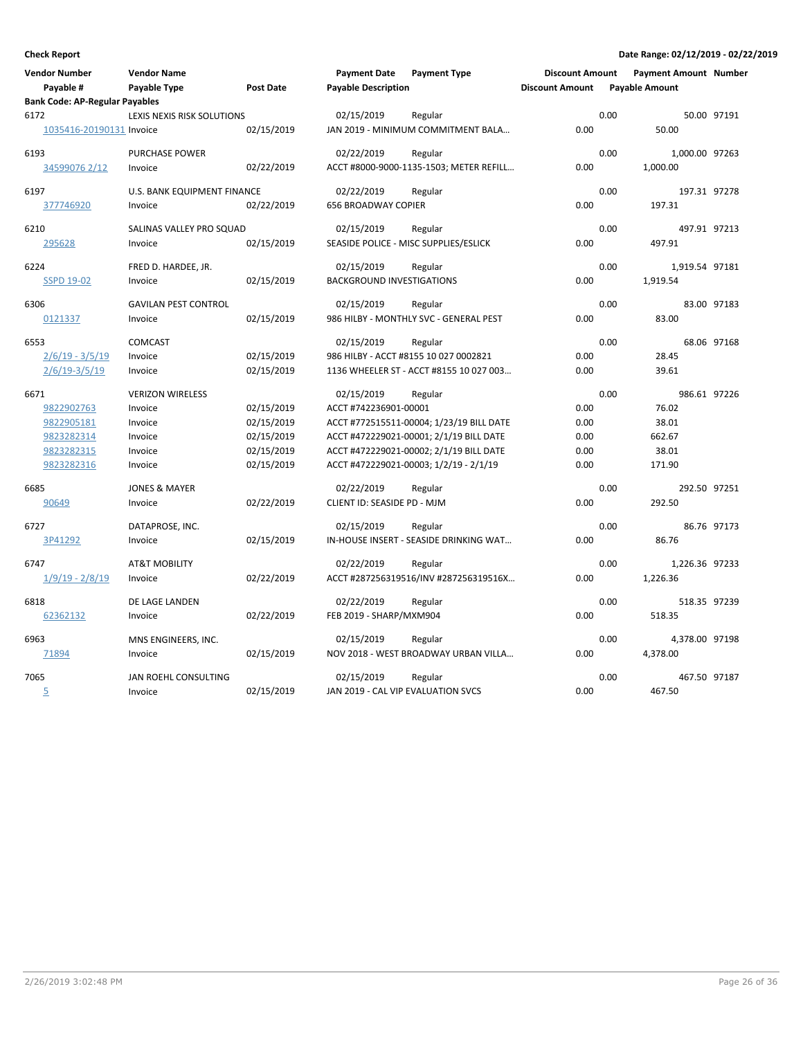| <b>Vendor Number</b><br>Payable #     | <b>Vendor Name</b><br>Payable Type | <b>Post Date</b> | <b>Payment Date</b><br><b>Payable Description</b>                | <b>Payment Type</b> | <b>Discount Amount</b><br><b>Discount Amount</b> | <b>Payment Amount Number</b><br><b>Payable Amount</b> |              |
|---------------------------------------|------------------------------------|------------------|------------------------------------------------------------------|---------------------|--------------------------------------------------|-------------------------------------------------------|--------------|
| <b>Bank Code: AP-Regular Payables</b> |                                    |                  |                                                                  |                     |                                                  |                                                       |              |
| 6172<br>1035416-20190131 Invoice      | LEXIS NEXIS RISK SOLUTIONS         | 02/15/2019       | 02/15/2019<br>Regular<br>JAN 2019 - MINIMUM COMMITMENT BALA      |                     | 0.00                                             | 0.00<br>50.00                                         | 50.00 97191  |
| 6193<br>34599076 2/12                 | <b>PURCHASE POWER</b><br>Invoice   | 02/22/2019       | 02/22/2019<br>Regular<br>ACCT #8000-9000-1135-1503; METER REFILL |                     | 0.00                                             | 0.00<br>1,000.00 97263<br>1,000.00                    |              |
| 6197                                  | U.S. BANK EQUIPMENT FINANCE        |                  | 02/22/2019<br>Regular                                            |                     |                                                  | 0.00                                                  | 197.31 97278 |
| 377746920                             | Invoice                            | 02/22/2019       | <b>656 BROADWAY COPIER</b>                                       |                     | 0.00                                             | 197.31                                                |              |
| 6210                                  | SALINAS VALLEY PRO SQUAD           |                  | 02/15/2019<br>Regular                                            |                     |                                                  | 0.00                                                  | 497.91 97213 |
| 295628                                | Invoice                            | 02/15/2019       | SEASIDE POLICE - MISC SUPPLIES/ESLICK                            |                     | 0.00                                             | 497.91                                                |              |
| 6224                                  | FRED D. HARDEE, JR.                |                  | 02/15/2019<br>Regular                                            |                     |                                                  | 0.00<br>1,919.54 97181                                |              |
| <b>SSPD 19-02</b>                     | Invoice                            | 02/15/2019       | <b>BACKGROUND INVESTIGATIONS</b>                                 |                     | 0.00                                             | 1,919.54                                              |              |
| 6306                                  | <b>GAVILAN PEST CONTROL</b>        |                  | 02/15/2019<br>Regular                                            |                     |                                                  | 0.00                                                  | 83.00 97183  |
| 0121337                               | Invoice                            | 02/15/2019       | 986 HILBY - MONTHLY SVC - GENERAL PEST                           |                     | 0.00                                             | 83.00                                                 |              |
| 6553                                  | <b>COMCAST</b>                     |                  | 02/15/2019<br>Regular                                            |                     |                                                  | 0.00                                                  | 68.06 97168  |
| $2/6/19 - 3/5/19$                     | Invoice                            | 02/15/2019       | 986 HILBY - ACCT #8155 10 027 0002821                            |                     | 0.00                                             | 28.45                                                 |              |
| $2/6/19-3/5/19$                       | Invoice                            | 02/15/2019       | 1136 WHEELER ST - ACCT #8155 10 027 003                          |                     | 0.00                                             | 39.61                                                 |              |
| 6671                                  | <b>VERIZON WIRELESS</b>            |                  | 02/15/2019<br>Regular                                            |                     |                                                  | 0.00                                                  | 986.61 97226 |
| 9822902763                            | Invoice                            | 02/15/2019       | ACCT #742236901-00001                                            |                     | 0.00                                             | 76.02                                                 |              |
| 9822905181                            | Invoice                            | 02/15/2019       | ACCT #772515511-00004; 1/23/19 BILL DATE                         |                     | 0.00                                             | 38.01                                                 |              |
| 9823282314                            | Invoice                            | 02/15/2019       | ACCT #472229021-00001; 2/1/19 BILL DATE                          |                     | 0.00                                             | 662.67                                                |              |
| 9823282315                            | Invoice                            | 02/15/2019       | ACCT #472229021-00002; 2/1/19 BILL DATE                          |                     | 0.00                                             | 38.01                                                 |              |
| 9823282316                            | Invoice                            | 02/15/2019       | ACCT #472229021-00003; 1/2/19 - 2/1/19                           |                     | 0.00                                             | 171.90                                                |              |
| 6685                                  | <b>JONES &amp; MAYER</b>           |                  | 02/22/2019<br>Regular                                            |                     |                                                  | 0.00                                                  | 292.50 97251 |
| 90649                                 | Invoice                            | 02/22/2019       | CLIENT ID: SEASIDE PD - MJM                                      |                     | 0.00                                             | 292.50                                                |              |
| 6727                                  | DATAPROSE, INC.                    |                  | 02/15/2019<br>Regular                                            |                     |                                                  | 0.00                                                  | 86.76 97173  |
| 3P41292                               | Invoice                            | 02/15/2019       | IN-HOUSE INSERT - SEASIDE DRINKING WAT                           |                     | 0.00                                             | 86.76                                                 |              |
| 6747                                  | <b>AT&amp;T MOBILITY</b>           |                  | 02/22/2019<br>Regular                                            |                     |                                                  | 0.00<br>1,226.36 97233                                |              |
| $1/9/19 - 2/8/19$                     | Invoice                            | 02/22/2019       | ACCT #287256319516/INV #287256319516X                            |                     | 0.00                                             | 1,226.36                                              |              |
| 6818                                  | DE LAGE LANDEN                     |                  | 02/22/2019<br>Regular                                            |                     |                                                  | 0.00                                                  | 518.35 97239 |
| 62362132                              | Invoice                            | 02/22/2019       | FEB 2019 - SHARP/MXM904                                          |                     | 0.00                                             | 518.35                                                |              |
| 6963                                  | MNS ENGINEERS, INC.                |                  | 02/15/2019<br>Regular                                            |                     |                                                  | 0.00<br>4,378.00 97198                                |              |
| 71894                                 | Invoice                            | 02/15/2019       | NOV 2018 - WEST BROADWAY URBAN VILLA                             |                     | 0.00                                             | 4,378.00                                              |              |
| 7065                                  | JAN ROEHL CONSULTING               |                  | 02/15/2019<br>Regular                                            |                     |                                                  | 0.00                                                  | 467.50 97187 |
| 5                                     | Invoice                            | 02/15/2019       | JAN 2019 - CAL VIP EVALUATION SVCS                               |                     | 0.00                                             | 467.50                                                |              |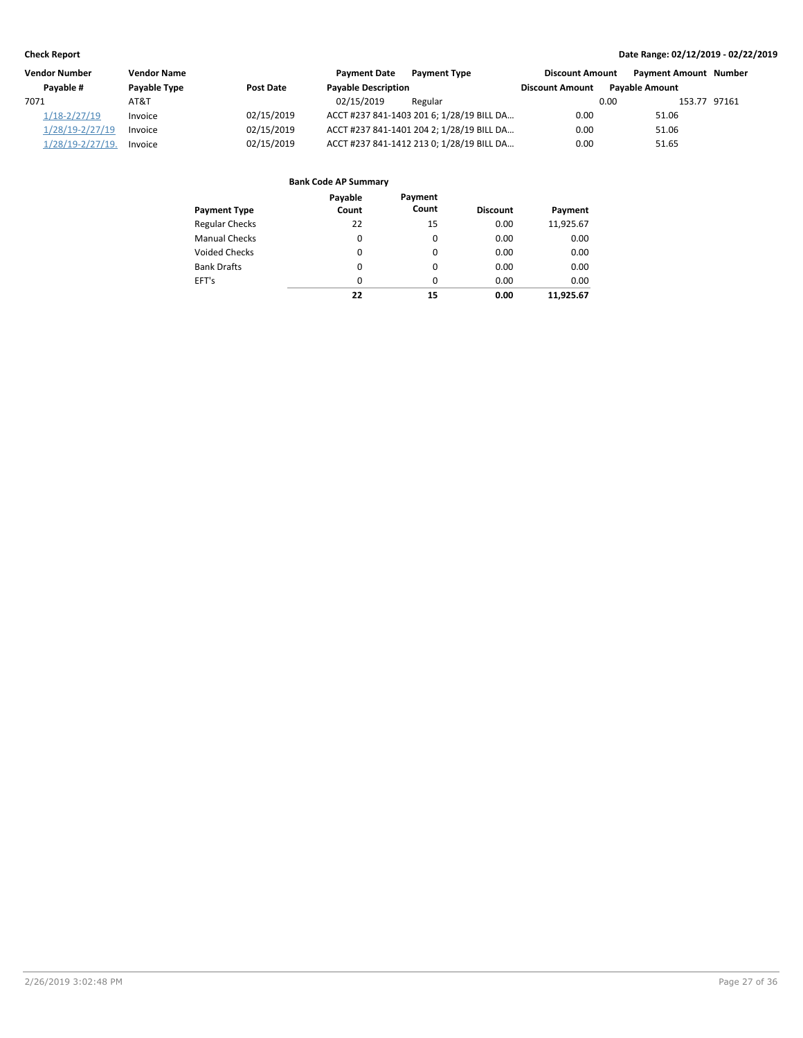| Vendor Number         | <b>Vendor Name</b> |            | <b>Payment Date</b>        | <b>Payment Type</b>                       | <b>Discount Amount</b> |                       | <b>Payment Amount Number</b> |  |
|-----------------------|--------------------|------------|----------------------------|-------------------------------------------|------------------------|-----------------------|------------------------------|--|
| Pavable #             | Payable Type       | Post Date  | <b>Payable Description</b> |                                           | <b>Discount Amount</b> | <b>Pavable Amount</b> |                              |  |
| 7071                  | AT&T               |            | 02/15/2019                 | Regular                                   |                        | 0.00                  | 153.77 97161                 |  |
| $1/18 - 2/27/19$      | Invoice            | 02/15/2019 |                            | ACCT #237 841-1403 201 6; 1/28/19 BILL DA | 0.00                   | 51.06                 |                              |  |
| 1/28/19-2/27/19       | Invoice            | 02/15/2019 |                            | ACCT #237 841-1401 204 2; 1/28/19 BILL DA | 0.00                   | 51.06                 |                              |  |
| $1/28/19 - 2/27/19$ . | Invoice            | 02/15/2019 |                            | ACCT #237 841-1412 213 0; 1/28/19 BILL DA | 0.00                   | 51.65                 |                              |  |

| <b>Payment Type</b>   | Payable<br>Count | Payment<br>Count | <b>Discount</b> | Payment   |
|-----------------------|------------------|------------------|-----------------|-----------|
| <b>Regular Checks</b> | 22               | 15               | 0.00            | 11,925.67 |
| <b>Manual Checks</b>  | 0                | $\Omega$         | 0.00            | 0.00      |
| <b>Voided Checks</b>  | 0                | $\Omega$         | 0.00            | 0.00      |
| <b>Bank Drafts</b>    | $\Omega$         | $\Omega$         | 0.00            | 0.00      |
| EFT's                 | $\Omega$         | $\Omega$         | 0.00            | 0.00      |
|                       | 22               | 15               | 0.00            | 11.925.67 |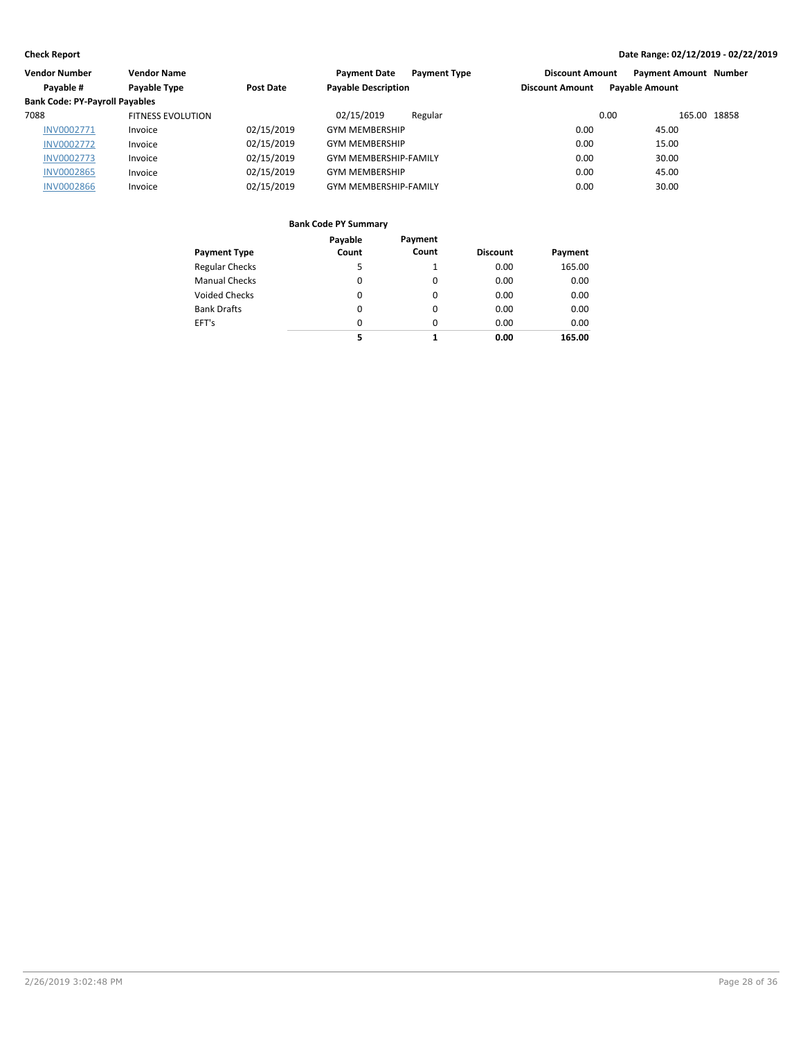| Vendor Number                         | <b>Vendor Name</b>       |            | <b>Payment Type</b><br><b>Payment Date</b> | <b>Discount Amount</b> | <b>Payment Amount Number</b> |
|---------------------------------------|--------------------------|------------|--------------------------------------------|------------------------|------------------------------|
| Payable #                             | Payable Type             | Post Date  | <b>Payable Description</b>                 | <b>Discount Amount</b> | <b>Payable Amount</b>        |
| <b>Bank Code: PY-Payroll Payables</b> |                          |            |                                            |                        |                              |
| 7088                                  | <b>FITNESS EVOLUTION</b> |            | 02/15/2019<br>Regular                      | 0.00                   | 165.00 18858                 |
| <b>INV0002771</b>                     | Invoice                  | 02/15/2019 | <b>GYM MEMBERSHIP</b>                      | 0.00                   | 45.00                        |
| <b>INV0002772</b>                     | Invoice                  | 02/15/2019 | <b>GYM MEMBERSHIP</b>                      | 0.00                   | 15.00                        |
| <b>INV0002773</b>                     | Invoice                  | 02/15/2019 | <b>GYM MEMBERSHIP-FAMILY</b>               | 0.00                   | 30.00                        |
| <b>INV0002865</b>                     | Invoice                  | 02/15/2019 | <b>GYM MEMBERSHIP</b>                      | 0.00                   | 45.00                        |
| <b>INV0002866</b>                     | Invoice                  | 02/15/2019 | <b>GYM MEMBERSHIP-FAMILY</b>               | 0.00                   | 30.00                        |
|                                       |                          |            |                                            |                        |                              |

|                       | Payable  | Payment  |                 |         |
|-----------------------|----------|----------|-----------------|---------|
| <b>Payment Type</b>   | Count    | Count    | <b>Discount</b> | Payment |
| <b>Regular Checks</b> | 5        |          | 0.00            | 165.00  |
| <b>Manual Checks</b>  | 0        | $\Omega$ | 0.00            | 0.00    |
| Voided Checks         | 0        | 0        | 0.00            | 0.00    |
| <b>Bank Drafts</b>    | 0        | $\Omega$ | 0.00            | 0.00    |
| EFT's                 | $\Omega$ | $\Omega$ | 0.00            | 0.00    |
|                       | 5        | 1        | 0.00            | 165.00  |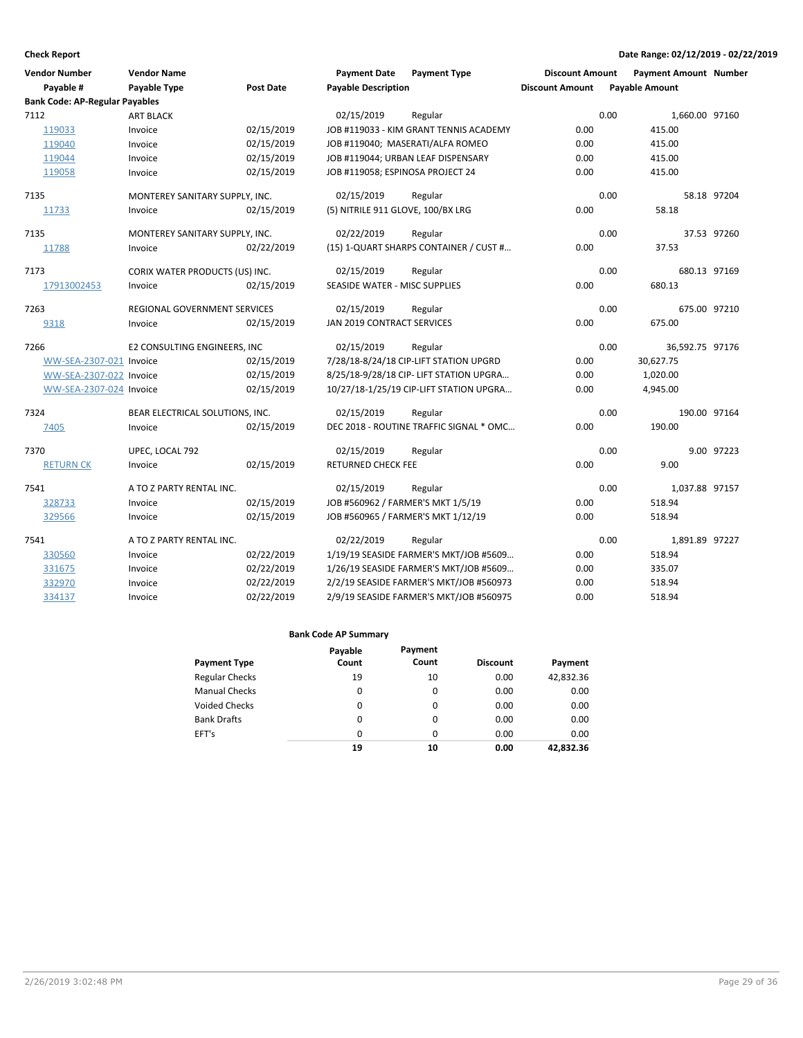| <b>Vendor Number</b>                          | <b>Vendor Name</b>                  |            | <b>Payment Date</b>                  | <b>Payment Type</b>                     | <b>Discount Amount</b> |      | <b>Payment Amount Number</b> |             |
|-----------------------------------------------|-------------------------------------|------------|--------------------------------------|-----------------------------------------|------------------------|------|------------------------------|-------------|
| Payable #                                     | <b>Payable Type</b>                 | Post Date  | <b>Payable Description</b>           |                                         | <b>Discount Amount</b> |      | <b>Payable Amount</b>        |             |
| <b>Bank Code: AP-Regular Payables</b><br>7112 |                                     |            |                                      |                                         |                        | 0.00 |                              |             |
|                                               | <b>ART BLACK</b>                    |            | 02/15/2019                           | Regular                                 |                        |      | 1,660.00 97160               |             |
| 119033                                        | Invoice                             | 02/15/2019 |                                      | JOB #119033 - KIM GRANT TENNIS ACADEMY  | 0.00                   |      | 415.00                       |             |
| 119040                                        | Invoice                             | 02/15/2019 |                                      | JOB #119040; MASERATI/ALFA ROMEO        | 0.00                   |      | 415.00                       |             |
| 119044                                        | Invoice                             | 02/15/2019 |                                      | JOB #119044; URBAN LEAF DISPENSARY      | 0.00                   |      | 415.00                       |             |
| 119058                                        | Invoice                             | 02/15/2019 | JOB #119058; ESPINOSA PROJECT 24     |                                         | 0.00                   |      | 415.00                       |             |
| 7135                                          | MONTEREY SANITARY SUPPLY, INC.      |            | 02/15/2019                           | Regular                                 |                        | 0.00 |                              | 58.18 97204 |
| 11733                                         | Invoice                             | 02/15/2019 | (5) NITRILE 911 GLOVE, 100/BX LRG    |                                         | 0.00                   |      | 58.18                        |             |
| 7135                                          | MONTEREY SANITARY SUPPLY, INC.      |            | 02/22/2019                           | Regular                                 |                        | 0.00 |                              | 37.53 97260 |
| 11788                                         | Invoice                             | 02/22/2019 |                                      | (15) 1-QUART SHARPS CONTAINER / CUST #  | 0.00                   |      | 37.53                        |             |
| 7173                                          | CORIX WATER PRODUCTS (US) INC.      |            | 02/15/2019                           | Regular                                 |                        | 0.00 | 680.13 97169                 |             |
| 17913002453                                   | Invoice                             | 02/15/2019 | <b>SEASIDE WATER - MISC SUPPLIES</b> |                                         | 0.00                   |      | 680.13                       |             |
| 7263                                          | <b>REGIONAL GOVERNMENT SERVICES</b> |            | 02/15/2019                           | Regular                                 |                        | 0.00 | 675.00 97210                 |             |
| 9318                                          | Invoice                             | 02/15/2019 | JAN 2019 CONTRACT SERVICES           |                                         | 0.00                   |      | 675.00                       |             |
| 7266                                          | E2 CONSULTING ENGINEERS. INC        |            | 02/15/2019                           | Regular                                 |                        | 0.00 | 36,592.75 97176              |             |
| WW-SEA-2307-021 Invoice                       |                                     | 02/15/2019 |                                      | 7/28/18-8/24/18 CIP-LIFT STATION UPGRD  | 0.00                   |      | 30,627.75                    |             |
| WW-SEA-2307-022 Invoice                       |                                     | 02/15/2019 |                                      | 8/25/18-9/28/18 CIP- LIFT STATION UPGRA | 0.00                   |      | 1,020.00                     |             |
| WW-SEA-2307-024 Invoice                       |                                     | 02/15/2019 |                                      | 10/27/18-1/25/19 CIP-LIFT STATION UPGRA | 0.00                   |      | 4,945.00                     |             |
| 7324                                          | BEAR ELECTRICAL SOLUTIONS, INC.     |            | 02/15/2019                           | Regular                                 |                        | 0.00 | 190.00 97164                 |             |
| 7405                                          | Invoice                             | 02/15/2019 |                                      | DEC 2018 - ROUTINE TRAFFIC SIGNAL * OMC | 0.00                   |      | 190.00                       |             |
| 7370                                          | UPEC, LOCAL 792                     |            | 02/15/2019                           | Regular                                 |                        | 0.00 |                              | 9.00 97223  |
| <b>RETURN CK</b>                              | Invoice                             | 02/15/2019 | <b>RETURNED CHECK FEE</b>            |                                         | 0.00                   |      | 9.00                         |             |
| 7541                                          | A TO Z PARTY RENTAL INC.            |            | 02/15/2019                           | Regular                                 |                        | 0.00 | 1,037.88 97157               |             |
| 328733                                        | Invoice                             | 02/15/2019 | JOB #560962 / FARMER'S MKT 1/5/19    |                                         | 0.00                   |      | 518.94                       |             |
| 329566                                        | Invoice                             | 02/15/2019 |                                      | JOB #560965 / FARMER'S MKT 1/12/19      | 0.00                   |      | 518.94                       |             |
| 7541                                          | A TO Z PARTY RENTAL INC.            |            | 02/22/2019                           | Regular                                 |                        | 0.00 | 1,891.89 97227               |             |
| 330560                                        | Invoice                             | 02/22/2019 |                                      | 1/19/19 SEASIDE FARMER'S MKT/JOB #5609  | 0.00                   |      | 518.94                       |             |
| 331675                                        | Invoice                             | 02/22/2019 |                                      | 1/26/19 SEASIDE FARMER'S MKT/JOB #5609  | 0.00                   |      | 335.07                       |             |
| 332970                                        | Invoice                             | 02/22/2019 |                                      | 2/2/19 SEASIDE FARMER'S MKT/JOB #560973 | 0.00                   |      | 518.94                       |             |
| 334137                                        | Invoice                             | 02/22/2019 |                                      | 2/9/19 SEASIDE FARMER'S MKT/JOB #560975 | 0.00                   |      | 518.94                       |             |

|                       | Payable | Payment  |                 |           |
|-----------------------|---------|----------|-----------------|-----------|
| <b>Payment Type</b>   | Count   | Count    | <b>Discount</b> | Payment   |
| <b>Regular Checks</b> | 19      | 10       | 0.00            | 42,832.36 |
| <b>Manual Checks</b>  | 0       | 0        | 0.00            | 0.00      |
| <b>Voided Checks</b>  | 0       | $\Omega$ | 0.00            | 0.00      |
| <b>Bank Drafts</b>    | 0       | 0        | 0.00            | 0.00      |
| EFT's                 | 0       | $\Omega$ | 0.00            | 0.00      |
|                       | 19      | 10       | 0.00            | 42.832.36 |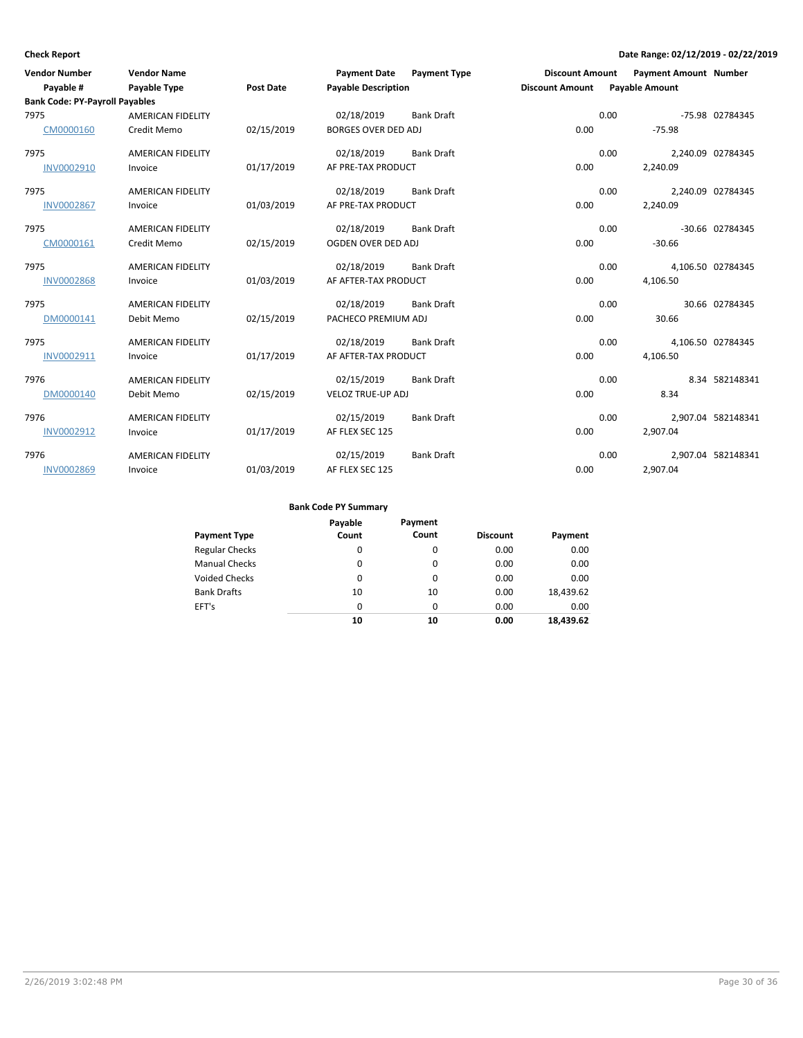| <b>Vendor Number</b><br>Payable #             | <b>Vendor Name</b><br>Payable Type | <b>Post Date</b> | <b>Payment Date</b><br><b>Payable Description</b> | <b>Payment Type</b> | <b>Discount Amount</b><br><b>Discount Amount</b> |      | <b>Payment Amount Number</b><br><b>Payable Amount</b> |                    |
|-----------------------------------------------|------------------------------------|------------------|---------------------------------------------------|---------------------|--------------------------------------------------|------|-------------------------------------------------------|--------------------|
| <b>Bank Code: PY-Payroll Payables</b><br>7975 | <b>AMERICAN FIDELITY</b>           |                  | 02/18/2019                                        | <b>Bank Draft</b>   |                                                  | 0.00 |                                                       | -75.98 02784345    |
| CM0000160                                     | Credit Memo                        | 02/15/2019       | <b>BORGES OVER DED ADJ</b>                        |                     | 0.00                                             |      | $-75.98$                                              |                    |
| 7975                                          | <b>AMERICAN FIDELITY</b>           |                  | 02/18/2019                                        | <b>Bank Draft</b>   |                                                  | 0.00 |                                                       | 2,240.09 02784345  |
| INV0002910                                    | Invoice                            | 01/17/2019       | AF PRE-TAX PRODUCT                                |                     | 0.00                                             |      | 2,240.09                                              |                    |
| 7975                                          | <b>AMERICAN FIDELITY</b>           |                  | 02/18/2019                                        | <b>Bank Draft</b>   |                                                  | 0.00 |                                                       | 2,240.09 02784345  |
| <b>INV0002867</b>                             | Invoice                            | 01/03/2019       | AF PRE-TAX PRODUCT                                |                     | 0.00                                             |      | 2,240.09                                              |                    |
| 7975                                          | <b>AMERICAN FIDELITY</b>           |                  | 02/18/2019                                        | <b>Bank Draft</b>   |                                                  | 0.00 |                                                       | -30.66 02784345    |
| CM0000161                                     | Credit Memo                        | 02/15/2019       | OGDEN OVER DED ADJ                                |                     | 0.00                                             |      | $-30.66$                                              |                    |
| 7975                                          | <b>AMERICAN FIDELITY</b>           |                  | 02/18/2019                                        | <b>Bank Draft</b>   |                                                  | 0.00 |                                                       | 4,106.50 02784345  |
| <b>INV0002868</b>                             | Invoice                            | 01/03/2019       | AF AFTER-TAX PRODUCT                              |                     | 0.00                                             |      | 4,106.50                                              |                    |
| 7975                                          | <b>AMERICAN FIDELITY</b>           |                  | 02/18/2019                                        | <b>Bank Draft</b>   |                                                  | 0.00 |                                                       | 30.66 02784345     |
| DM0000141                                     | Debit Memo                         | 02/15/2019       | PACHECO PREMIUM ADJ                               |                     | 0.00                                             |      | 30.66                                                 |                    |
| 7975                                          | <b>AMERICAN FIDELITY</b>           |                  | 02/18/2019                                        | <b>Bank Draft</b>   |                                                  | 0.00 |                                                       | 4,106.50 02784345  |
| INV0002911                                    | Invoice                            | 01/17/2019       | AF AFTER-TAX PRODUCT                              |                     | 0.00                                             |      | 4,106.50                                              |                    |
| 7976                                          | AMERICAN FIDELITY                  |                  | 02/15/2019                                        | <b>Bank Draft</b>   |                                                  | 0.00 |                                                       | 8.34 582148341     |
| DM0000140                                     | Debit Memo                         | 02/15/2019       | <b>VELOZ TRUE-UP ADJ</b>                          |                     | 0.00                                             |      | 8.34                                                  |                    |
| 7976                                          | <b>AMERICAN FIDELITY</b>           |                  | 02/15/2019                                        | <b>Bank Draft</b>   |                                                  | 0.00 |                                                       | 2,907.04 582148341 |
| INV0002912                                    | Invoice                            | 01/17/2019       | AF FLEX SEC 125                                   |                     | 0.00                                             |      | 2,907.04                                              |                    |
| 7976                                          | <b>AMERICAN FIDELITY</b>           |                  | 02/15/2019                                        | <b>Bank Draft</b>   |                                                  | 0.00 |                                                       | 2,907.04 582148341 |
| <b>INV0002869</b>                             | Invoice                            | 01/03/2019       | AF FLEX SEC 125                                   |                     | 0.00                                             |      | 2,907.04                                              |                    |

| <b>Payment Type</b>   | Payable<br>Count | Payment<br>Count | <b>Discount</b> | Payment   |
|-----------------------|------------------|------------------|-----------------|-----------|
| <b>Regular Checks</b> | 0                | $\Omega$         | 0.00            | 0.00      |
| <b>Manual Checks</b>  | 0                | $\Omega$         | 0.00            | 0.00      |
| <b>Voided Checks</b>  | 0                | $\Omega$         | 0.00            | 0.00      |
| <b>Bank Drafts</b>    | 10               | 10               | 0.00            | 18,439.62 |
| EFT's                 | 0                | $\Omega$         | 0.00            | 0.00      |
|                       | 10               | 10               | 0.00            | 18,439.62 |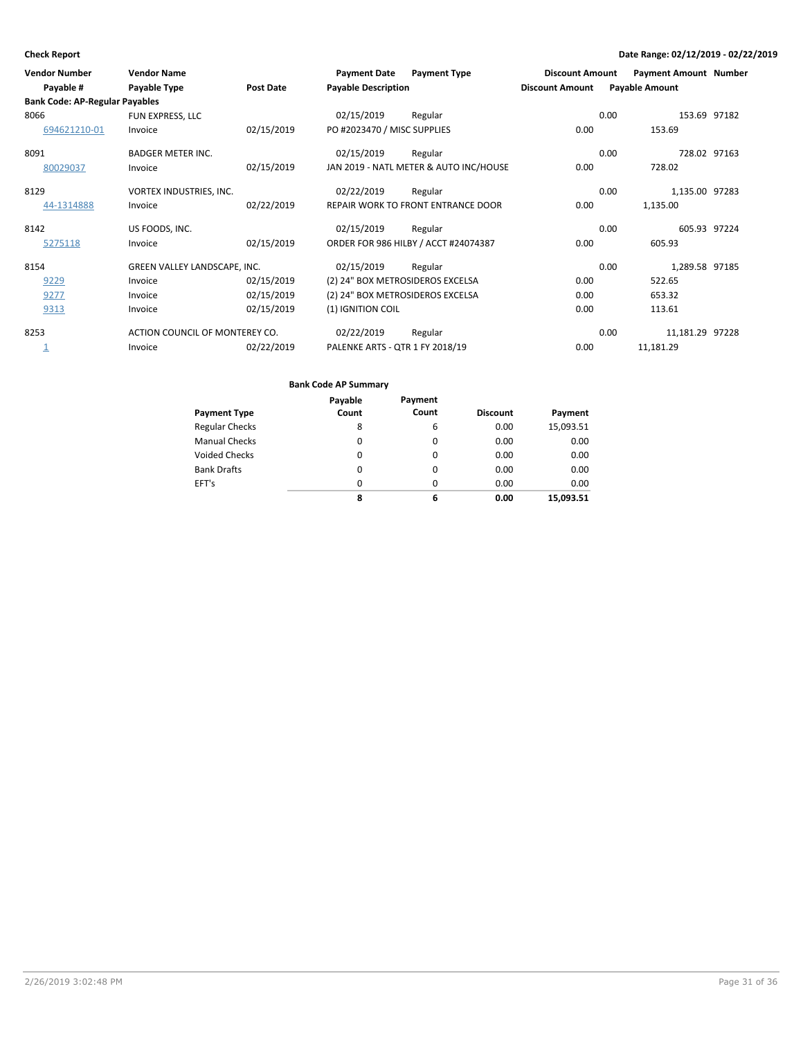| <b>Vendor Number</b>                  | <b>Vendor Name</b>             |            | <b>Payment Date</b>              | <b>Payment Type</b>                       | <b>Discount Amount</b> | <b>Payment Amount Number</b> |              |
|---------------------------------------|--------------------------------|------------|----------------------------------|-------------------------------------------|------------------------|------------------------------|--------------|
| Payable #                             | Payable Type                   | Post Date  | <b>Payable Description</b>       |                                           | <b>Discount Amount</b> | <b>Payable Amount</b>        |              |
| <b>Bank Code: AP-Regular Payables</b> |                                |            |                                  |                                           |                        |                              |              |
| 8066                                  | FUN EXPRESS, LLC               |            | 02/15/2019                       | Regular                                   |                        | 0.00                         | 153.69 97182 |
| 694621210-01                          | Invoice                        | 02/15/2019 | PO #2023470 / MISC SUPPLIES      |                                           | 0.00                   | 153.69                       |              |
| 8091                                  | <b>BADGER METER INC.</b>       |            | 02/15/2019                       | Regular                                   |                        | 0.00                         | 728.02 97163 |
| 80029037                              | Invoice                        | 02/15/2019 |                                  | JAN 2019 - NATL METER & AUTO INC/HOUSE    | 0.00                   | 728.02                       |              |
| 8129                                  | VORTEX INDUSTRIES, INC.        |            | 02/22/2019                       | Regular                                   |                        | 1,135.00 97283<br>0.00       |              |
| 44-1314888                            | Invoice                        | 02/22/2019 |                                  | <b>REPAIR WORK TO FRONT ENTRANCE DOOR</b> | 0.00                   | 1,135.00                     |              |
| 8142                                  | US FOODS, INC.                 |            | 02/15/2019                       | Regular                                   |                        | 0.00                         | 605.93 97224 |
| 5275118                               | Invoice                        | 02/15/2019 |                                  | ORDER FOR 986 HILBY / ACCT #24074387      | 0.00                   | 605.93                       |              |
| 8154                                  | GREEN VALLEY LANDSCAPE, INC.   |            | 02/15/2019                       | Regular                                   |                        | 0.00<br>1,289.58 97185       |              |
| 9229                                  | Invoice                        | 02/15/2019 | (2) 24" BOX METROSIDEROS EXCELSA |                                           | 0.00                   | 522.65                       |              |
| 9277                                  | Invoice                        | 02/15/2019 | (2) 24" BOX METROSIDEROS EXCELSA |                                           | 0.00                   | 653.32                       |              |
| 9313                                  | Invoice                        | 02/15/2019 | (1) IGNITION COIL                |                                           | 0.00                   | 113.61                       |              |
| 8253                                  | ACTION COUNCIL OF MONTEREY CO. |            | 02/22/2019                       | Regular                                   |                        | 0.00<br>11,181.29 97228      |              |
| ᆂ                                     | Invoice                        | 02/22/2019 | PALENKE ARTS - QTR 1 FY 2018/19  |                                           | 0.00                   | 11,181.29                    |              |

|                       | Payable | Payment  |                 |           |
|-----------------------|---------|----------|-----------------|-----------|
| <b>Payment Type</b>   | Count   | Count    | <b>Discount</b> | Payment   |
| <b>Regular Checks</b> | 8       | 6        | 0.00            | 15,093.51 |
| <b>Manual Checks</b>  | 0       | $\Omega$ | 0.00            | 0.00      |
| <b>Voided Checks</b>  | 0       | $\Omega$ | 0.00            | 0.00      |
| <b>Bank Drafts</b>    | 0       | $\Omega$ | 0.00            | 0.00      |
| EFT's                 | 0       | $\Omega$ | 0.00            | 0.00      |
|                       | 8       | 6        | 0.00            | 15,093.51 |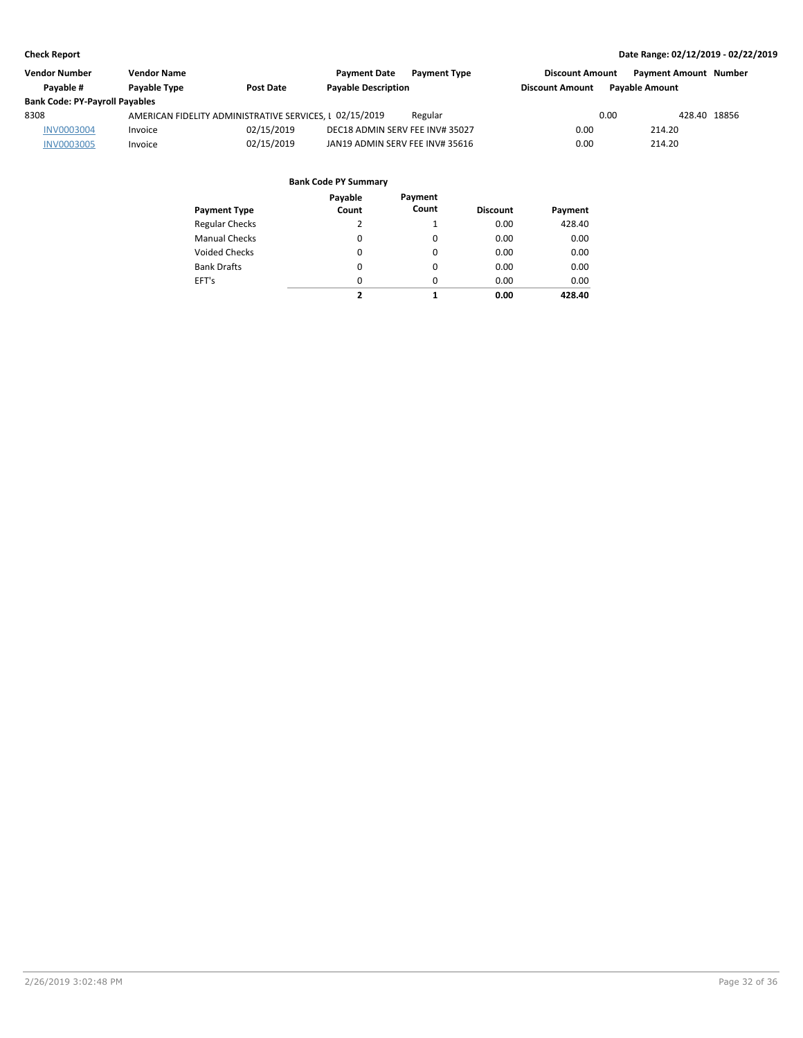| <b>Vendor Number</b>                  | <b>Vendor Name</b>  |                                                         | <b>Payment Date</b><br><b>Payment Type</b> | <b>Discount Amount</b> | <b>Payment Amount Number</b> |
|---------------------------------------|---------------------|---------------------------------------------------------|--------------------------------------------|------------------------|------------------------------|
| Pavable #                             | <b>Pavable Type</b> | <b>Post Date</b>                                        | <b>Payable Description</b>                 | <b>Discount Amount</b> | <b>Pavable Amount</b>        |
| <b>Bank Code: PY-Payroll Payables</b> |                     |                                                         |                                            |                        |                              |
| 8308                                  |                     | AMERICAN FIDELITY ADMINISTRATIVE SERVICES, I 02/15/2019 | Regular                                    | 0.00                   | 428.40 18856                 |
| <b>INV0003004</b>                     | Invoice             | 02/15/2019                                              | DEC18 ADMIN SERV FEE INV# 35027            | 0.00                   | 214.20                       |
| <b>INV0003005</b>                     | Invoice             | 02/15/2019                                              | JAN19 ADMIN SERV FEE INV# 35616            | 0.00                   | 214.20                       |

| Payment Type         | Payable<br>Count | Payment<br>Count | <b>Discount</b> | Payment |
|----------------------|------------------|------------------|-----------------|---------|
| Regular Checks       | 2                | 1                | 0.00            | 428.40  |
| <b>Manual Checks</b> | 0                | 0                | 0.00            | 0.00    |
| Voided Checks        | 0                | 0                | 0.00            | 0.00    |
| <b>Bank Drafts</b>   | 0                | 0                | 0.00            | 0.00    |
| EFT's                | 0                | 0                | 0.00            | 0.00    |
|                      | 2                | 1                | 0.00            | 428.40  |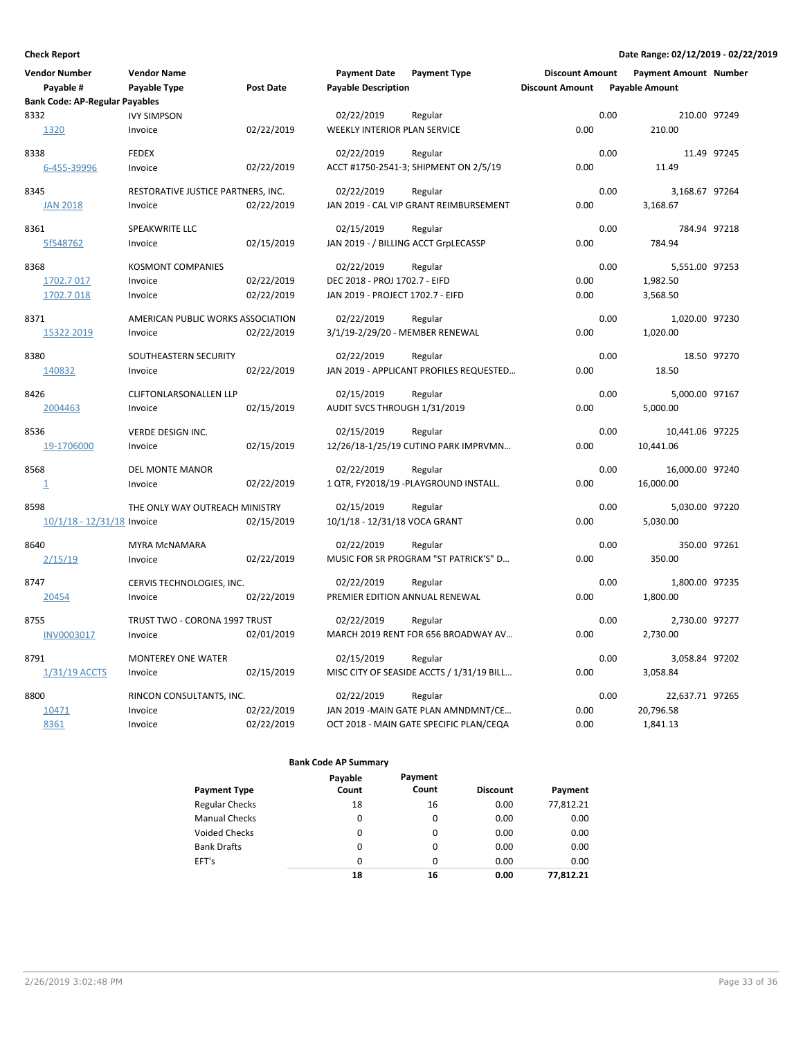| <b>Vendor Number</b>                  | <b>Vendor Name</b>                 |                  | <b>Payment Date</b>                  | <b>Payment Type</b>                       | <b>Discount Amount</b> |      | <b>Payment Amount Number</b> |             |
|---------------------------------------|------------------------------------|------------------|--------------------------------------|-------------------------------------------|------------------------|------|------------------------------|-------------|
| Payable #                             | Payable Type                       | <b>Post Date</b> | <b>Payable Description</b>           |                                           | <b>Discount Amount</b> |      | <b>Payable Amount</b>        |             |
| <b>Bank Code: AP-Regular Payables</b> |                                    |                  |                                      |                                           |                        |      |                              |             |
| 8332                                  | <b>IVY SIMPSON</b>                 |                  | 02/22/2019                           | Regular                                   |                        | 0.00 | 210.00 97249                 |             |
| 1320                                  | Invoice                            | 02/22/2019       | <b>WEEKLY INTERIOR PLAN SERVICE</b>  |                                           | 0.00                   |      | 210.00                       |             |
| 8338                                  | <b>FEDEX</b>                       |                  | 02/22/2019                           | Regular                                   |                        | 0.00 |                              | 11.49 97245 |
| 6-455-39996                           | Invoice                            | 02/22/2019       |                                      | ACCT #1750-2541-3; SHIPMENT ON 2/5/19     | 0.00                   |      | 11.49                        |             |
| 8345                                  | RESTORATIVE JUSTICE PARTNERS, INC. |                  | 02/22/2019                           | Regular                                   |                        | 0.00 | 3,168.67 97264               |             |
| <b>JAN 2018</b>                       | Invoice                            | 02/22/2019       |                                      | JAN 2019 - CAL VIP GRANT REIMBURSEMENT    | 0.00                   |      | 3,168.67                     |             |
| 8361                                  | SPEAKWRITE LLC                     |                  | 02/15/2019                           | Regular                                   |                        | 0.00 | 784.94 97218                 |             |
| 5f548762                              | Invoice                            | 02/15/2019       | JAN 2019 - / BILLING ACCT GrpLECASSP |                                           | 0.00                   |      | 784.94                       |             |
| 8368                                  | <b>KOSMONT COMPANIES</b>           |                  | 02/22/2019                           | Regular                                   |                        | 0.00 | 5,551.00 97253               |             |
| 1702.7 017                            | Invoice                            | 02/22/2019       | DEC 2018 - PROJ 1702.7 - EIFD        |                                           | 0.00                   |      | 1,982.50                     |             |
| 1702.7018                             | Invoice                            | 02/22/2019       | JAN 2019 - PROJECT 1702.7 - EIFD     |                                           | 0.00                   |      | 3,568.50                     |             |
| 8371                                  | AMERICAN PUBLIC WORKS ASSOCIATION  |                  | 02/22/2019                           | Regular                                   |                        | 0.00 | 1,020.00 97230               |             |
| 15322 2019                            | Invoice                            | 02/22/2019       | 3/1/19-2/29/20 - MEMBER RENEWAL      |                                           | 0.00                   |      | 1,020.00                     |             |
| 8380                                  | SOUTHEASTERN SECURITY              |                  | 02/22/2019                           | Regular                                   |                        | 0.00 |                              | 18.50 97270 |
| 140832                                | Invoice                            | 02/22/2019       |                                      | JAN 2019 - APPLICANT PROFILES REQUESTED   | 0.00                   |      | 18.50                        |             |
| 8426                                  | <b>CLIFTONLARSONALLEN LLP</b>      |                  | 02/15/2019                           | Regular                                   |                        | 0.00 | 5,000.00 97167               |             |
| 2004463                               | Invoice                            | 02/15/2019       | AUDIT SVCS THROUGH 1/31/2019         |                                           | 0.00                   |      | 5,000.00                     |             |
| 8536                                  | VERDE DESIGN INC.                  |                  | 02/15/2019                           | Regular                                   |                        | 0.00 | 10,441.06 97225              |             |
| 19-1706000                            | Invoice                            | 02/15/2019       |                                      | 12/26/18-1/25/19 CUTINO PARK IMPRVMN      | 0.00                   |      | 10,441.06                    |             |
| 8568                                  | <b>DEL MONTE MANOR</b>             |                  | 02/22/2019                           | Regular                                   |                        | 0.00 | 16,000.00 97240              |             |
| $\overline{1}$                        | Invoice                            | 02/22/2019       |                                      | 1 QTR, FY2018/19 -PLAYGROUND INSTALL.     | 0.00                   |      | 16,000.00                    |             |
| 8598                                  | THE ONLY WAY OUTREACH MINISTRY     |                  | 02/15/2019                           | Regular                                   |                        | 0.00 | 5,030.00 97220               |             |
| 10/1/18 - 12/31/18 Invoice            |                                    | 02/15/2019       | 10/1/18 - 12/31/18 VOCA GRANT        |                                           | 0.00                   |      | 5,030.00                     |             |
| 8640                                  | <b>MYRA MCNAMARA</b>               |                  | 02/22/2019                           | Regular                                   |                        | 0.00 | 350.00 97261                 |             |
| 2/15/19                               | Invoice                            | 02/22/2019       |                                      | MUSIC FOR SR PROGRAM "ST PATRICK'S" D     | 0.00                   |      | 350.00                       |             |
| 8747                                  | CERVIS TECHNOLOGIES, INC.          |                  | 02/22/2019                           | Regular                                   |                        | 0.00 | 1,800.00 97235               |             |
| 20454                                 | Invoice                            | 02/22/2019       | PREMIER EDITION ANNUAL RENEWAL       |                                           | 0.00                   |      | 1,800.00                     |             |
| 8755                                  | TRUST TWO - CORONA 1997 TRUST      |                  | 02/22/2019                           | Regular                                   |                        | 0.00 | 2,730.00 97277               |             |
| INV0003017                            | Invoice                            | 02/01/2019       |                                      | MARCH 2019 RENT FOR 656 BROADWAY AV       | 0.00                   |      | 2,730.00                     |             |
| 8791                                  | <b>MONTEREY ONE WATER</b>          |                  | 02/15/2019                           | Regular                                   |                        | 0.00 | 3,058.84 97202               |             |
| 1/31/19 ACCTS                         | Invoice                            | 02/15/2019       |                                      | MISC CITY OF SEASIDE ACCTS / 1/31/19 BILL | 0.00                   |      | 3,058.84                     |             |
| 8800                                  | RINCON CONSULTANTS, INC.           |                  | 02/22/2019                           | Regular                                   |                        | 0.00 | 22,637.71 97265              |             |
| 10471                                 | Invoice                            | 02/22/2019       |                                      | JAN 2019 - MAIN GATE PLAN AMNDMNT/CE      | 0.00                   |      | 20,796.58                    |             |
| 8361                                  | Invoice                            | 02/22/2019       |                                      | OCT 2018 - MAIN GATE SPECIFIC PLAN/CEQA   | 0.00                   |      | 1,841.13                     |             |
|                                       |                                    |                  |                                      |                                           |                        |      |                              |             |

|                       | Payable  | Payment |                 |           |
|-----------------------|----------|---------|-----------------|-----------|
| <b>Payment Type</b>   | Count    | Count   | <b>Discount</b> | Payment   |
| <b>Regular Checks</b> | 18       | 16      | 0.00            | 77,812.21 |
| <b>Manual Checks</b>  | 0        | 0       | 0.00            | 0.00      |
| <b>Voided Checks</b>  | 0        | 0       | 0.00            | 0.00      |
| <b>Bank Drafts</b>    | 0        | 0       | 0.00            | 0.00      |
| EFT's                 | $\Omega$ | 0       | 0.00            | 0.00      |
|                       | 18       | 16      | 0.00            | 77.812.21 |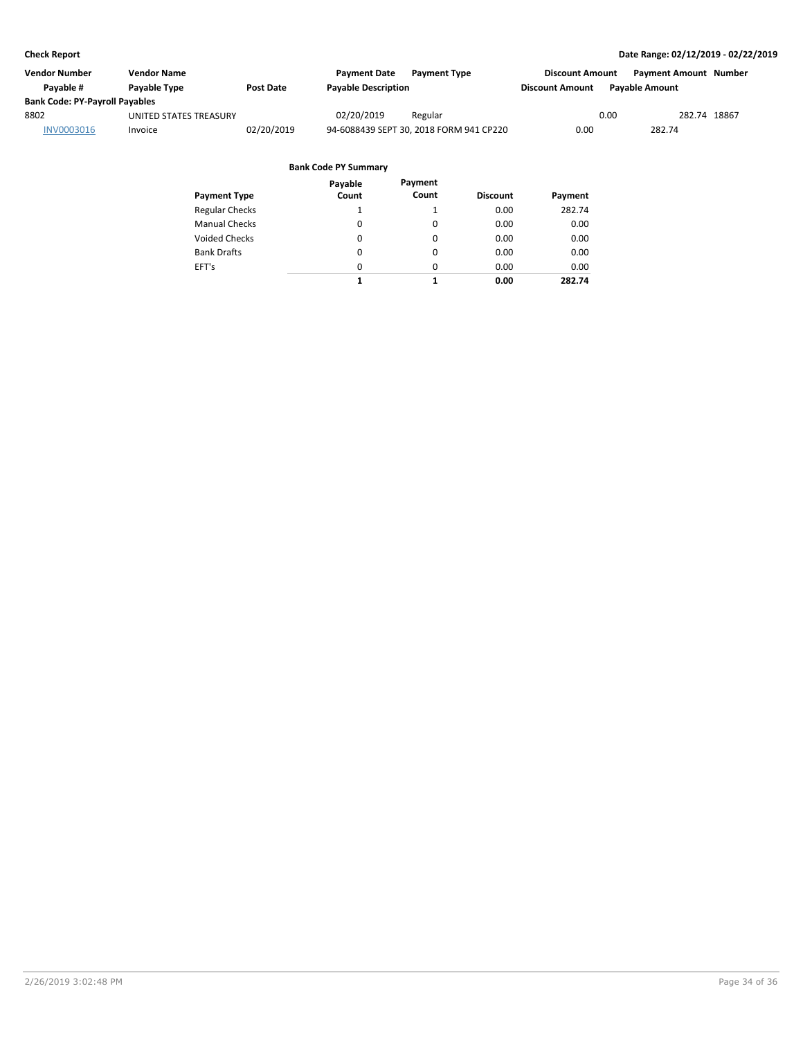| <b>Vendor Name</b>     |                                       | <b>Payment Date</b> | <b>Payment Type</b> |                                                                       |                       |                                                                |
|------------------------|---------------------------------------|---------------------|---------------------|-----------------------------------------------------------------------|-----------------------|----------------------------------------------------------------|
| <b>Pavable Type</b>    | <b>Post Date</b>                      |                     |                     | <b>Discount Amount</b>                                                | <b>Payable Amount</b> |                                                                |
|                        |                                       |                     |                     |                                                                       |                       |                                                                |
| UNITED STATES TREASURY |                                       | 02/20/2019          | Regular             |                                                                       |                       | 282.74 18867                                                   |
| Invoice                | 02/20/2019                            |                     |                     | 0.00                                                                  | 282.74                |                                                                |
|                        | <b>Bank Code: PY-Payroll Payables</b> |                     |                     | <b>Payable Description</b><br>94-6088439 SEPT 30, 2018 FORM 941 CP220 |                       | <b>Payment Amount Number</b><br><b>Discount Amount</b><br>0.00 |

|                       | Payable  | Payment  |                 |         |
|-----------------------|----------|----------|-----------------|---------|
| <b>Payment Type</b>   | Count    | Count    | <b>Discount</b> | Payment |
| <b>Regular Checks</b> | 1        |          | 0.00            | 282.74  |
| <b>Manual Checks</b>  | 0        | 0        | 0.00            | 0.00    |
| <b>Voided Checks</b>  | 0        | 0        | 0.00            | 0.00    |
| <b>Bank Drafts</b>    | 0        | 0        | 0.00            | 0.00    |
| EFT's                 | $\Omega$ | $\Omega$ | 0.00            | 0.00    |
|                       | 1        | 1        | 0.00            | 282.74  |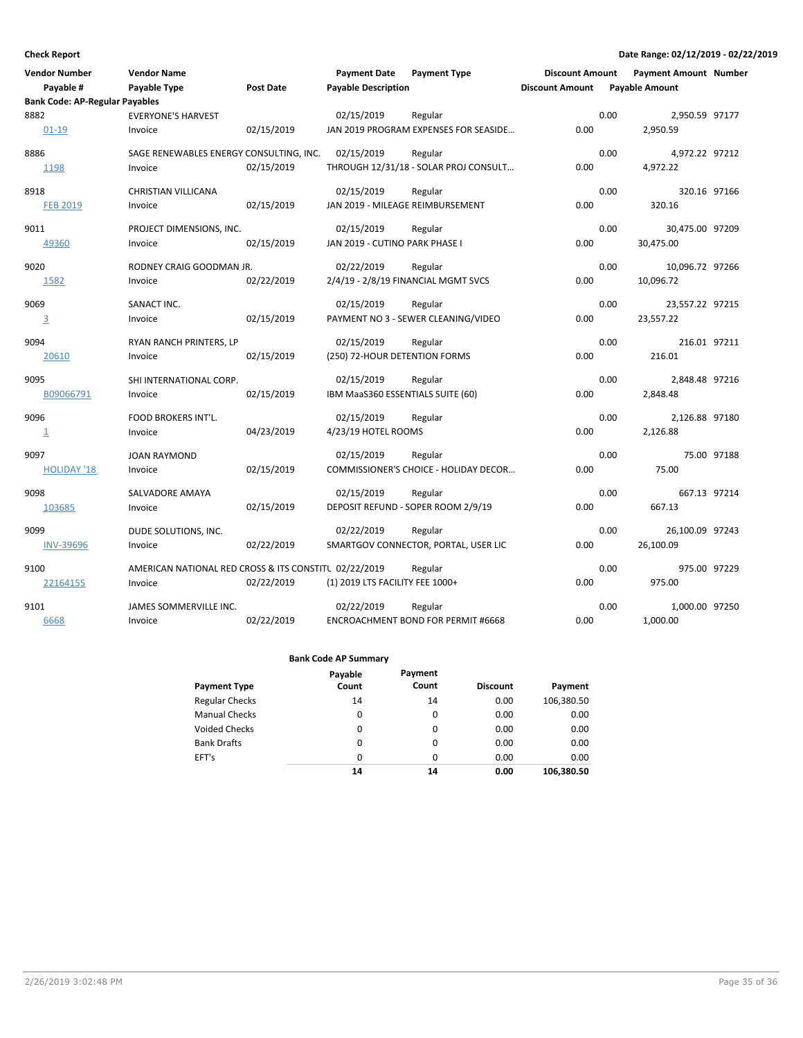| <b>Vendor Number</b>                  | <b>Vendor Name</b>                                    |                  | <b>Payment Date</b>               | <b>Payment Type</b>                   | <b>Discount Amount</b> |      | <b>Payment Amount Number</b> |              |
|---------------------------------------|-------------------------------------------------------|------------------|-----------------------------------|---------------------------------------|------------------------|------|------------------------------|--------------|
| Payable #                             | Payable Type                                          | <b>Post Date</b> | <b>Payable Description</b>        |                                       | <b>Discount Amount</b> |      | <b>Payable Amount</b>        |              |
| <b>Bank Code: AP-Regular Payables</b> |                                                       |                  |                                   |                                       |                        |      |                              |              |
| 8882                                  | <b>EVERYONE'S HARVEST</b>                             |                  | 02/15/2019                        | Regular                               |                        | 0.00 | 2,950.59 97177               |              |
| $01 - 19$                             | Invoice                                               | 02/15/2019       |                                   | JAN 2019 PROGRAM EXPENSES FOR SEASIDE | 0.00                   |      | 2,950.59                     |              |
| 8886                                  | SAGE RENEWABLES ENERGY CONSULTING, INC.               |                  | 02/15/2019                        | Regular                               |                        | 0.00 | 4,972.22 97212               |              |
| 1198                                  | Invoice                                               | 02/15/2019       |                                   | THROUGH 12/31/18 - SOLAR PROJ CONSULT | 0.00                   |      | 4,972.22                     |              |
| 8918                                  | <b>CHRISTIAN VILLICANA</b>                            |                  | 02/15/2019                        | Regular                               |                        | 0.00 |                              | 320.16 97166 |
| <b>FEB 2019</b>                       | Invoice                                               | 02/15/2019       |                                   | JAN 2019 - MILEAGE REIMBURSEMENT      | 0.00                   |      | 320.16                       |              |
| 9011                                  | PROJECT DIMENSIONS, INC.                              |                  | 02/15/2019                        | Regular                               |                        | 0.00 | 30,475.00 97209              |              |
| 49360                                 | Invoice                                               | 02/15/2019       | JAN 2019 - CUTINO PARK PHASE I    |                                       | 0.00                   |      | 30,475.00                    |              |
| 9020                                  | RODNEY CRAIG GOODMAN JR.                              |                  | 02/22/2019                        | Regular                               |                        | 0.00 | 10,096.72 97266              |              |
| 1582                                  | Invoice                                               | 02/22/2019       |                                   | 2/4/19 - 2/8/19 FINANCIAL MGMT SVCS   | 0.00                   |      | 10,096.72                    |              |
| 9069                                  | SANACT INC.                                           |                  | 02/15/2019                        | Regular                               |                        | 0.00 | 23,557.22 97215              |              |
| $\overline{3}$                        | Invoice                                               | 02/15/2019       |                                   | PAYMENT NO 3 - SEWER CLEANING/VIDEO   | 0.00                   |      | 23,557.22                    |              |
| 9094                                  | RYAN RANCH PRINTERS, LP                               |                  | 02/15/2019                        | Regular                               |                        | 0.00 | 216.01 97211                 |              |
| 20610                                 | Invoice                                               | 02/15/2019       | (250) 72-HOUR DETENTION FORMS     |                                       | 0.00                   |      | 216.01                       |              |
| 9095                                  | SHI INTERNATIONAL CORP.                               |                  | 02/15/2019                        | Regular                               |                        | 0.00 | 2,848.48 97216               |              |
| B09066791                             | Invoice                                               | 02/15/2019       | IBM MaaS360 ESSENTIALS SUITE (60) |                                       | 0.00                   |      | 2,848.48                     |              |
| 9096                                  | FOOD BROKERS INT'L.                                   |                  | 02/15/2019                        | Regular                               |                        | 0.00 | 2,126.88 97180               |              |
| $\mathbf{\underline{1}}$              | Invoice                                               | 04/23/2019       | 4/23/19 HOTEL ROOMS               |                                       | 0.00                   |      | 2,126.88                     |              |
| 9097                                  | <b>JOAN RAYMOND</b>                                   |                  | 02/15/2019                        | Regular                               |                        | 0.00 |                              | 75.00 97188  |
| <b>HOLIDAY '18</b>                    | Invoice                                               | 02/15/2019       |                                   | COMMISSIONER'S CHOICE - HOLIDAY DECOR | 0.00                   |      | 75.00                        |              |
| 9098                                  | SALVADORE AMAYA                                       |                  | 02/15/2019                        | Regular                               |                        | 0.00 | 667.13 97214                 |              |
| 103685                                | Invoice                                               | 02/15/2019       |                                   | DEPOSIT REFUND - SOPER ROOM 2/9/19    | 0.00                   |      | 667.13                       |              |
| 9099                                  | DUDE SOLUTIONS, INC.                                  |                  | 02/22/2019                        | Regular                               |                        | 0.00 | 26,100.09 97243              |              |
| <b>INV-39696</b>                      | Invoice                                               | 02/22/2019       |                                   | SMARTGOV CONNECTOR, PORTAL, USER LIC  | 0.00                   |      | 26,100.09                    |              |
| 9100                                  | AMERICAN NATIONAL RED CROSS & ITS CONSTITU 02/22/2019 |                  |                                   | Regular                               |                        | 0.00 | 975.00 97229                 |              |
| 22164155                              | Invoice                                               | 02/22/2019       | (1) 2019 LTS FACILITY FEE 1000+   |                                       | 0.00                   |      | 975.00                       |              |
| 9101                                  | JAMES SOMMERVILLE INC.                                |                  | 02/22/2019                        | Regular                               |                        | 0.00 | 1,000.00 97250               |              |
| 6668                                  | Invoice                                               | 02/22/2019       |                                   | ENCROACHMENT BOND FOR PERMIT #6668    | 0.00                   |      | 1,000.00                     |              |

|                       | Payable  | Payment  |                 |            |
|-----------------------|----------|----------|-----------------|------------|
| <b>Payment Type</b>   | Count    | Count    | <b>Discount</b> | Payment    |
| <b>Regular Checks</b> | 14       | 14       | 0.00            | 106,380.50 |
| <b>Manual Checks</b>  | 0        | 0        | 0.00            | 0.00       |
| Voided Checks         | 0        | 0        | 0.00            | 0.00       |
| <b>Bank Drafts</b>    | 0        | $\Omega$ | 0.00            | 0.00       |
| EFT's                 | $\Omega$ | $\Omega$ | 0.00            | 0.00       |
|                       | 14       | 14       | 0.00            | 106,380.50 |